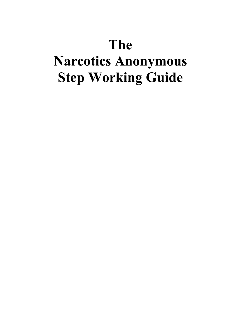## **The**

# **Narcotics Anonymous Step Working Guide**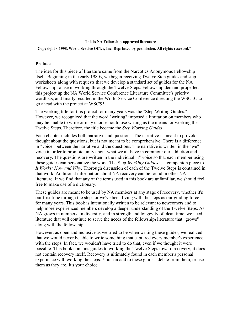#### **This is NA Fellowship-approved literature**

#### **"Copyright ~ 1998, World Service Office, Inc. Reprinted by permission. All rights reserved."**

#### **Preface**

The idea for this piece of literature came from the Narcotics Anonymous Fellowship itself. Beginning in the early 1980s, we began receiving Twelve Step guides and step worksheets along with requests that we develop a standard set of guides for the NA Fellowship to use in working through the Twelve Steps. Fellowship demand propelled this project up the NA World Service Conference Literature Committee's priority wordlists, and finally resulted in the World Service Conference directing the WSCLC to go ahead with the project at WSC'95.

The working title for this project for many years was the "Step Writing Guides." However, we recognized that the word "writing" imposed a limitation on members who may be unable to write or may choose not to use writing as the means for working the Twelve Steps. Therefore, the title became the *Step Working Guides.*

Each chapter includes both narrative and questions. The narrative is meant to provoke thought about the questions, but is not meant to be comprehensive. There is a difference in "voice" between the narrative and the questions. The narrative is written in the "we" voice in order to promote unity about what we all have in common: our addiction and recovery. The questions are written in the individual "I" voice so that each member using these guides can personalize the work. The Step *Working Guides* is a companion piece to *It Works: How and Why.* Thorough discussion of each of the Twelve Steps is contained in that work. Additional information about NA recovery can be found in other NA literature. If we find that any of the terms used in this book are unfamiliar, we should feel free to make use of a dictionary.

These guides are meant to be used by NA members at any stage of recovery, whether it's our first time through the steps or we've been living with the steps as our guiding force for many years. This book is intentionally written to be relevant to newcomers and to help more experienced members develop a deeper understanding of the Twelve Steps. As NA grows in numbers, in diversity, and in strength and longevity of clean time, we need literature that will continue to serve the needs of the fellowship<sub>1</sub> literature that "grows" along with the fellowship.

However, as open and inclusive as we tried to be when writing these guides, we realized that we would never be able to write something that captured every member's experience with the steps. In fact, we wouldn't have tried to do that, even if we thought it were possible. This book contains guides to working the Twelve Steps toward recovery; it does not contain recovery itself. Recovery is ultimately found in each member's personal experience with working the steps. You can add to these guides, delete from them, or use them as they are. It's your choice.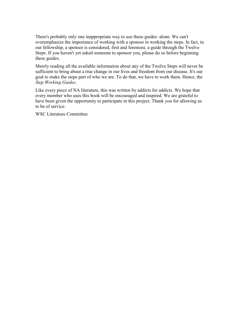There's probably only one inappropriate way to use these guides: alone. We can't overemphasize the importance of working with a sponsor in working the steps. In fact, in our fellowship, a sponsor is considered, first and foremost, a guide through the Twelve Steps. If you haven't yet asked someone to sponsor you, please do so before beginning these guides.

Merely reading all the available information about any of the Twelve Steps will never be sufficient to bring about a true change in our lives and freedom from our disease. It's our goal to make the steps part of who we are. To do that, we have to work them. Hence, the *Step Working Guides.*

Like every piece of NA literature, this was written by addicts for addicts. We hope that every member who uses this book will be encouraged and inspired. We are grateful to have been given the opportunity to participate in this project. Thank you for allowing us to be of service.

WSC Literature Committee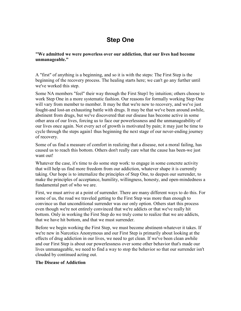## **Step One**

**"We admitted we were powerless over our addiction, that our lives had become unmanageable."** 

A "first" of anything is a beginning, and so it is with the steps: The First Step is the beginning of the recovery process. The healing starts here; we can't go any further until we've worked this step.

Some NA members "feel" their way through the First Step1 by intuition; others choose to work Step One in a more systematic fashion. Our reasons for formally working Step One will vary from member to member. It may be that we're new to recovery, and we've just fought-and lost-an exhausting battle with drugs. It may be that we've been around awhile, abstinent from drugs, but we've discovered that our disease has become active in some other area of our lives, forcing us to face our powerlessness and the unmanageability of our lives once again. Not every act of growth is motivated by pain; it may just be time to cycle through the steps again1 thus beginning the next stage of our never-ending journey of recovery.

Some of us find a measure of comfort in realizing that a disease, not a moral failing, has caused us to reach this bottom. Others don't really care what the cause has been-we just want out!

Whatever the case, it's time to do some step work: to engage in some concrete activity that will help us find more freedom from our addiction, whatever shape it is currently taking. Our hope is to internalize the principles of Step One, to deepen our surrender, to make the principles of acceptance, humility, willingness, honesty, and open-mindedness a fundamental part of who we are.

First, we must arrive at a point of surrender. There are many different ways to do this. For some of us, the road we traveled getting to the First Step was more than enough to convince us that unconditional surrender was our only option. Others start this process even though we're not entirely convinced that we're addicts or that we've really hit bottom. Only in working the First Step do we truly come to realize that we are addicts, that we have hit bottom, and that we must surrender.

Before we begin working the First Step, we must become abstinent-whatever it takes. If we're new in Narcotics Anonymous and our First Step is primarily about looking at the effects of drug addiction in our lives, we need to get clean. If we've been clean awhile and our First Step is about our powerlessness over some other behavior that's made our lives unmanageable, we need to find a way to stop the behavior so that our surrender isn't clouded by continued acting out.

#### **The Disease of Addiction**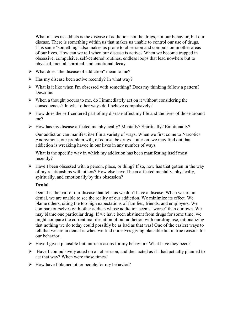What makes us addicts is the disease of addiction-not the drugs, not our behavior, but our disease. There is something within us that makes us unable to control our use of drugs. This same "something" also makes us prone to obsession and compulsion in other areas of our lives. How can we tell when our disease is active? When we become trapped in obsessive, compulsive, self-centered routines, endless loops that lead nowhere but to physical, mental, spiritual, and emotional decay.

- $\triangleright$  What does "the disease of addiction" mean to me?
- $\triangleright$  Has my disease been active recently? In what way?
- $\triangleright$  What is it like when I'm obsessed with something? Does my thinking follow a pattern? **Describe**
- $\triangleright$  When a thought occurs to me, do I immediately act on it without considering the consequences? In what other ways do I behave compulsively?
- $\triangleright$  How does the self-centered part of my disease affect my life and the lives of those around me?
- $\triangleright$  How has my disease affected me physically? Mentally? Spiritually? Emotionally?

Our addiction can manifest itself in a variety of ways. When we first come to Narcotics Anonymous, our problem will, of course, be drugs. Later on, we may find out that addiction is wreaking havoc in our lives in any number of ways.

What is the specific way in which my addiction has been manifesting itself most recently?

 $\triangleright$  Have I been obsessed with a person, place, or thing? If so, how has that gotten in the way of my relationships with others? How else have I been affected mentally, physically, spiritually, and emotionally by this obsession?

#### **Denial**

Denial is the part of our disease that tells us we don't have a disease. When we are in denial, we are unable to see the reality of our addiction. We minimize its effect. We blame others, citing the too-high expectations of families, friends, and employers. We compare ourselves with other addicts whose addiction seems "worse" than our own. We may blame one particular drug. If we have been abstinent from drugs for some time, we might compare the current manifestation of our addiction with our drug use, rationalizing that nothing we do today could possibly be as bad as that was! One of the easiest ways to tell that we are in denial is when we find ourselves giving plausible but untrue reasons for our behavior.

- $\triangleright$  Have I given plausible but untrue reasons for my behavior? What have they been?
- $\triangleright$  Have I compulsively acted on an obsession, and then acted as if I had actually planned to act that way? When were those times?
- $\triangleright$  How have I blamed other people for my behavior?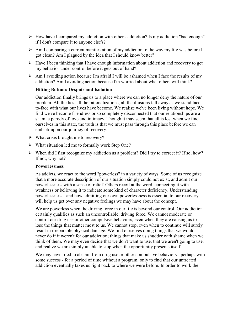- $\triangleright$  How have I compared my addiction with others' addiction? Is my addiction "bad enough" if I don't compare it to anyone else's?
- $\triangleright$  Am I comparing a current manifestation of my addiction to the way my life was before I got clean? Am I plagued by the idea that I should know better?
- $\triangleright$  Have I been thinking that I have enough information about addiction and recovery to get my behavior under control before it gets out of hand?
- $\triangleright$  Am I avoiding action because I'm afraid I will be ashamed when I face the results of my addiction? Am I avoiding action because I'm worried about what others will think?

#### **Hitting Bottom: Despair and Isolation**

Our addiction finally brings us to a place where we can no longer deny the nature of our problem. All the lies, all the rationalizations, all the illusions fall away as we stand faceto-face with what our lives have become. We realize we've been living without hope. We find we've become friendless or so completely disconnected that our relationships are a sham, a parody of love and intimacy. Though it may seem that all is lost when we find ourselves in this state, the truth is that we must pass through this place before we can embark upon our journey of recovery.

- $\triangleright$  What crisis brought me to recovery?
- $\triangleright$  What situation led me to formally work Step One?
- $\triangleright$  When did I first recognize my addiction as a problem? Did I try to correct it? If so, how? If not, why not?

#### **Powerlessness**

As addicts, we react to the word "powerless" in a variety of ways. Some of us recognize that a more accurate description of our situation simply could not exist, and admit our powerlessness with a sense of relief. Others recoil at the word, connecting it with weakness or believing it to indicate some kind of character deficiency. Understanding powerlessness - and how admitting our own powerlessness is essential to our recovery will help us get over any negative feelings we may have about the concept.

We are powerless when the driving force in our life is beyond our control. Our addiction certainly qualifies as such an uncontrollable, driving force. We cannot moderate or control our drug use or other compulsive behaviors, even when they are causing us to lose the things that matter most to us. We cannot stop, even when to continue will surely result in irreparable physical damage. We find ourselves doing things that we would never do if it weren't for our addiction; things that make us shudder with shame when we think of them. We may even decide that we don't want to use, that we aren't going to use, and realize we are simply unable to stop when the opportunity presents itself.

We may have tried to abstain from drug use or other compulsive behaviors - perhaps with some success - for a period of time without a program, only to find that our untreated addiction eventually takes us right back to where we were before. In order to work the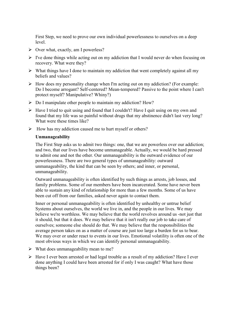First Step, we need to prove our own individual powerlessness to ourselves on a deep level.

- $\triangleright$  Over what, exactly, am I powerless?
- $\triangleright$  I've done things while acting out on my addiction that I would never do when focusing on recovery. What were they?
- $\triangleright$  What things have I done to maintain my addiction that went completely against all my beliefs and values?
- $\triangleright$  How does my personality change when I'm acting out on my addiction? (For example: Do I become arrogant? Self-centered? Mean-tempered? Passive to the point where I can't protect myself? Manipulative? Whiny?)
- $\triangleright$  Do I manipulate other people to maintain my addiction? How?
- $\triangleright$  Have I tried to quit using and found that I couldn't? Have I quit using on my own and found that my life was so painful without drugs that my abstinence didn't last very long? What were these times like?
- $\triangleright$  How has my addiction caused me to hurt myself or others?

#### **Unmanageability**

The First Step asks us to admit two things: one, that we are powerless over our addiction; and two, that our lives have become unmanageable. Actually, we would be hard pressed to admit one and not the other. Our unmanageability is the outward evidence of our powerlessness. There are two general types of unmanageability: outward unmanageability, the kind that can be seen by others; and inner, or personal, unmanageability.

Outward unmanageability is often identified by such things as arrests, job losses, and family problems. Some of our members have been incarcerated. Some have never been able to sustain any kind of relationship for more than a few months. Some of us have been cut off from our families, asked never again to contact them.

Inner or personal unmanageability is often identified by unhealthy or untrue belief Systems about ourselves, the world we live in, and the people in our lives. We may believe we're worthless. We may believe that the world revolves around us -not just that it should, but that it does. We may believe that it isn't really our job to take care of ourselves; someone else should do that. We may believe that the responsibilities the average person takes on as a matter of course are just too large a burden for us to bear. We may over or under react to events in our lives. Emotional volatility is often one of the most obvious ways in which we can identify personal unmanageability.

- $\triangleright$  What does unmanageability mean to me?
- $\triangleright$  Have I ever been arrested or had legal trouble as a result of my addiction? Have I ever done anything I could have been arrested for if only I was caught? What have those things been?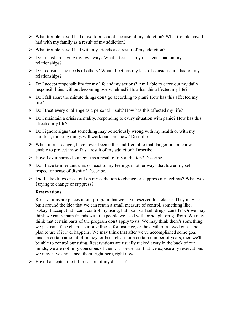- $\triangleright$  What trouble have I had at work or school because of my addiction? What trouble have I had with my family as a result of my addiction?
- $\triangleright$  What trouble have I had with my friends as a result of my addiction?
- $\triangleright$  Do I insist on having my own way? What effect has my insistence had on my relationships?
- $\triangleright$  Do I consider the needs of others? What effect has my lack of consideration had on my relationships?
- $\triangleright$  Do I accept responsibility for my life and my actions? Am I able to carry out my daily responsibilities without becoming overwhelmed? How has this affected my life?
- $\triangleright$  Do I fall apart the minute things don't go according to plan? How has this affected my life?
- $\triangleright$  Do I treat every challenge as a personal insult? How has this affected my life?
- $\triangleright$  Do I maintain a crisis mentality, responding to every situation with panic? How has this affected my life?
- $\triangleright$  Do I ignore signs that something may be seriously wrong with my health or with my children, thinking things will work out somehow? Describe.
- $\triangleright$  When in real danger, have I ever been either indifferent to that danger or somehow unable to protect myself as a result of my addiction? Describe.
- Have I ever harmed someone as a result of my addiction? Describe.
- $\triangleright$  Do I have temper tantrums or react to my feelings in other ways that lower my selfrespect or sense of dignity? Describe.
- $\triangleright$  Did I take drugs or act out on my addiction to change or suppress my feelings? What was I trying to change or suppress?

#### **Reservations**

Reservations are places in our program that we have reserved for relapse. They may be built around the idea that we can retain a small measure of control, something like, "Okay, I accept that I can't control my using, but I can still sell drugs, can't I?" Or we may think we can remain friends with the people we used with or bought drugs from. We may think that certain parts of the program don't apply to us. We may think there's something we just can't face clean-a serious illness, for instance, or the death of a loved one - and plan to use if it ever happens. We may think that after we've accomplished some goal, made a certain amount of money, or been clean for a certain number of years, then we'll be able to control our using. Reservations are usually tucked away in the back of our minds; we are not fully conscious of them. It is essential that we expose any reservations we may have and cancel them, right here, right now.

 $\triangleright$  Have I accepted the full measure of my disease?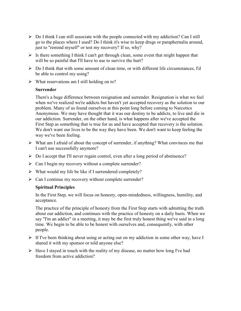- $\triangleright$  Do I think I can still associate with the people connected with my addiction? Can I still go to the places where I used? Do I think it's wise to keep drugs or paraphernalia around, just to "remind myself" or test my recovery? If so, why?
- $\triangleright$  Is there something I think I can't get through clean, some event that might happen that will be so painful that I'll have to use to survive the hurt?
- $\triangleright$  Do I think that with some amount of clean time, or with different life circumstances, I'd be able to control my using?
- $\triangleright$  What reservations am I still holding on to?

#### **Surrender**

There's a huge difference between resignation and surrender. Resignation is what we feel when we've realized we're addicts but haven't yet accepted recovery as the solution to our problem. Many of us found ourselves at this point long before coming to Narcotics Anonymous. We may have thought that it was our destiny to be addicts, to live and die in our addiction. Surrender, on the other hand, is what happens after we've accepted the First Step as something that is true for us and have accepted that recovery is the solution. We don't want our lives to be the way they have been. We don't want to keep feeling the way we've been feeling.

- $\triangleright$  What am I afraid of about the concept of surrender, if anything? What convinces me that I can't use successfully anymore?
- $\triangleright$  Do I accept that I'll never regain control, even after a long period of abstinence?
- $\triangleright$  Can I begin my recovery without a complete surrender?
- $\triangleright$  What would my life be like if I surrendered completely?
- $\triangleright$  Can I continue my recovery without complete surrender?

#### **Spiritual Principles**

In the First Step, we will focus on honesty, open-mindedness, willingness, humility, and acceptance.

The practice of the principle of honesty from the First Step starts with admitting the truth about our addiction, and continues with the practice of honesty on a daily basis. When we say "I'm an addict" in a meeting, it may be the first truly honest thing we've said in a long time. We begin to be able to be honest with ourselves and, consequently, with other people.

- $\triangleright$  If I've been thinking about using or acting out on my addiction in some other way, have I shared it with my sponsor or told anyone else?
- $\triangleright$  Have I stayed in touch with the reality of my disease, no matter how long I've had freedom from active addiction?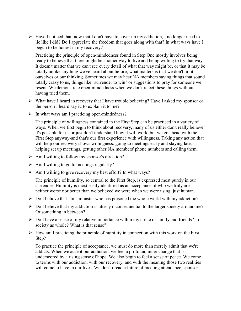$\triangleright$  Have I noticed that, now that I don't have to cover up my addiction, I no longer need to lie like I did? Do I appreciate the freedom that goes along with that? In what ways have I begun to be honest in my recovery?

Practicing the principle of open-mindedness found in Step One mostly involves being ready to believe that there might be another way to live and being willing to try that way. It doesn't matter that we can't see every detail of what that way might be, or that it may be totally unlike anything we've heard about before; what matters is that we don't limit ourselves or our thinking. Sometimes we may hear NA members saying things that sound totally crazy to us, things like "surrender to win" or suggestions to pray for someone we resent. We demonstrate open-mindedness when we don't reject these things without having tried them.

- $\triangleright$  What have I heard in recovery that I have trouble believing? Have I asked my sponsor or the person I heard say it, to explain it to me?
- $\triangleright$  In what ways am I practicing open-mindedness?

The principle of willingness contained in the First Step can be practiced in a variety of ways. When we first begin to think about recovery, many of us either don't really believe it's possible for us or just don't understand how it will work, but we go ahead with the First Step anyway-and that's our first experience with willingness. Taking any action that will help our recovery shows willingness: going to meetings early and staying late, helping set up meetings, getting other NA members' phone numbers and calling them.

- $\triangleright$  Am I willing to follow my sponsor's direction?
- $\triangleright$  Am I willing to go to meetings regularly?
- $\triangleright$  Am I willing to give recovery my best effort? In what ways?

The principle of humility, so central to the First Step, is expressed most purely in our surrender. Humility is most easily identified as an acceptance of who we truly are neither worse nor better than we believed we were when we were using, just human.

- $\triangleright$  Do I believe that I'm a monster who has poisoned the whole world with my addiction?
- $\triangleright$  Do I believe that my addiction is utterly inconsequential to the larger society around me? Or something in between?
- $\triangleright$  Do I have a sense of my relative importance within my circle of family and friends? In society as whole? What is that sense?
- $\triangleright$  How am I practicing the principle of humility in connection with this work on the First Step?

To practice the principle of acceptance, we must do more than merely admit that we're addicts. When we accept our addiction, we feel a profound inner change that is underscored by a rising sense of hope. We also begin to feel a sense of peace. We come to terms with our addiction, with our recovery, and with the meaning those two realities will come to have in our lives. We don't dread a future of meeting attendance, sponsor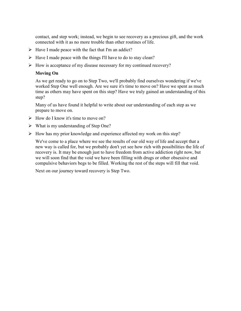contact, and step work; instead, we begin to see recovery as a precious gift, and the work connected with it as no more trouble than other routines of life.

- $\triangleright$  Have I made peace with the fact that I'm an addict?
- $\triangleright$  Have I made peace with the things I'll have to do to stay clean?
- $\triangleright$  How is acceptance of my disease necessary for my continued recovery?

#### **Moving On**

As we get ready to go on to Step Two, we'll probably find ourselves wondering if we've worked Step One well enough. Are we sure it's time to move on? Have we spent as much time as others may have spent on this step? Have we truly gained an understanding of this step?

Many of us have found it helpful to write about our understanding of each step as we prepare to move on.

- $\triangleright$  How do I know it's time to move on?
- $\triangleright$  What is my understanding of Step One?
- $\triangleright$  How has my prior knowledge and experience affected my work on this step?

We've come to a place where we see the results of our old way of life and accept that a new way is called for, but we probably don't yet see how rich with possibilities the life of recovery is. It may be enough just to have freedom from active addiction right now, but we will soon find that the void we have been filling with drugs or other obsessive and compulsive behaviors begs to be filled. Working the rest of the steps will fill that void.

Next on our journey toward recovery is Step Two.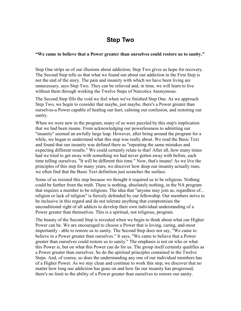### **Step Two**

#### **"We came to believe that a Power greater than ourselves could restore us to sanity."**

Step One strips us of our illusions about addiction; Step Two gives us hope for recovery. The Second Step tells us that what we found out about our addiction in the First Step is not the end of the story. The pain and insanity with which we have been living are unnecessary, says Step Two. They can be relieved and, in time, we will learn to live without them through working the Twelve Steps of Narcotics Anonymous.

The Second Step fills the void we feel when we've finished Step One. As we approach Step Two, we begin to consider that maybe, just maybe, there's a Power greater than ourselves-a Power capable of healing our hurt, calming our confusion, and restoring our sanity.

When we were new in the program, many of us were puzzled by this step's implication that we had been insane. From acknowledging our powerlessness to admitting our "insanity" seemed an awfully large leap. However, after being around the program for a while, we began to understand what this step was really about. We read the Basic Text and found that our insanity was defined there as "repeating the same mistakes and expecting different results." We could certainly relate to that! After all, how many times had we tried to get away with something we had never gotten away with before, each time telling ourselves, "It will be different this time." Now, that's insane! As we live the principles of this step for many years, we discover how deep our insanity actually runs; we often find that the Basic Text definition just scratches the surface.

Some of us resisted this step because we thought it required us to be religious. Nothing could be further from the truth. There is nothing, absolutely nothing, in the NA program that requires a member to be religious. The idea that "anyone may join us, regardless of... religion or lack of religion" is fiercely defended by our fellowship. Our members strive to be inclusive in this regard and do not tolerate anything that compromises the unconditional right of all addicts to develop their own individual understanding of a Power greater than themselves. This is a spiritual, not religious, program.

The beauty of the Second Step is revealed when we begin to think about what our Higher Power can be. We are encouraged to choose a Power that is loving, caring, and-most importantly - able to restore us to sanity. The Second Step does not say, "We came to believe in a Power greater than ourselves." It says, "We came to believe that a Power greater than ourselves could restore us to sanity." The emphasis is not on who or what this Power is, but on what this Power can do for us. The group itself certainly qualifies as a Power greater than ourselves. So do the spiritual principles contained in the Twelve Steps. And, of course, so does the understanding any one of our individual members has of a Higher Power. As we stay clean and continue to work this step, we discover that no matter how long our addiction has gone on and how far our insanity has progressed, there's no limit to the ability of a Power greater than ourselves to restore our sanity.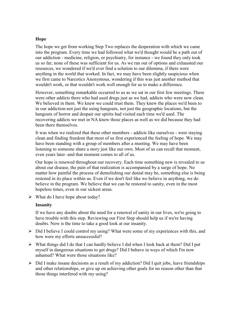#### **Hope**

The hope we get from working Step Two replaces the desperation with which we came into the program. Every time we had followed what we'd thought would be a path out of our addiction - medicine, religion, or psychiatry, for instance - we found they only took us so far; none of these was sufficient for us. As we ran out of options and exhausted our resources, we wondered if we'd ever find a solution to our dilemma, if there were anything in the world that worked. In fact, we may have been slightly suspicious when we first came to Narcotics Anonymous, wondering if this was just another method that wouldn't work, or that wouldn't work well enough for us to make a difference.

However, something remarkable occurred to us as we sat in our first few meetings. There were other addicts there who had used drugs just as we had, addicts who were now clean. We believed in them. We knew we could trust them. They knew the places we'd been to in our addiction-not just the using hangouts, not just the geographic locations, but the hangouts of horror and despair our spirits had visited each time we'd used. The recovering addicts we met in NA knew those places as well as we did because they had been there themselves.

It was when we realized that these other members - addicts like ourselves - were staying clean and finding freedom that most of us first experienced the feeling of hope. We may have been standing with a group of members after a meeting. We may have been listening to someone share a story just like our own. Most of us can recall that moment, even years later -and that moment comes to all of us.

Our hope is renewed throughout our recovery. Each time something new is revealed to us about our disease, the pain of that realization is accompanied by a surge of hope. No matter how painful the process of demolishing our denial may be, something else is being restored in its place within us. Even if we don't feel like we believe in anything, we do believe in the program. We believe that we can be restored to sanity, even in the most hopeless times, even in our sickest areas.

 $\triangleright$  What do I have hope about today?

#### **Insanity**

If we have any doubts about the need for a renewal of sanity in our lives, we're going to have trouble with this step. Reviewing our First Step should help us if we're having doubts. Now is the time to take a good look at our insanity.

- $\triangleright$  Did I believe I could control my using? What were some of my experiences with this, and how were my efforts unsuccessful?
- $\triangleright$  What things did I do that I can hardly believe I did when I look back at them? Did I put myself in dangerous situations to get drugs? Did I behave in ways of which I'm now ashamed? What were those situations like?
- $\triangleright$  Did I make insane decisions as a result of my addiction? Did I quit jobs, leave friendships and other relationships, or give up on achieving other goals for no reason other than that those things interfered with my using?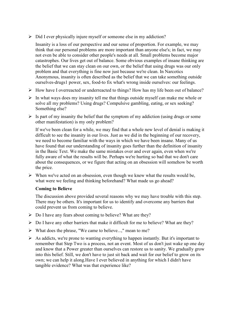$\triangleright$  Did I ever physically injure myself or someone else in my addiction?

Insanity is a loss of our perspective and our sense of proportion. For example, we may think that our personal problems are more important than anyone else's; in fact, we may not even be able to consider other people's needs at all. Small problems become major catastrophes. Our lives get out of balance. Some obvious examples of insane thinking are the belief that we can stay clean on our own, or the belief that using drugs was our only problem and that everything is fine now just because we're clean. In Narcotics Anonymous, insanity is often described as the belief that we can take something outside ourselves-drugs1 power, sex, food-to fix what's wrong inside ourselves: our feelings.

- $\triangleright$  How have I overreacted or underreacted to things? How has my life been out of balance?
- $\triangleright$  In what ways does my insanity tell me that things outside myself can make me whole or solve all my problems? Using drugs? Compulsive gambling, eating, or sex seeking? Something else?
- $\triangleright$  Is part of my insanity the belief that the symptom of my addiction (using drugs or some other manifestation) is my only problem?

If we've been clean for a while, we may find that a whole new level of denial is making it difficult to see the insanity in our lives. Just as we did in the beginning of our recovery, we need to become familiar with the ways in which we have been insane. Many of us have found that our understanding of insanity goes further than the definition of insanity in the Basic Text. We make the same mistakes over and over again, even when we're fully aware of what the results will be. Perhaps we're hurting so bad that we don't care about the consequences, or we figure that acting on an obsession will somehow be worth the price.

 $\triangleright$  When we've acted on an obsession, even though we knew what the results would be, what were we feeling and thinking beforehand? What made us go ahead?

#### **Coming to Believe**

The discussion above provided several reasons why we may have trouble with this step. There may be others. It's important for us to identify and overcome any barriers that could prevent us from coming to believe.

- $\triangleright$  Do I have any fears about coming to believe? What are they?
- $\triangleright$  Do I have any other barriers that make it difficult for me to believe? What are they?
- $\triangleright$  What does the phrase, "We came to believe...," mean to me?
- $\triangleright$  As addicts, we're prone to wanting everything to happen instantly. But it's important to remember that Step Two is a process, not an event. Most of us don't just wake up one day and know that a Power greater than ourselves can restore us to sanity. We gradually grow into this belief. Still, we don't have to just sit back and wait for our belief to grow on its own; we can help it along.Have I ever believed in anything for which I didn't have tangible evidence? What was that experience like?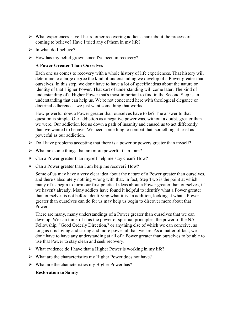- $\triangleright$  What experiences have I heard other recovering addicts share about the process of coming to believe? Have I tried any of them in my life?
- $\triangleright$  In what do I believe?
- $\triangleright$  How has my belief grown since I've been in recovery?

#### **A Power Greater Than Ourselves**

Each one us comes to recovery with a whole history of life experiences. That history will determine to a large degree the kind of understanding we develop of a Power greater than ourselves. In this step, we don't have to have a lot of specific ideas about the nature or identity of that Higher Power. That sort of understanding will come later. The kind of understanding of a Higher Power that's most important to find in the Second Step is an understanding that can help us. We're not concerned here with theological elegance or doctrinal adherence - we just want something that works.

How powerful does a Power greater than ourselves have to be? The answer to that question is simple. Our addiction as a negative power was, without a doubt, greater than we were. Our addiction led us down a path of insanity and caused us to act differently than we wanted to behave. We need something to combat that, something at least as powerful as our addiction.

- $\triangleright$  Do I have problems accepting that there is a power or powers greater than myself?
- $\triangleright$  What are some things that are more powerful than I am?
- $\triangleright$  Can a Power greater than myself help me stay clean? How?
- $\triangleright$  Can a Power greater than I am help me recover? How?

Some of us may have a very clear idea about the nature of a Power greater than ourselves, and there's absolutely nothing wrong with that. In fact, Step Two is the point at which many of us begin to form our first practical ideas about a Power greater than ourselves, if we haven't already. Many addicts have found it helpful to identify what a Power greater than ourselves is not before identifying what it is. In addition, looking at what a Power greater than ourselves can do for us may help us begin to discover more about that **Power** 

There are many, many understandings of a Power greater than ourselves that we can develop. We can think of it as the power of spiritual principles, the power of the NA Fellowship, "Good Orderly Direction," or anything else of which we can conceive, as long as it is loving and caring and more powerful than we are. As a matter of fact, we don't have to have any understanding at all of a Power greater than ourselves to be able to use that Power to stay clean and seek recovery.

- $\triangleright$  What evidence do I have that a Higher Power is working in my life?
- $\triangleright$  What are the characteristics my Higher Power does not have?
- $\triangleright$  What are the characteristics my Higher Power has?

#### **Restoration to Sanity**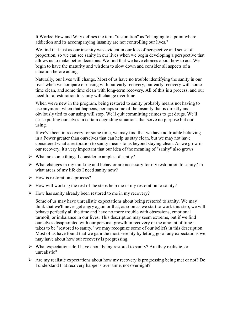It Works: How and Why defines the term "restoration" as "changing to a point where addiction and its accompanying insanity are not controlling our lives."

We find that just as our insanity was evident in our loss of perspective and sense of proportion, so we can see sanity in our lives when we begin developing a perspective that allows us to make better decisions. We find that we have choices about how to act. We begin to have the maturity and wisdom to slow down and consider all aspects of a situation before acting.

Naturally, our lives will change. Most of us have no trouble identifying the sanity in our lives when we compare our using with our early recovery, our early recovery with some time clean, and some time clean with long-term recovery. All of this is a process, and our need for a restoration to sanity will change over time.

When we're new in the program, being restored to sanity probably means not having to use anymore; when that happens, perhaps some of the insanity that is directly and obviously tied to our using will stop. We'll quit committing crimes to get drugs. We'll cease putting ourselves in certain degrading situations that serve no purpose but our using.

If we've been in recovery for some time, we may find that we have no trouble believing in a Power greater than ourselves that can help us stay clean, but we may not have considered what a restoration to sanity means to us beyond staying clean. As we grow in our recovery, it's very important that our idea of the meaning of "sanity" also grows.

- $\triangleright$  What are some things I consider examples of sanity?
- $\triangleright$  What changes in my thinking and behavior are necessary for my restoration to sanity? In what areas of my life do I need sanity now?
- $\triangleright$  How is restoration a process?
- $\triangleright$  How will working the rest of the steps help me in my restoration to sanity?
- $\triangleright$  How has sanity already been restored to me in my recovery?

Some of us may have unrealistic expectations about being restored to sanity. We may think that we'll never get angry again or that, as soon as we start to work this step, we will behave perfectly all the time and have no more trouble with obsessions, emotional turmoil, or imbalance in our lives. This description may seem extreme, but if we find ourselves disappointed with our personal growth in recovery or the amount of time it takes to be "restored to sanity," we may recognize some of our beliefs in this description. Most of us have found that we gain the most serenity by letting go of any expectations we may have about how our recovery is progressing.

- $\triangleright$  What expectations do I have about being restored to sanity? Are they realistic, or unrealistic?
- $\triangleright$  Are my realistic expectations about how my recovery is progressing being met or not? Do I understand that recovery happens over time, not overnight?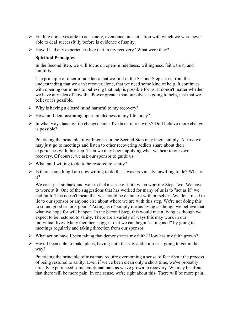- $\triangleright$  Finding ourselves able to act sanely, even once, in a situation with which we were never able to deal successfully before is evidence of sanity.
- $\triangleright$  Have I had any experiences like that in my recovery? What were they?

#### **Spiritual Principles**

In the Second Step, we will focus on open-mindedness, willingness, faith, trust, and humility.

The principle of open-mindedness that we find in the Second Step arises from the understanding that we can't recover alone, that we need some kind of help. It continues with opening our minds to believing that help is possible for us. It doesn't matter whether we have any idea of how this Power greater than ourselves is going to help, just that we believe it's possible.

- $\triangleright$  Why is having a closed mind harmful to my recovery?
- $\triangleright$  How am I demonstrating open-mindedness in my life today?
- $\triangleright$  In what ways has my life changed since I've been in recovery? Do I believe more change is possible?

Practicing the principle of willingness in the Second Step may begin simply. At first we may just go to meetings and listen to other recovering addicts share about their experiences with this step. Then we may begin applying what we hear to our own recovery. Of course, we ask our sponsor to guide us.

- $\triangleright$  What am I willing to do to be restored to sanity?
- $\triangleright$  Is there something I am now willing to do that I was previously unwilling to do? What is it?

We can't just sit back and wait to feel a sense of faith when working Step Two. We have to work at it. One of the suggestions that has worked for many of us is to "act as if" we had faith. This doesn't mean that we should be dishonest with ourselves. We don't need to lie to our sponsor or anyone else about where we are with this step. We're not doing this to sound good or look good. "Acting as if" simply means living as though we believe that what we hope for will happen. In the Second Step, this would mean living as though we expect to be restored to sanity. There are a variety of ways this may work in our individual lives. Many members suggest that we can begin "acting as if" by going to meetings regularly and taking direction from our sponsor.

- $\triangleright$  What action have I been taking that demonstrates my faith? How has my faith grown?
- $\triangleright$  Have I been able to make plans, having faith that my addiction isn't going to get in the way?

Practicing the principle of trust may require overcoming a sense of fear about the process of being restored to sanity. Even if we've been clean only a short time, we've probably already experienced some emotional pain as we've grown in recovery. We may be afraid that there will be more pain. In one sense, we're right about this: There will be more pain.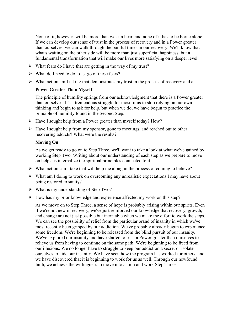None of it, however, will be more than we can bear, and none of it has to be borne alone. If we can develop our sense of trust in the process of recovery and in a Power greater than ourselves, we can walk through the painful times in our recovery. We'll know that what's waiting on the other side will be more than just superficial happiness, but a fundamental transformation that will make our lives more satisfying on a deeper level.

- $\triangleright$  What fears do I have that are getting in the way of my trust?
- $\triangleright$  What do I need to do to let go of these fears?
- $\triangleright$  What action am I taking that demonstrates my trust in the process of recovery and a

#### **Power Greater Than Myself**

The principle of humility springs from our acknowledgment that there is a Power greater than ourselves. It's a tremendous struggle for most of us to stop relying on our own thinking and begin to ask for help, but when we do, we have begun to practice the principle of humility found in the Second Step.

- $\triangleright$  Have I sought help from a Power greater than myself today? How?
- $\triangleright$  Have I sought help from my sponsor, gone to meetings, and reached out to other recovering addicts? What were the results?

#### **Moving On**

As we get ready to go on to Step Three, we'll want to take a look at what we've gained by working Step Two. Writing about our understanding of each step as we prepare to move on helps us internalize the spiritual principles connected to it.

- $\triangleright$  What action can I take that will help me along in the process of coming to believe?
- $\triangleright$  What am I doing to work on overcoming any unrealistic expectations I may have about being restored to sanity?
- $\triangleright$  What is my understanding of Step Two?
- $\triangleright$  How has my prior knowledge and experience affected my work on this step?

As we move on to Step Three, a sense of hope is probably arising within our spirits. Even if we're not new in recovery, we've just reinforced our knowledge that recovery, growth, and change are not just possible but inevitable when we make the effort to work the steps. We can see the possibility of relief from the particular brand of insanity in which we've most recently been gripped by our addiction. We've probably already begun to experience some freedom. We're beginning to be released from the blind pursuit of our insanity. We've explored our insanity and have started to trust a Power greater than ourselves to relieve us from having to continue on the same path. We're beginning to be freed from our illusions. We no longer have to struggle to keep our addiction a secret or isolate ourselves to hide our insanity. We have seen how the program has worked for others, and we have discovered that it is beginning to work for us as well. Through our newfound faith, we achieve the willingness to move into action and work Step Three.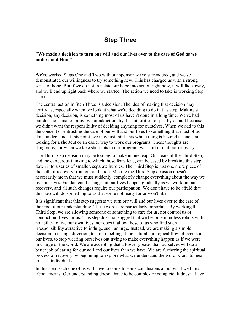## **Step Three**

**"We made a decision to turn our will and our lives over to the care of God as we understood Him."**

We've worked Steps One and Two with our sponsor-we've surrendered, and we've demonstrated our willingness to try something new. This has charged us with a strong sense of hope. But if we do not translate our hope into action right now, it will fade away, and we'll end up right back where we started. The action we need to take is working Step **Three** 

The central action in Step Three is a decision. The idea of making that decision may terrify us, especially when we look at what we're deciding to do in this step. Making a decision, any decision, is something most of us haven't done in a long time. We've had our decisions made for us-by our addiction, by the authorities, or just by default because we didn't want the responsibility of deciding anything for ourselves. When we add to this the concept of entrusting the care of our will and our lives to something that most of us don't understand at this point, we may just think this whole thing is beyond us and start looking for a shortcut or an easier way to work our programs. These thoughts are dangerous, for when we take shortcuts in our program, we short circuit our recovery.

The Third Step decision may be too big to make in one leap. Our fears of the Third Step, and the dangerous thinking to which those fears lead, can be eased by breaking this step down into a series of smaller, separate hurdles. The Third Step is just one more piece of the path of recovery from our addiction. Making the Third Step decision doesn't necessarily mean that we must suddenly, completely change everything about the way we live our lives. Fundamental changes in our lives happen gradually as we work on our recovery, and all such changes require our participation. We don't have to be afraid that this step will do something to us that we're not ready for or won't like.

It is significant that this step suggests we turn our will and our lives over to the care of the God of our understanding. These words are particularly important. By working the Third Step, we are allowing someone or something to care for us, not control us or conduct our lives for us. This step does not suggest that we become mindless robots with no ability to live our own lives, nor does it allow those of us who find such irresponsibility attractive to indulge such an urge. Instead, we are making a simple decision to change direction, to stop rebelling at the natural and logical flow of events in our lives, to stop wearing ourselves out trying to make everything happen as if we were in charge of the world. We are accepting that a Power greater than ourselves will do a better job of caring for our will and our lives than we have. We are furthering the spiritual process of recovery by beginning to explore what we understand the word "God" to mean to us as individuals.

In this step, each one of us will have to come to some conclusions about what we think "God" means. Our understanding doesn't have to be complex or complete. It doesn't have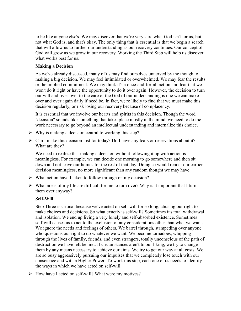to be like anyone else's. We may discover that we're very sure what God isn't for us, but not what God is, and that's okay. The only thing that is essential is that we begin a search that will allow us to further our understanding as our recovery continues. Our concept of God will grow as we grow in our recovery. Working the Third Step will help us discover what works best for us.

#### **Making a Decision**

As we've already discussed, many of us may find ourselves unnerved by the thought of making a big decision. We may feel intimidated or overwhelmed. We may fear the results or the implied commitment. We may think it's a once-and-for-all action and fear that we won't do it right or have the opportunity to do it over again. However, the decision to turn our will and lives over to the care of the God of our understanding is one we can make over and over again daily if need be. In fact, we're likely to find that we must make this decision regularly, or risk losing our recovery because of complacency.

It is essential that we involve our hearts and spirits in this decision. Though the word "decision" sounds like something that takes place mostly in the mind, we need to do the work necessary to go beyond an intellectual understanding and internalize this choice.

- $\triangleright$  Why is making a decision central to working this step?
- $\triangleright$  Can I make this decision just for today? Do I have any fears or reservations about it? What are they?

We need to realize that making a decision without following it up with action is meaningless. For example, we can decide one morning to go somewhere and then sit down and not leave our homes for the rest of that day. Doing so would render our earlier decision meaningless, no more significant than any random thought we may have.

- $\triangleright$  What action have I taken to follow through on my decision?
- $\triangleright$  What areas of my life are difficult for me to turn over? Why is it important that I turn them over anyway?

#### **Self-Will**

Step Three is critical because we've acted on self-will for so long, abusing our right to make choices and decisions. So what exactly is self-will? Sometimes it's total withdrawal and isolation. We end up living a very lonely and self-absorbed existence. Sometimes self-will causes us to act to the exclusion of any considerations other than what we want. We ignore the needs and feelings of others. We barrel through, stampeding over anyone who questions our right to do whatever we want. We become tornadoes, whipping through the lives of family, friends, and even strangers, totally unconscious of the path of destruction we have left behind. If circumstances aren't to our liking, we try to change them by any means necessary to achieve our aims. We try to get our way at all costs. We are so busy aggressively pursuing our impulses that we completely lose touch with our conscience and with a Higher Power. To work this step, each one of us needs to identify the ways in which we have acted on self-will.

 $\triangleright$  How have I acted on self-will? What were my motives?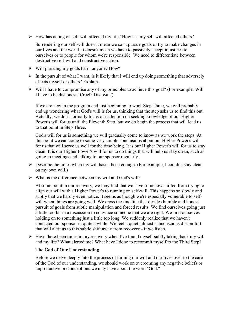$\triangleright$  How has acting on self-will affected my life? How has my self-will affected others?

Surrendering our self-will doesn't mean we can't pursue goals or try to make changes in our lives and the world. It doesn't mean we have to passively accept injustices to ourselves or to people for whom we're responsible. We need to differentiate between destructive self-will and constructive action.

- $\triangleright$  Will pursuing my goals harm anyone? How?
- $\triangleright$  In the pursuit of what I want, is it likely that I will end up doing something that adversely affects myself or others? Explain.
- $\triangleright$  Will I have to compromise any of my principles to achieve this goal? (For example: Will I have to be dishonest? Cruel? Disloyal?)

If we are new in the program and just beginning to work Step Three, we will probably end up wondering what God's will is for us, thinking that the step asks us to find this out. Actually, we don't formally focus our attention on seeking knowledge of our Higher Power's will for us until the Eleventh Step, but we do begin the process that will lead us to that point in Step Three.

God's will for us is something we will gradually come to know as we work the steps. At this point we can come to some very simple conclusions about our Higher Power's will for us that will serve us well for the time being. It is our Higher Power's will for us to stay clean. It is our Higher Power's will for us to do things that will help us stay clean, such as going to meetings and talking to our sponsor regularly.

- $\triangleright$  Describe the times when my will hasn't been enough. (For example, I couldn't stay clean on my own will.)
- $\triangleright$  What is the difference between my will and God's will?

At some point in our recovery, we may find that we have somehow shifted from trying to align our will with a Higher Power's to running on self-will. This happens so slowly and subtly that we hardly even notice. It seems as though we're especially vulnerable to selfwill when things are going well. We cross the fine line that divides humble and honest pursuit of goals from subtle manipulation and forced results. We find ourselves going just a little too far in a discussion to convince someone that we are right. We find ourselves holding on to something just a little too long. We suddenly realize that we haven't contacted our sponsor in quite a while. We feel a quiet, almost subconscious discomfort that will alert us to this subtle shift away from recovery - if we listen.

 $\triangleright$  Have there been times in my recovery when I've found myself subtly taking back my will and my life? What alerted me? What have I done to recommit myself to the Third Step?

#### **The God of Our Understanding**

Before we delve deeply into the process of turning our will and our lives over to the care of the God of our understanding, we should work on overcoming any negative beliefs or unproductive preconceptions we may have about the word "God."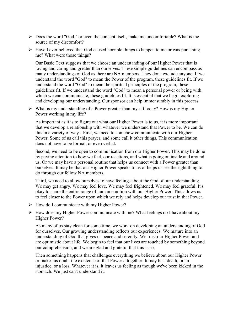- $\triangleright$  Does the word "God," or even the concept itself, make me uncomfortable? What is the source of my discomfort?
- $\triangleright$  Have I ever believed that God caused horrible things to happen to me or was punishing me? What were those things?

Our Basic Text suggests that we choose an understanding of our Higher Power that is loving and caring and greater than ourselves. These simple guidelines can encompass as many understandings of God as there are NA members. They don't exclude anyone. If we understand the word "God" to mean the Power of the program, these guidelines fit. If we understand the word "God" to mean the spiritual principles of the program, these guidelines fit. If we understand the word "God" to mean a personal power or being with which we can communicate, these guidelines fit. It is essential that we begin exploring and developing our understanding. Our sponsor can help immeasurably in this process.

 $\triangleright$  What is my understanding of a Power greater than myself today? How is my Higher Power working in my life?

As important as it is to figure out what our Higher Power is to us, it is more important that we develop a relationship with whatever we understand that Power to be. We can do this in a variety of ways. First, we need to somehow communicate with our Higher Power. Some of us call this prayer, and some call it other things. This communication does not have to be formal, or even verbal.

Second, we need to be open to communication from our Higher Power. This may be done by paying attention to how we feel, our reactions, and what is going on inside and around us. Or we may have a personal routine that helps us connect with a Power greater than ourselves. It may be that our Higher Power speaks to us or helps us see the right thing to do through our fellow NA members.

Third, we need to allow ourselves to have feelings about the God of our understanding. We may get angry. We may feel love. We may feel frightened. We may feel grateful. It's okay to share the entire range of human emotion with our Higher Power. This allows us to feel closer to the Power upon which we rely and helps develop our trust in that Power.

- $\triangleright$  How do I communicate with my Higher Power?
- $\triangleright$  How does my Higher Power communicate with me? What feelings do I have about my Higher Power?

As many of us stay clean for some time, we work on developing an understanding of God for ourselves. Our growing understanding reflects our experiences. We mature into an understanding of God that gives us peace and serenity. We trust our Higher Power and are optimistic about life. We begin to feel that our lives are touched by something beyond our comprehension, and we are glad and grateful that this is so.

Then something happens that challenges everything we believe about our Higher Power or makes us doubt the existence of that Power altogether. It may be a death, or an injustice, or a loss. Whatever it is, it leaves us feeling as though we've been kicked in the stomach. We just can't understand it.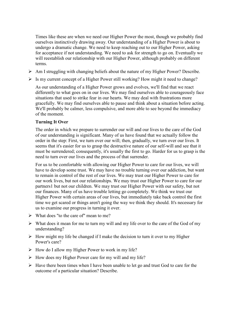Times like these are when we need our Higher Power the most, though we probably find ourselves instinctively drawing away. Our understanding of a Higher Power is about to undergo a dramatic change. We need to keep reaching out to our Higher Power, asking for acceptance if not understanding. We need to ask for strength to go on. Eventually we will reestablish our relationship with our Higher Power, although probably on different terms.

- $\triangleright$  Am I struggling with changing beliefs about the nature of my Higher Power? Describe.
- $\triangleright$  Is my current concept of a Higher Power still working? How might it need to change?

As our understanding of a Higher Power grows and evolves, we'll find that we react differently to what goes on in our lives. We may find ourselves able to courageously face situations that used to strike fear in our hearts. We may deal with frustrations more gracefully. We may find ourselves able to pause and think about a situation before acting. We'll probably be calmer, less compulsive, and more able to see beyond the immediacy of the moment.

#### **Turning It Over**

The order in which we prepare to surrender our will and our lives to the care of the God of our understanding is significant. Many of us have found that we actually follow the order in the step: First, we turn over our will; then, gradually, we turn over our lives. It seems that it's easier for us to grasp the destructive nature of our self-will and see that it must be surrendered; consequently, it's usually the first to go. Harder for us to grasp is the need to turn over our lives and the process of that surrender.

For us to be comfortable with allowing our Higher Power to care for our lives, we will have to develop some trust. We may have no trouble turning over our addiction, but want to remain in control of the rest of our lives. We may trust our Higher Power to care for our work lives, but not our relationships. We may trust our Higher Power to care for our partners1 but not our children. We may trust our Higher Power with our safety, but not our finances. Many of us have trouble letting go completely. We think we trust our Higher Power with certain areas of our lives, but immediately take back control the first time we get scared or things aren't going the way we think they should. It's necessary for us to examine our progress in turning it over.

- $\triangleright$  What does "to the care of" mean to me?
- $\triangleright$  What does it mean for me to turn my will and my life over to the care of the God of my understanding?
- $\triangleright$  How might my life be changed if I make the decision to turn it over to my Higher Power's care?
- $\triangleright$  How do I allow my Higher Power to work in my life?
- $\triangleright$  How does my Higher Power care for my will and my life?
- $\triangleright$  Have there been times when I have been unable to let go and trust God to care for the outcome of a particular situation? Describe.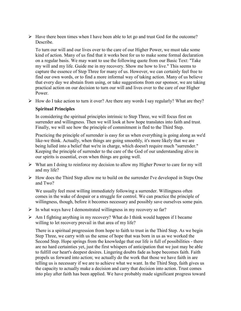$\triangleright$  Have there been times when I have been able to let go and trust God for the outcome? **Describe** 

To turn our will and our lives over to the care of our Higher Power, we must take some kind of action. Many of us find that it works best for us to make some formal declaration on a regular basis. We may want to use the following quote from our Basic Text: "Take my will and my life. Guide me in my recovery. Show me how to live." This seems to capture the essence of Step Three for many of us. However, we can certainly feel free to find our own words, or to find a more informal way of taking action. Many of us believe that every day we abstain from using, or take suggestions from our sponsor, we are taking practical action on our decision to turn our will and lives over to the care of our Higher Power.

 $\triangleright$  How do I take action to turn it over? Are there any words I say regularly? What are they?

#### **Spiritual Principles**

In considering the spiritual principles intrinsic to Step Three, we will focus first on surrender and willingness. Then we will look at how hope translates into faith and trust. Finally, we will see how the principle of commitment is fled to the Third Step.

Practicing the principle of surrender is easy for us when everything is going along as we'd like-we think. Actually, when things are going smoothly, it's more likely that we are being lulled into a belief that we're in charge, which doesn't require much "surrender." Keeping the principle of surrender to the care of the God of our understanding alive in our spirits is essential, even when things are going well.

- $\triangleright$  What am I doing to reinforce my decision to allow my Higher Power to care for my will and my life?
- $\triangleright$  How does the Third Step allow me to build on the surrender I've developed in Steps One and Two?

We usually feel most willing immediately following a surrender. Willingness often comes in the wake of despair or a struggle for control. We can practice the principle of willingness, though, before it becomes necessary and possibly save ourselves some pain.

- $\triangleright$  In what ways have I demonstrated willingness in my recovery so far?
- $\triangleright$  Am I fighting anything in my recovery? What do I think would happen if I became willing to let recovery prevail in that area of my life?

There is a spiritual progression from hope to faith to trust in the Third Step. As we begin Step Three, we carry with us the sense of hope that was born in us as we worked the Second Step. Hope springs from the knowledge that our life is full of possibilities - there are no hard certainties yet, just the first whispers of anticipation that we just may be able to fulfill our heart's deepest desires. Lingering doubts fade as hope becomes faith. Faith propels us forward into action; we actually do the work that those we have faith in are telling us is necessary if we are to achieve what we want. In the Third Step, faith gives us the capacity to actually make a decision and carry that decision into action. Trust comes into play after faith has been applied. We have probably made significant progress toward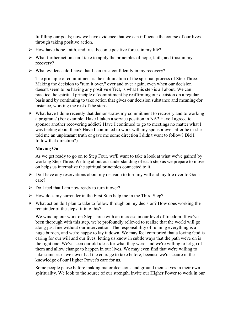fulfilling our goals; now we have evidence that we can influence the course of our lives through taking positive action.

- $\triangleright$  How have hope, faith, and trust become positive forces in my life?
- $\triangleright$  What further action can I take to apply the principles of hope, faith, and trust in my recovery?
- $\triangleright$  What evidence do I have that I can trust confidently in my recovery?

The principle of commitment is the culmination of the spiritual process of Step Three. Making the decision to "turn it over," over and over again, even when our decision doesn't seem to be having any positive effect, is what this step is all about. We can practice the spiritual principle of commitment by reaffirming our decision on a regular basis and by continuing to take action that gives our decision substance and meaning-for instance, working the rest of the steps.

 $\triangleright$  What have I done recently that demonstrates my commitment to recovery and to working a program? (For example: Have I taken a service position in NA? Have I agreed to sponsor another recovering addict? Have I continued to go to meetings no matter what I was feeling about them? Have I continued to work with my sponsor even after he or she told me an unpleasant truth or gave me some direction I didn't want to follow? Did I follow that direction?)

#### **Moving On**

As we get ready to go on to Step Four, we'll want to take a look at what we've gained by working Step Three. Writing about our understanding of each step as we prepare to move on helps us internalize the spiritual principles connected to it.

- $\triangleright$  Do I have any reservations about my decision to turn my will and my life over to God's care?
- $\triangleright$  Do I feel that I am now ready to turn it over?
- $\triangleright$  How does my surrender in the First Step help me in the Third Step?
- $\triangleright$  What action do I plan to take to follow through on my decision? How does working the remainder of the steps fit into this?

We wind up our work on Step Three with an increase in our level of freedom. If we've been thorough with this step, we're profoundly relieved to realize that the world will go along just fine without our intervention. The responsibility of running everything is a huge burden, and we're happy to lay it down. We may feel comforted that a loving God is caring for our will and our lives, letting us know in subtle ways that the path we're on is the right one. We've seen our old ideas for what they were, and we're willing to let go of them and allow change to happen in our lives. We may even find that we're willing to take some risks we never had the courage to take before, because we're secure in the knowledge of our Higher Power's care for us.

Some people pause before making major decisions and ground themselves in their own spirituality. We look to the source of our strength, invite our Higher Power to work in our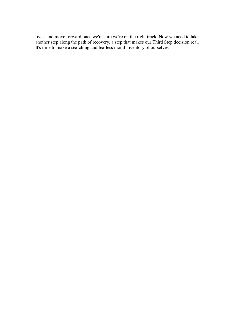lives, and move forward once we're sure we're on the right track. Now we need to take another step along the path of recovery, a step that makes our Third Step decision real. It's time to make a searching and fearless moral inventory of ourselves.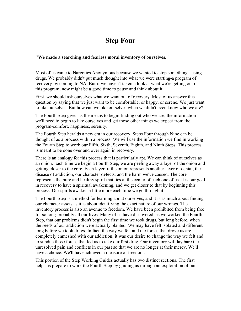## **Step Four**

#### **"We made a searching and fearless moral inventory of ourselves."**

Most of us came to Narcotics Anonymous because we wanted to stop something - using drugs. We probably didn't put much thought into what we were starting-a program of recovery-by coming to NA. But if we haven't taken a look at what we're getting out of this program, now might be a good time to pause and think about it.

First, we should ask ourselves what we want out of recovery. Most of us answer this question by saying that we just want to be comfortable, or happy, or serene. We just want to like ourselves. But how can we like ourselves when we didn't even know who we are?

The Fourth Step gives us the means to begin finding out who we are, the information we'll need to begin to like ourselves and get those other things we expect from the program-comfort, happiness, serenity.

The Fourth Step heralds a new era in our recovery. Steps Four through Nine can be thought of as a process within a process. We will use the information we find in working the Fourth Step to work our Fifth, Sixth, Seventh, Eighth, and Ninth Steps. This process is meant to be done over and over again in recovery.

There is an analogy for this process that is particularly apt. We can think of ourselves as an onion. Each time we begin a Fourth Step, we are peeling away a layer of the onion and getting closer to the core. Each layer of the onion represents another layer of denial, the disease of addiction, our character defects, and the harm we've caused. The core represents the pure and healthy spirit that lies at the center of each one of us. It is our goal in recovery to have a spiritual awakening, and we get closer to that by beginning this process. Our spirits awaken a little more each time we go through it.

The Fourth Step is a method for learning about ourselves, and it is as much about finding our character assets as it is about identifying the exact nature of our wrongs. The inventory process is also an avenue to freedom. We have been prohibited from being free for so long-probably all our lives. Many of us have discovered, as we worked the Fourth Step, that our problems didn't begin the first time we took drugs, but long before, when the seeds of our addiction were actually planted. We may have felt isolated and different long before we took drugs. In fact, the way we felt and the forces that drove us are completely enmeshed with our addiction; it was our desire to change the way we felt and to subdue those forces that led us to take our first drug. Our inventory will lay bare the unresolved pain and conflicts in our past so that we are no longer at their mercy. We'll have a choice. We'll have achieved a measure of freedom.

This portion of the Step Working Guides actually has two distinct sections. The first helps us prepare to work the Fourth Step by guiding us through an exploration of our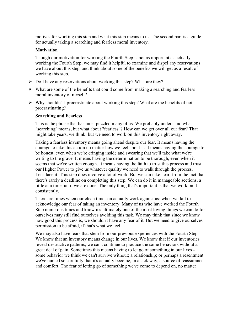motives for working this step and what this step means to us. The second part is a guide for actually taking a searching and fearless moral inventory.

#### **Motivation**

Though our motivation for working the Fourth Step is not as important as actually working the Fourth Step, we may find it helpful to examine and dispel any reservations we have about this step, and think about some of the benefits we will get as a result of working this step.

- $\triangleright$  Do I have any reservations about working this step? What are they?
- $\triangleright$  What are some of the benefits that could come from making a searching and fearless moral inventory of myself?
- $\triangleright$  Why shouldn't I procrastinate about working this step? What are the benefits of not procrastinating?

#### **Searching and Fearless**

This is the phrase that has most puzzled many of us. We probably understand what "searching" means, but what about "fearless"? How can we get over all our fear? That might take years, we think; but we need to work on this inventory right away.

Taking a fearless inventory means going ahead despite our fear. It means having the courage to take this action no matter how we feel about it. It means having the courage to be honest, even when we're cringing inside and swearing that we'll take what we're writing to the grave. It means having the determination to be thorough, even when it seems that we've written enough. It means having the faith to trust this process and trust our Higher Power to give us whatever quality we need to walk through the process. Let's face it: This step does involve a lot of work. But we can take heart from the fact that there's rarely a deadline on completing this step. We can do it in manageable sections, a little at a time, until we are done. The only thing that's important is that we work on it consistently.

There are times when our clean time can actually work against us: when we fail to acknowledge our fear of taking an inventory. Many of us who have worked the Fourth Step numerous times and know it's ultimately one of the most loving things we can do for ourselves may still find ourselves avoiding this task. We may think that since we know how good this process is, we shouldn't have any fear of it. But we need to give ourselves permission to be afraid, if that's what we feel.

We may also have fears that stem from our previous experiences with the Fourth Step. We know that an inventory means change in our lives. We know that if our inventories reveal destructive patterns, we can't continue to practice the same behaviors without a great deal of pain. Sometimes this means having to let go of something in our lives some behavior we think we can't survive without; a relationship; or perhaps a resentment we've nursed so carefully that it's actually become, in a sick way, a source of reassurance and comfort. The fear of letting go of something we've come to depend on, no matter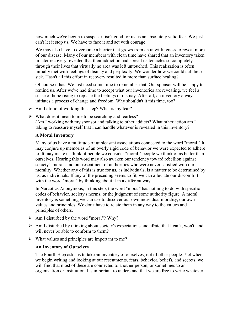how much we've begun to suspect it isn't good for us, is an absolutely valid fear. We just can't let it stop us. We have to face it and act with courage.

We may also have to overcome a barrier that grows from an unwillingness to reveal more of our disease. Many of our members with clean time have shared that an inventory taken in later recovery revealed that their addiction had spread its tentacles so completely through their lives that virtually no area was left untouched. This realization is often initially met with feelings of dismay and perplexity. We wonder how we could still be so sick. Hasn't all this effort in recovery resulted in more than surface healing?

Of course it has. We just need some time to remember that. Our sponsor will be happy to remind us. After we've had time to accept what our inventories are revealing, we feel a sense of hope rising to replace the feelings of dismay. After all, an inventory always initiates a process of change and freedom. Why shouldn't it this time, too?

- $\triangleright$  Am I afraid of working this step? What is my fear?
- $\triangleright$  What does it mean to me to be searching and fearless? (Am I working with my sponsor and talking to other addicts? What other action am I taking to reassure myself that I can handle whatever is revealed in this inventory?

#### **A Moral Inventory**

Many of us have a multitude of unpleasant associations connected to the word "moral." It may conjure up memories of an overly rigid code of behavior we were expected to adhere to. It may make us think of people we consider "moral," people we think of as better than ourselves. Hearing this word may also awaken our tendency toward rebellion against society's morals and our resentment of authorities who were never satisfied with our morality. Whether any of this is true for us, as individuals, is a matter to be determined by us, as individuals. If any of the preceding seems to fit, we can alleviate our discomfort with the word "moral" by thinking about it in a different way.

In Narcotics Anonymous, in this step, the word "moral" has nothing to do with specific codes of behavior, society's norms, or the judgment of some authority figure. A moral inventory is something we can use to discover our own individual morality, our own values and principles. We don't have to relate them in any way to the values and principles of others.

- $\triangleright$  Am I disturbed by the word "moral"? Why?
- $\triangleright$  Am I disturbed by thinking about society's expectations and afraid that I can't, won't, and will never be able to conform to them?
- $\triangleright$  What values and principles are important to me?

#### **An Inventory of Ourselves**

The Fourth Step asks us to take an inventory of ourselves, not of other people. Yet when we begin writing and looking at our resentments, fears, behavior, beliefs, and secrets, we will find that most of these are connected to another person, or sometimes to an organization or institution. It's important to understand that we are free to write whatever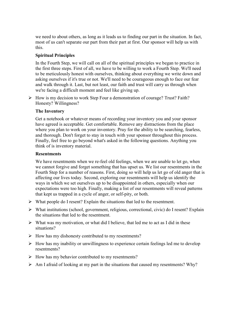we need to about others, as long as it leads us to finding our part in the situation. In fact, most of us can't separate our part from their part at first. Our sponsor will help us with this.

#### **Spiritual Principles**

In the Fourth Step, we will call on all of the spiritual principles we began to practice in the first three steps. First of all, we have to be willing to work a Fourth Step. We'll need to be meticulously honest with ourselves, thinking about everything we write down and asking ourselves if it's true or not. We'll need to be courageous enough to face our fear and walk through it. Last, but not least, our faith and trust will carry us through when we're facing a difficult moment and feel like giving up.

 $\triangleright$  How is my decision to work Step Four a demonstration of courage? Trust? Faith? Honesty? Willingness?

#### **The Inventory**

Get a notebook or whatever means of recording your inventory you and your sponsor have agreed is acceptable. Get comfortable. Remove any distractions from the place where you plan to work on your inventory. Pray for the ability to be searching, fearless, and thorough. Don't forget to stay in touch with your sponsor throughout this process. Finally, feel free to go beyond what's asked in the following questions. Anything you think of is inventory material.

#### **Resentments**

We have resentments when we re-feel old feelings, when we are unable to let go, when we cannot forgive and forget something that has upset us. We list our resentments in the Fourth Step for a number of reasons. First, doing so will help us let go of old anger that is affecting our lives today. Second, exploring our resentments will help us identify the ways in which we set ourselves up to be disappointed in others, especially when our expectations were too high. Finally, making a list of our resentments will reveal patterns that kept us trapped in a cycle of anger, or self-pity, or both.

- $\triangleright$  What people do I resent? Explain the situations that led to the resentment.
- What institutions (school, government, religious, correctional, civic) do I resent? Explain the situations that led to the resentment.
- $\triangleright$  What was my motivation, or what did I believe, that led me to act as I did in these situations?
- $\triangleright$  How has my dishonesty contributed to my resentments?
- $\triangleright$  How has my inability or unwillingness to experience certain feelings led me to develop resentments?
- $\triangleright$  How has my behavior contributed to my resentments?
- $\triangleright$  Am I afraid of looking at my part in the situations that caused my resentments? Why?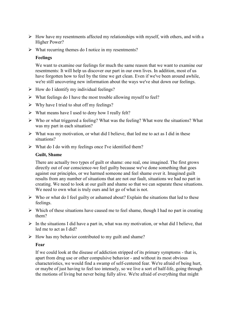- $\triangleright$  How have my resentments affected my relationships with myself, with others, and with a Higher Power?
- $\triangleright$  What recurring themes do I notice in my resentments?

#### **Feelings**

We want to examine our feelings for much the same reason that we want to examine our resentments: It will help us discover our part in our own lives. In addition, most of us have forgotten how to feel by the time we get clean. Even if we've been around awhile, we're still uncovering new information about the ways we've shut down our feelings.

- $\triangleright$  How do I identify my individual feelings?
- $\triangleright$  What feelings do I have the most trouble allowing myself to feel?
- $\triangleright$  Why have I tried to shut off my feelings?
- $\triangleright$  What means have I used to deny how I really felt?
- $\triangleright$  Who or what triggered a feeling? What was the feeling? What were the situations? What was my part in each situation?
- $\triangleright$  What was my motivation, or what did I believe, that led me to act as I did in these situations?
- $\triangleright$  What do I do with my feelings once I've identified them?

#### **Guilt, Shame**

There are actually two types of guilt or shame: one real, one imagined. The first grows directly out of our conscience-we feel guilty because we've done something that goes against our principles, or we harmed someone and feel shame over it. Imagined guilt results from any number of situations that are not our fault, situations we had no part in creating. We need to look at our guilt and shame so that we can separate these situations. We need to own what is truly ours and let go of what is not.

- $\triangleright$  Who or what do I feel guilty or ashamed about? Explain the situations that led to these feelings.
- $\triangleright$  Which of these situations have caused me to feel shame, though I had no part in creating them?
- $\triangleright$  In the situations I did have a part in, what was my motivation, or what did I believe, that led me to act as I did?
- $\triangleright$  How has my behavior contributed to my guilt and shame?

#### **Fear**

If we could look at the disease of addiction stripped of its primary symptoms - that is, apart from drug use or other compulsive behavior - and without its most obvious characteristics, we would find a swamp of self-centered fear. We're afraid of being hurt, or maybe of just having to feel too intensely, so we live a sort of half-life, going through the motions of living but never being fully alive. We're afraid of everything that might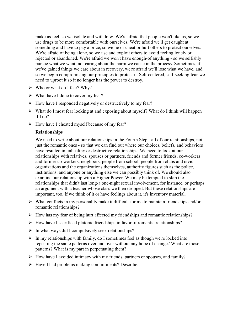make us feel, so we isolate and withdraw. We're afraid that people won't like us, so we use drugs to be more comfortable with ourselves. We're afraid we'll get caught at something and have to pay a price, so we lie or cheat or hurt others to protect ourselves. We're afraid of being alone, so we use and exploit others to avoid feeling lonely or rejected or abandoned. We're afraid we won't have enough-of anything - so we selfishly pursue what we want, not caring about the harm we cause in the process. Sometimes, if we've gained things we care about in recovery, we're afraid we'll lose what we have, and so we begin compromising our principles to protect it. Self-centered, self-seeking fear-we need to uproot it so it no longer has the power to destroy.

- $\triangleright$  Who or what do I fear? Why?
- $\triangleright$  What have I done to cover my fear?
- $\triangleright$  How have I responded negatively or destructively to my fear?
- $\triangleright$  What do I most fear looking at and exposing about myself? What do I think will happen if I do?
- $\triangleright$  How have I cheated myself because of my fear?

#### **Relationships**

We need to write about our relationships in the Fourth Step - all of our relationships, not just the romantic ones - so that we can find out where our choices, beliefs, and behaviors have resulted in unhealthy or destructive relationships. We need to look at our relationships with relatives, spouses or partners, friends and former friends, co-workers and former co-workers, neighbors, people from school, people from clubs and civic organizations and the organizations themselves, authority figures such as the police, institutions, and anyone or anything else we can possibly think of. We should also examine our relationship with a Higher Power. We may be tempted to skip the relationships that didn't last long-a one-night sexual involvement, for instance, or perhaps an argument with a teacher whose class we then dropped. But these relationships are important, too. If we think of it or have feelings about it, it's inventory material.

- $\triangleright$  What conflicts in my personality make it difficult for me to maintain friendships and/or romantic relationships?
- $\triangleright$  How has my fear of being hurt affected my friendships and romantic relationships?
- $\triangleright$  How have I sacrificed platonic friendships in favor of romantic relationships?
- $\triangleright$  In what ways did I compulsively seek relationships?
- $\triangleright$  In my relationships with family, do I sometimes feel as though we're locked into repeating the same patterns over and over without any hope of change? What are those patterns? What is my part in perpetuating them?
- $\triangleright$  How have I avoided intimacy with my friends, partners or spouses, and family?
- $\triangleright$  Have I had problems making commitments? Describe.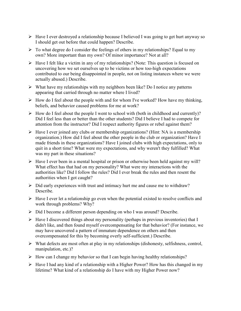- Have I ever destroyed a relationship because I believed I was going to get hurt anyway so I should get out before that could happen? Describe.
- $\triangleright$  To what degree do I consider the feelings of others in my relationships? Equal to my own? More important than my own? Of minor importance? Not at all?
- $\triangleright$  Have I felt like a victim in any of my relationships? (Note: This question is focused on uncovering how we set ourselves up to be victims or how too-high expectations contributed to our being disappointed in people, not on listing instances where we were actually abused.) Describe.
- $\triangleright$  What have my relationships with my neighbors been like? Do I notice any patterns appearing that carried through no matter where I lived?
- $\triangleright$  How do I feel about the people with and for whom I've worked? How have my thinking, beliefs, and behavior caused problems for me at work?
- $\triangleright$  How do I feel about the people I went to school with (both in childhood and currently)? Did I feel less than or better than the other students? Did I believe I had to compete for attention from the instructor? Did I respect authority figures or rebel against them?
- $\triangleright$  Have I ever joined any clubs or membership organizations? (Hint: NA is a membership organization.) How did I feel about the other people in the club or organization? Have I made friends in these organizations? Have I joined clubs with high expectations, only to quit in a short time? What were my expectations, and why weren't they fulfilled? What was my part in these situations?
- $\triangleright$  Have I ever been in a mental hospital or prison or otherwise been held against my will? What effect has that had on my personality? What were my interactions with the authorities like? Did I follow the rules? Did I ever break the rules and then resent the authorities when I got caught?
- $\triangleright$  Did early experiences with trust and intimacy hurt me and cause me to withdraw? Describe.
- $\triangleright$  Have I ever let a relationship go even when the potential existed to resolve conflicts and work through problems? Why?
- $\triangleright$  Did I become a different person depending on who I was around? Describe.
- $\triangleright$  Have I discovered things about my personality (perhaps in previous inventories) that I didn't like, and then found myself overcompensating for that behavior? (For instance, we may have uncovered a pattern of immature dependence on others and then overcompensated for this by becoming overly self-sufficient.) Describe.
- $\triangleright$  What defects are most often at play in my relationships (dishonesty, selfishness, control, manipulation, etc.)?
- $\triangleright$  How can I change my behavior so that I can begin having healthy relationships?
- $\triangleright$  Have I had any kind of a relationship with a Higher Power? How has this changed in my lifetime? What kind of a relationship do I have with my Higher Power now?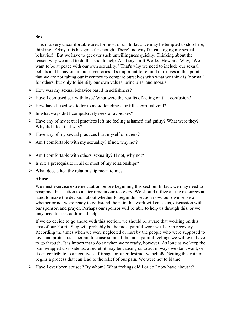#### **Sex**

This is a very uncomfortable area for most of us. In fact, we may be tempted to stop here, thinking, "Okay, this has gone far enough! There's no way I'm cataloging my sexual behavior!" But we have to get over such unwillingness quickly. Thinking about the reason why we need to do this should help. As it says in It Works: How and Why, "We want to be at peace with our own sexuality." That's why we need to include our sexual beliefs and behaviors in our inventories. It's important to remind ourselves at this point that we are not taking our inventory to compare ourselves with what we think is "normal" for others, but only to identify our own values, principles, and morals.

- $\triangleright$  How was my sexual behavior based in selfishness?
- $\triangleright$  Have I confused sex with love? What were the results of acting on that confusion?
- $\triangleright$  How have I used sex to try to avoid loneliness or fill a spiritual void?
- $\triangleright$  In what ways did I compulsively seek or avoid sex?
- $\triangleright$  Have any of my sexual practices left me feeling ashamed and guilty? What were they? Why did I feel that way?
- $\triangleright$  Have any of my sexual practices hurt myself or others?
- $\triangleright$  Am I comfortable with my sexuality? If not, why not?
- $\triangleright$  Am I comfortable with others' sexuality? If not, why not?
- $\triangleright$  Is sex a prerequisite in all or most of my relationships?
- $\triangleright$  What does a healthy relationship mean to me?

#### **Abuse**

We must exercise extreme caution before beginning this section. In fact, we may need to postpone this section to a later time in our recovery. We should utilize all the resources at hand to make the decision about whether to begin this section now: our own sense of whether or not we're ready to withstand the pain this work will cause us, discussion with our sponsor, and prayer. Perhaps our sponsor will be able to help us through this, or we may need to seek additional help.

If we do decide to go ahead with this section, we should be aware that working on this area of our Fourth Step will probably be the most painful work we'll do in recovery. Recording the times when we were neglected or hurt by the people who were supposed to love and protect us is certain to cause some of the most painful feelings we will ever have to go through. It is important to do so when we re ready, however. As long as we keep the pain wrapped up inside us, a secret, it may be causing us to act in ways we don't want, or it can contribute to a negative self-image or other destructive beliefs. Getting the truth out begins a process that can lead to the relief of our pain. We were not to blame.

 $\triangleright$  Have I ever been abused? By whom? What feelings did I or do I now have about it?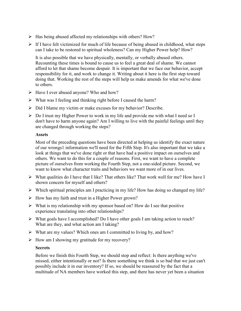- $\triangleright$  Has being abused affected my relationships with others? How?
- $\triangleright$  If I have felt victimized for much of life because of being abused in childhood, what steps can I take to be restored to spiritual wholeness? Can my Higher Power help? How?

It is also possible that we have physically, mentally, or verbally abused others. Recounting these times is bound to cause us to feel a great deal of shame. We cannot afford to let that shame become despair. It is important that we face our behavior, accept responsibility for it, and work to change it. Writing about it here is the first step toward doing that. Working the rest of the steps will help us make amends for what we've done to others.

- $\triangleright$  Have I ever abused anyone? Who and how?
- $\triangleright$  What was I feeling and thinking right before I caused the harm?
- $\triangleright$  Did I blame my victim or make excuses for my behavior? Describe.
- Do I trust my Higher Power to work in my life and provide me with what I need so I don't have to harm anyone again? Am I willing to live with the painful feelings until they are changed through working the steps?

#### **Assets**

Most of the preceding questions have been directed at helping us identify the exact nature of our wrongs1 information we'll need for the Fifth Step. It's also important that we take a look at things that we've done right or that have had a positive impact on ourselves and others. We want to do this for a couple of reasons. First, we want to have a complete picture of ourselves from working the Fourth Step, not a one-sided picture. Second, we want to know what character traits and behaviors we want more of in our lives.

- $\triangleright$  What qualities do I have that I like? That others like? That work well for me? How have I shown concern for myself and others?
- $\triangleright$  Which spiritual principles am I practicing in my life? How has doing so changed my life?
- $\triangleright$  How has my faith and trust in a Higher Power grown?
- $\triangleright$  What is my relationship with my sponsor based on? How do I see that positive experience translating into other relationships?
- $\triangleright$  What goals have I accomplished? Do I have other goals I am taking action to reach? What are they, and what action am I taking?
- $\triangleright$  What are my values? Which ones am I committed to living by, and how?
- $\triangleright$  How am I showing my gratitude for my recovery?

#### **Secrets**

Before we finish this Fourth Step, we should stop and reflect: Is there anything we've missed, either intentionally or not? Is there something we think is so bad that we just can't possibly include it in our inventory? If so, we should be reassured by the fact that a multitude of NA members have worked this step, and there has never yet been a situation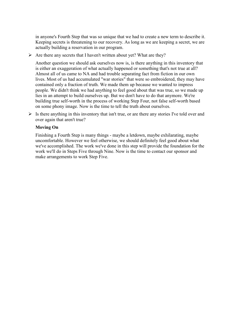in anyone's Fourth Step that was so unique that we had to create a new term to describe it. Keeping secrets is threatening to our recovery. As long as we are keeping a secret, we are actually building a reservation in our program.

 $\triangleright$  Are there any secrets that I haven't written about yet? What are they?

Another question we should ask ourselves now is, is there anything in this inventory that is either an exaggeration of what actually happened or something that's not true at all? Almost all of us came to NA and had trouble separating fact from fiction in our own lives. Most of us had accumulated "war stories" that were so embroidered, they may have contained only a fraction of truth. We made them up because we wanted to impress people. We didn't think we had anything to feel good about that was true, so we made up lies in an attempt to build ourselves up. But we don't have to do that anymore. We're building true self-worth in the process of working Step Four, not false self-worth based on some phony image. Now is the time to tell the truth about ourselves.

 $\triangleright$  Is there anything in this inventory that isn't true, or are there any stories I've told over and over again that aren't true?

#### **Moving On**

Finishing a Fourth Step is many things - maybe a letdown, maybe exhilarating, maybe uncomfortable. However we feel otherwise, we should definitely feel good about what we've accomplished. The work we've done in this step will provide the foundation for the work we'll do in Steps Five through Nine. Now is the time to contact our sponsor and make arrangements to work Step Five.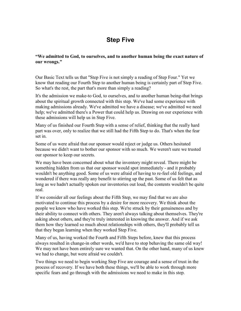# **Step Five**

### **"We admitted to God, to ourselves, and to another human being the exact nature of our wrongs."**

Our Basic Text tells us that "Step Five is not simply a reading of Step Four." Yet we know that reading our Fourth Step to another human being is certainly part of Step Five. So what's the rest, the part that's more than simply a reading?

It's the admission we make-to God, to ourselves, and to another human being-that brings about the spiritual growth connected with this step. We've had some experience with making admissions already. We've admitted we have a disease; we've admitted we need help; we've admitted there's a Power that could help us. Drawing on our experience with these admissions will help us in Step Five.

Many of us finished our Fourth Step with a sense of relief, thinking that the really hard part was over, only to realize that we still had the Fifth Step to do. That's when the fear set in.

Some of us were afraid that our sponsor would reject or judge us. Others hesitated because we didn't want to bother our sponsor with so much. We weren't sure we trusted our sponsor to keep our secrets.

We may have been concerned about what the inventory might reveal. There might be something hidden from us that our sponsor would spot immediately - and it probably wouldn't be anything good. Some of us were afraid of having to re-feel old feelings, and wondered if there was really any benefit to stirring up the past. Some of us felt that as long as we hadn't actually spoken our inventories out loud, the contents wouldn't be quite real.

If we consider all our feelings about the Fifth Step, we may find that we are also motivated to continue this process by a desire for more recovery. We think about the people we know who have worked this step. We're struck by their genuineness and by their ability to connect with others. They aren't always talking about themselves. They're asking about others, and they're truly interested in knowing the answer. And if we ask them how they learned so much about relationships with others, they'll probably tell us that they began learning when they worked Step Five.

Many of us, having worked the Fourth and Fifth Steps before, knew that this process always resulted in change-in other words, we'd have to stop behaving the same old way! We may not have been entirely sure we wanted that. On the other hand, many of us knew we had to change, but were afraid we couldn't.

Two things we need to begin working Step Five are courage and a sense of trust in the process of recovery. If we have both these things, we'll be able to work through more specific fears and go through with the admissions we need to make in this step.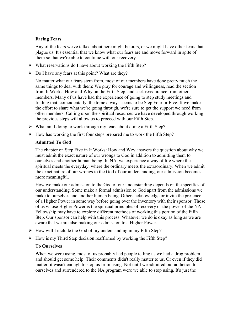## **Facing Fears**

Any of the fears we've talked about here might be ours, or we might have other fears that plague us. It's essential that we know what our fears are and move forward in spite of them so that we're able to continue with our recovery.

- $\triangleright$  What reservations do I have about working the Fifth Step?
- $\triangleright$  Do I have any fears at this point? What are they?

No matter what our fears stem from, most of our members have done pretty much the same things to deal with them: We pray for courage and willingness, read the section from It Works: How and Why on the Fifth Step, and seek reassurance from other members. Many of us have had the experience of going to step study meetings and finding that, coincidentally, the topic always seems to be Step Four or Five. If we make the effort to share what we're going through, we're sure to get the support we need from other members. Calling upon the spiritual resources we have developed through working the previous steps will allow us to proceed with our Fifth Step.

- $\triangleright$  What am I doing to work through my fears about doing a Fifth Step?
- $\triangleright$  How has working the first four steps prepared me to work the Fifth Step?

### **Admitted To God**

The chapter on Step Five in It Works: How and Wzy answers the question about why we must admit the exact nature of our wrongs to God in addition to admitting them to ourselves and another human being. In NA, we experience a way of life where the spiritual meets the everyday, where the ordinary meets the extraordinary. When we admit the exact nature of our wrongs to the God of our understanding, our admission becomes more meaningful.

How we make our admission to the God of our understanding depends on the specifics of our understanding. Some make a formal admission to God apart from the admissions we make to ourselves and another human being. Others acknowledge or invite the presence of a Higher Power in some way before going over the inventory with their sponsor. Those of us whose Higher Power is the spiritual principles of recovery or the power of the NA Fellowship may have to explore different methods of working this portion of the Fifth Step. Our sponsor can help with this process. Whatever we do is okay as long as we are aware that we are also making our admission to a Higher Power.

- $\triangleright$  How will I include the God of my understanding in my Fifth Step?
- $\triangleright$  How is my Third Step decision reaffirmed by working the Fifth Step?

## **To Ourselves**

When we were using, most of us probably had people telling us we had a drug problem and should get some help. Their comments didn't really matter to us. Or even if they did matter, it wasn't enough to stop us from using. Not until we admitted our addiction to ourselves and surrendered to the NA program were we able to stop using. It's just the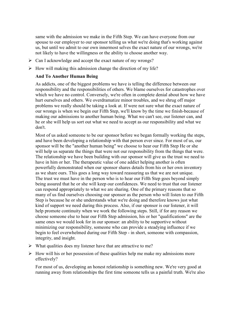same with the admission we make in the Fifth Step. We can have everyone from our spouse to our employer to our sponsor telling us what we're doing that's working against us, but until we admit to our own innermost selves the exact nature of our wrongs, we're not likely to have the willingness or the ability to choose another way.

- $\triangleright$  Can I acknowledge and accept the exact nature of my wrongs?
- $\triangleright$  How will making this admission change the direction of my life?

### **And To Another Human Being**

As addicts, one of the biggest problems we have is telling the difference between our responsibility and the responsibilities of others. We blame ourselves for catastrophes over which we have no control. Conversely, we're often in complete denial about how we have hurt ourselves and others. We overdramatize minor troubles, and we shrug off major problems we really should be taking a look at. If were not sure what the exact nature of our wrongs is when we begin our Fifth Step, we'll know by the time we finish-because of making our admissions to another human being. What we can't see, our listener can, and he or she will help us sort out what we need to accept as our responsibility and what we don't.

Most of us asked someone to be our sponsor before we began formally working the steps, and have been developing a relationship with that person ever since. For most of us, our sponsor will be the "another human being" we choose to hear our Fifth Step He or she will help us separate the things that were not our responsibility from the things that were. The relationship we have been building with our sponsor will give us the trust we need to have in him or her. The therapeutic value of one addict helping another is often powerfully demonstrated when our sponsor shares details from his or her own inventory as we share ours. This goes a long way toward reassuring us that we are not unique. The trust we must have in the person who is to hear our Fifth Step goes beyond simply being assured that he or she will keep our confidences. We need to trust that our listener can respond appropriately to what we are sharing. One of the primary reasons that so many of us find ourselves choosing our sponsor as the person who will listen to our Fifth Step is because he or she understands what we're doing and therefore knows just what kind of support we need during this process. Also, if our sponsor is our listener, it will help promote continuity when we work the following steps. Still, if for any reason we choose someone else to hear our Fifth Step admission, his or her "qualifications" are the same ones we would look for in our sponsor: an ability to be supportive without minimizing our responsibility, someone who can provide a steadying influence if we begin to feel overwhelmed during our Fifth Step - in short, someone with compassion, integrity, and insight.

- $\triangleright$  What qualities does my listener have that are attractive to me?
- $\triangleright$  How will his or her possession of these qualities help me make my admissions more effectively?

For most of us, developing an honest relationship is something new. We're very good at running away from relationships the first time someone tells us a painful truth. We're also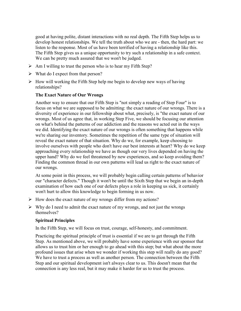good at having polite, distant interactions with no real depth. The Fifth Step helps us to develop honest relationships. We tell the truth about who we are - then, the hard part: we listen to the response. Most of us have been terrified of having a relationship like this. The Fifth Step gives us a unique opportunity to try such a relationship in a safe context. We can be pretty much assured that we won't be judged.

- $\triangleright$  Am I willing to trust the person who is to hear my Fifth Step?
- $\triangleright$  What do I expect from that person?
- $\triangleright$  How will working the Fifth Step help me begin to develop new ways of having relationships?

### **The Exact Nature of Our Wrongs**

Another way to ensure that our Fifth Step is "not simply a reading of Step Four" is to focus on what we are supposed to be admitting: the exact nature of our wrongs. There is a diversity of experience in our fellowship about what, precisely, is "the exact nature of our wrongs. Most of us agree that, in working Step Five, we should be focusing our attention on what's behind the patterns of our addiction and the reasons we acted out in the ways we did. Identifying the exact nature of our wrongs is often something that happens while we're sharing our inventory. Sometimes the repetition of the same type of situation will reveal the exact nature of that situation. Why do we, for example, keep choosing to involve ourselves with people who don't have our best interests at heart? Why do we keep approaching every relationship we have as though our very lives depended on having the upper hand? Why do we feel threatened by new experiences, and so keep avoiding them? Finding the common thread in our own patterns will lead us right to the exact nature of our wrongs.

At some point in this process, we will probably begin calling certain patterns of behavior our "character defects." Though it won't be until the Sixth Step that we begin an in-depth examination of how each one of our defects plays a role in keeping us sick, it certainly won't hurt to allow this knowledge to begin forming in us now.

- $\triangleright$  How does the exact nature of my wrongs differ from my actions?
- $\triangleright$  Why do I need to admit the exact nature of my wrongs, and not just the wrongs themselves?

### **Spiritual Principles**

In the Fifth Step, we will focus on trust, courage, self-honesty, and commitment.

Practicing the spiritual principle of trust is essential if we are to get through the Fifth Step. As mentioned above, we will probably have some experience with our sponsor that allows us to trust him or her enough to go ahead with this step; but what about the more profound issues that arise when we wonder if working this step will really do any good? We have to trust a process as well as another person. The connection between the Fifth Step and our spiritual development isn't always clear to us. This doesn't mean that the connection is any less real, but it may make it harder for us to trust the process.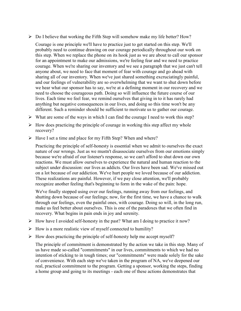$\triangleright$  Do I believe that working the Fifth Step will somehow make my life better? How?

Courage is one principle we'll have to practice just to get started on this step. We'll probably need to continue drawing on our courage periodically throughout our work on this step. When we replace the phone on its hook just as we are about to call our sponsor for an appointment to make our admissions, we're feeling fear and we need to practice courage. When we're sharing our inventory and we see a paragraph that we just can't tell anyone about, we need to face that moment of fear with courage and go ahead with sharing all of our inventory. When we've just shared something excruciatingly painful, and our feelings of vulnerability are so overwhelming that we want to shut down before we hear what our sponsor has to say, we're at a defining moment in our recovery and we need to choose the courageous path. Doing so will influence the future course of our lives. Each time we feel fear, we remind ourselves that giving in to it has rarely had anything but negative consequences in our lives, and doing so this time won't be any different. Such a reminder should be sufficient to motivate us to gather our courage.

- $\triangleright$  What are some of the ways in which I can find the courage I need to work this step?
- $\triangleright$  How does practicing the principle of courage in working this step affect my whole recovery?
- $\triangleright$  Have I set a time and place for my Fifth Step? When and where?

Practicing the principle of self-honesty is essential when we admit to ourselves the exact nature of our wrongs. Just as we mustn't disassociate ourselves from our emotions simply because we're afraid of our listener's response, so we can't afford to shut down our own reactions. We must allow ourselves to experience the natural and human reaction to the subject under discussion: our lives as addicts. Our lives have been sad. We've missed out on a lot because of our addiction. We've hurt people we loved because of our addiction. These realizations are painful. However, if we pay close attention, we'll probably recognize another feeling that's beginning to form in the wake of the pain: hope.

We've finally stopped using over our feelings, running away from our feelings, and shutting down because of our feelings; now, for the first time, we have a chance to walk through our feelings, even the painful ones, with courage. Doing so will, in the long run, make us feel better about ourselves. This is one of the paradoxes that we often find in recovery. What begins in pain ends in joy and serenity.

- $\triangleright$  How have I avoided self-honesty in the past? What am I doing to practice it now?
- $\triangleright$  How is a more realistic view of myself connected to humility?
- $\triangleright$  How does practicing the principle of self-honesty help me accept myself?

The principle of commitment is demonstrated by the action we take in this step. Many of us have made so-called "commitments" in our lives, commitments to which we had no intention of sticking to in tough times; our "commitments" were made solely for the sake of convenience. With each step we've taken in the program of NA, we've deepened our real, practical commitment to the program. Getting a sponsor, working the steps, finding a home group and going to its meetings - each one of these actions demonstrates that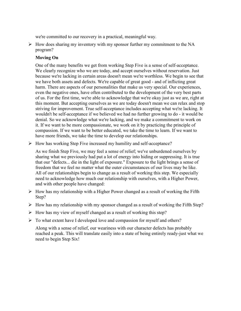we're committed to our recovery in a practical, meaningful way.

 $\triangleright$  How does sharing my inventory with my sponsor further my commitment to the NA program?

## **Moving On**

One of the many benefits we get from working Step Five is a sense of self-acceptance. We clearly recognize who we are today, and accept ourselves without reservation. Just because we're lacking in certain areas doesn't mean we're worthless. We begin to see that we have both assets and defects. We're capable of great good - and of inflicting great harm. There are aspects of our personalities that make us very special. Our experiences, even the negative ones, have often contributed to the development of the very best parts of us. For the first time, we're able to acknowledge that we're okay just as we are, right at this moment. But accepting ourselves as we are today doesn't mean we can relax and stop striving for improvement. True self-acceptance includes accepting what we're lacking. It wouldn't be self-acceptance if we believed we had no further growing to do - it would be denial. So we acknowledge what we're lacking, and we make a commitment to work on it. If we want to be more compassionate, we work on it by practicing the principle of compassion. If we want to be better educated, we take the time to learn. If we want to have more friends, we take the time to develop our relationships.

 $\triangleright$  How has working Step Five increased my humility and self-acceptance?

As we finish Step Five, we may feel a sense of relief; we've unburdened ourselves by sharing what we previously had put a lot of energy into hiding or suppressing. It is true that our "defects... die in the light of exposure." Exposure to the light brings a sense of freedom that we feel no matter what the outer circumstances of our lives may be like. All of our relationships begin to change as a result of working this step. We especially need to acknowledge how much our relationship with ourselves, with a Higher Power, and with other people have changed:

- $\triangleright$  How has my relationship with a Higher Power changed as a result of working the Fifth Step?
- $\triangleright$  How has my relationship with my sponsor changed as a result of working the Fifth Step?
- $\triangleright$  How has my view of myself changed as a result of working this step?
- $\triangleright$  To what extent have I developed love and compassion for myself and others?

Along with a sense of relief, our weariness with our character defects has probably reached a peak. This will translate easily into a state of being entirely ready-just what we need to begin Step Six!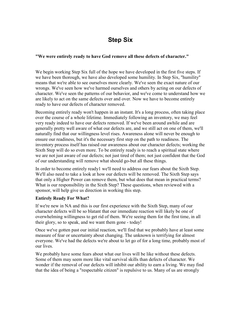# **Step Six**

### **"We were entirely ready to have God remove all these defects of character."**

We begin working Step Six full of the hope we have developed in the first five steps. If we have been thorough, we have also developed some humility. In Step Six, "humility" means that we're able to see ourselves more clearly. We've seen the exact nature of our wrongs. We've seen how we've harmed ourselves and others by acting on our defects of character. We've seen the patterns of our behavior, and we've come to understand how we are likely to act on the same defects over and over. Now we have to become entirely ready to have our defects of character removed.

Becoming entirely ready won't happen in an instant. It's a long process, often taking place over the course of a whole lifetime. Immediately following an inventory, we may feel very ready indeed to have our defects removed. If we've been around awhile and are generally pretty well aware of what our defects are, and we still act on one of them, we'll naturally find that our willingness level rises. Awareness alone will never be enough to ensure our readiness, but it's the necessary first step on the path to readiness. The inventory process itself has raised our awareness about our character defects; working the Sixth Step will do so even more. To be entirely ready is to reach a spiritual state where we are not just aware of our defects; not just tired of them; not just confident that the God of our understanding will remove what should go-but all these things.

In order to become entirely ready1 we'll need to address our fears about the Sixth Step. We'll also need to take a look at how our defects will be removed. The Sixth Step says that only a Higher Power can remove them, but what does that mean in practical terms? What is our responsibility in the Sixth Step? These questions, when reviewed with a sponsor, will help give us direction in working this step.

### **Entirely Ready For What?**

If we're new in NA and this is our first experience with the Sixth Step, many of our character defects will be so blatant that our immediate reaction will likely be one of overwhelming willingness to get rid of them. We're seeing them for the first time, in all their glory, so to speak, and we want them gone - today!

Once we've gotten past our initial reaction, we'll find that we probably have at least some measure of fear or uncertainty about changing. The unknown is terrifying for almost everyone. We've had the defects we're about to let go of for a long time, probably most of our lives.

We probably have some fears about what our lives will be like without these defects. Some of them may seem more like vital survival skills than defects of character. We wonder if the removal of our defects will inhibit our ability to earn a living. We may find that the idea of being a "respectable citizen" is repulsive to us. Many of us are strongly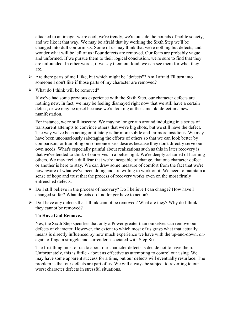attached to an image -we're cool, we're trendy, we're outside the bounds of polite society, and we like it that way. We may be afraid that by working the Sixth Step we'll be changed into dull conformists. Some of us may think that we're nothing but defects, and wonder what will be left of us if our defects are removed. Our fears are probably vague and unformed. If we pursue them to their logical conclusion, we're sure to find that they are unfounded. In other words, if we say them out loud, we can see them for what they are.

- $\triangleright$  Are there parts of me I like, but which might be "defects"? Am I afraid I'll turn into someone I don't like if those parts of my character are removed?
- $\triangleright$  What do I think will be removed?

If we've had some previous experience with the Sixth Step, our character defects are nothing new. In fact, we may be feeling dismayed right now that we still have a certain defect, or we may be upset because we're looking at the same old defect in a new manifestation.

For instance, we're still insecure. We may no longer run around indulging in a series of transparent attempts to convince others that we're big shots, but we still have the defect. The way we've been acting on it lately is far more subtle and far more insidious. We may have been unconsciously sabotaging the efforts of others so that we can look better by comparison, or trampling on someone else's desires because they don't directly serve our own needs. What's especially painful about realizations such as this in later recovery is that we've tended to think of ourselves in a better light. We're deeply ashamed of harming others. We may feel a dull fear that we're incapable of change, that one character defect or another is here to stay. We can draw some measure of comfort from the fact that we're now aware of what we've been doing and are willing to work on it. We need to maintain a sense of hope and trust that the process of recovery works even on the most firmly entrenched defects.

- Do I still believe in the process of recovery? Do I believe I can change? How have I changed so far? What defects do I no longer have to act on?
- $\triangleright$  Do I have any defects that I think cannot be removed? What are they? Why do I think they cannot be removed?

## **To Have God Remove..**.

Yes, the Sixth Step specifies that only a Power greater than ourselves can remove our defects of character. However, the extent to which most of us grasp what that actually means is directly influenced by how much experience we have with the up-and-down, onagain off-again struggle and surrender associated with Step Six.

The first thing most of us do about our character defects is decide not to have them. Unfortunately, this is futile - about as effective as attempting to control our using. We may have some apparent success for a time, but our defects will eventually resurface. The problem is that our defects are part of us. We will always be subject to reverting to our worst character defects in stressful situations.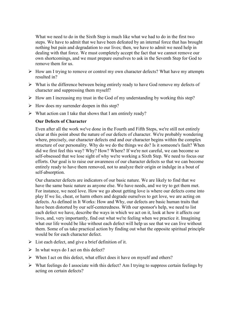What we need to do in the Sixth Step is much like what we had to do in the first two steps. We have to admit that we have been defeated by an internal force that has brought nothing but pain and degradation to our lives; then, we have to admit we need help in dealing with that force. We must completely accept the fact that we cannot remove our own shortcomings, and we must prepare ourselves to ask in the Seventh Step for God to remove them for us.

- $\triangleright$  How am I trying to remove or control my own character defects? What have my attempts resulted in?
- $\triangleright$  What is the difference between being entirely ready to have God remove my defects of character and suppressing them myself?
- $\triangleright$  How am I increasing my trust in the God of my understanding by working this step?
- $\triangleright$  How does my surrender deepen in this step?
- $\triangleright$  What action can I take that shows that I am entirely ready?

### **Our Defects of Character**

Even after all the work we've done in the Fourth and Fifth Steps, we're still not entirely clear at this point about the nature of our defects of character. We're probably wondering where, precisely, our character defects end and our character begins within the complex structure of our personality. Why do we do the things we do? Is it someone's fault? When did we first feel this way? Why? How? Where? If we're not careful, we can become so self-obsessed that we lose sight of why we're working a Sixth Step. We need to focus our efforts. Our goal is to raise our awareness of our character defects so that we can become entirely ready to have them removed, not to analyze their origin or indulge in a bout of self-absorption.

Our character defects are indicators of our basic nature. We are likely to find that we have the same basic nature as anyone else. We have needs, and we try to get them met. For instance, we need love. How we go about getting love is where our defects come into play If we lie, cheat, or harm others and degrade ourselves to get love, we are acting on defects. As defined in It Works: How and Why, our defects are basic human traits that have been distorted by our self-centeredness. With our sponsor's help, we need to list each defect we have, describe the ways in which we act on it, look at how it affects our lives, and, very importantly, find out what we're feeling when we practice it. Imagining what our life would be like without each defect will help us see that we can live without them. Some of us take practical action by finding out what the opposite spiritual principle would be for each character defect.

- $\triangleright$  List each defect, and give a brief definition of it.
- $\triangleright$  In what ways do I act on this defect?
- $\triangleright$  When I act on this defect, what effect does it have on myself and others?
- $\triangleright$  What feelings do I associate with this defect? Am I trying to suppress certain feelings by acting on certain defects?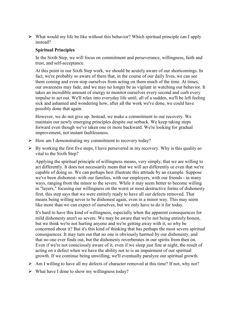$\triangleright$  What would my life be like without this behavior? Which spiritual principle can I apply instead?

### **Spiritual Principles**

In the Sixth Step, we will focus on commitment and perseverance, willingness, faith and trust, and self-acceptance.

At this point in our Sixth Step work, we should be acutely aware of our shortcomings. In fact, we're probably so aware of them that, in the course of our daily lives, we can see them coming and even stop ourselves from acting on them much of the time. At times, our awareness may fade, and we may no longer be as vigilant in watching our behavior. It takes an incredible amount of energy to monitor ourselves every second and curb every impulse to act out. We'll relax into everyday life until, all of a sudden, we'll be left feeling sick and ashamed and wondering how, after all the work we've done, we could have possibly done that again.

However, we do not give up. Instead, we make a commitment to our recovery. We maintain our newly emerging principles despite our setback. We keep taking steps forward even though we've taken one or more backward. We're looking for gradual improvement, not instant faultlessness.

- $\triangleright$  How am I demonstrating my commitment to recovery today?
- $\triangleright$  By working the first five steps, I have persevered in my recovery. Why is this quality so vital to the Sixth Step?

Applying the spiritual principle of willingness means, very simply, that we are willing to act differently. It does not necessarily mean that we will act differently or even that we're capable of doing so. We can perhaps best illustrate this attitude by an example. Suppose we've been dishonest- with our families, with our employers, with our friends - in many ways, ranging from the minor to the severe. While it may seem better to become willing in "layers," focusing our willingness on the worst or most destructive forms of dishonesty first, this step says that we were entirely ready to have all our defects removed. That means being willing never to be dishonest again, even in a minor way. This may seem like more than we can expect of ourselves, but we only have to do it for today.

It's hard to have this kind of willingness, especially when the apparent consequences for mild dishonesty aren't so severe. We may be aware that we're not being entirely honest, but we think we're not hurting anyone and we're getting away with it, so why be concerned about it? But it's this kind of thinking that has perhaps the most severe spiritual consequences. It may turn out that no one is obviously harmed by our dishonesty, and that no one ever finds out, but the dishonesty reverberates in our spirits from then on. Even if we're not consciously aware of it, even if we sleep just fine at night, the result of acting on a defect when we have the ability not to is an impairment of our spiritual growth. If we continue being unwilling, we'll eventually paralyze our spiritual growth.

- $\triangleright$  Am I willing to have all my defects of character removed at this time? If not, why not?
- $\triangleright$  What have I done to show my willingness today?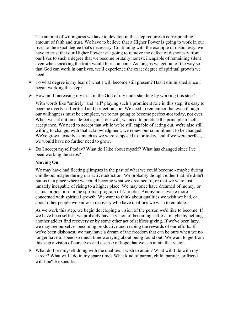The amount of willingness we have to develop in this step requires a corresponding amount of faith and trust. We have to believe that a Higher Power is going to work in our lives to the exact degree that's necessary. Continuing with the example of dishonesty, we have to trust that our Higher Power isn't going to remove the defect of dishonesty from our lives to such a degree that we become brutally honest, incapable of remaining silent even when speaking the truth would hurt someone. As long as we get out of the way so that God can work in our lives, we'll experience the exact degree of spiritual growth we need.

- $\triangleright$  To what degree is my fear of what I will become still present? Has it diminished since I began working this step?
- $\triangleright$  How am I increasing my trust in the God of my understanding by working this step?

With words like "entirely" and "all" playing such a prominent role in this step, it's easy to become overly self-critical and perfectionistic. We need to remember that even though our willingness must be complete, we're not going to become perfect-not today, not ever. When we act out on a defect against our will, we need to practice the principle of selfacceptance. We need to accept that while we're still capable of acting out, we're also still willing to change; with that acknowledgment, we renew our commitment to be changed. We've grown exactly as much as we were supposed to for today, and if we were perfect, we would have no further need to grow.

 $\triangleright$  Do I accept myself today? What do I like about myself? What has changed since I've been working the steps?

## **Moving On**

We may have had fleeting glimpses in the past of what we could become - maybe during childhood, maybe during our active addiction. We probably thought either that life didn't put us in a place where we could become what we dreamed of, or that we were just innately incapable of rising to a higher place. We may once have dreamed of money, or status, or position. In the spiritual program of Narcotics Anonymous, we're more concerned with spiritual growth. We want to think about qualities we wish we had, or about other people we know in recovery who have qualities we wish to emulate.

As we work this step, we begin developing a vision of the person we'd like to become. If we have been selfish, we probably have a vision of becoming selfless, maybe by helping another addict find recovery or by some other act of selfless giving. If we've been lazy, we may see ourselves becoming productive and reaping the rewards of our efforts. If we've been dishonest, we may have a dream of the freedom that can be ours when we no longer have to spend so much time worrying about being found out. We want to get from this step a vision of ourselves and a sense of hope that we can attain that vision.

 $\triangleright$  What do I see myself doing with the qualities I wish to attain? What will I do with my career? What will I do in my spare time? What kind of parent, child, partner, or friend will I be? Be specific.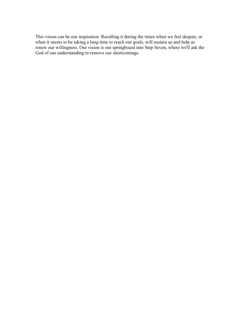This vision can be our inspiration. Recalling it during the times when we feel despair, or when it seems to be taking a long time to reach our goals, will sustain us and help us renew our willingness. Our vision is our springboard into Step Seven, where we'll ask the God of our understanding to remove our shortcomings.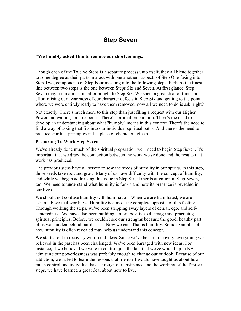# **Step Seven**

### **"We humbly asked Him to remove our shortcomings."**

Though each of the Twelve Steps is a separate process unto itself, they all blend together to some degree as their parts interact with one another - aspects of Step One fusing into Step Two, components of Step Four meshing into the following steps. Perhaps the finest line between two steps is the one between Steps Six and Seven. At first glance, Step Seven may seem almost an afterthought to Step Six. We spent a great deal of time and effort raising our awareness of our character defects in Step Six and getting to the point where we were entirely ready to have them removed; now all we need to do is ask, right?

Not exactly. There's much more to this step than just filing a request with our Higher Power and waiting for a response. There's spiritual preparation. There's the need to develop an understanding about what "humbly" means in this context. There's the need to find a way of asking that fits into our individual spiritual paths. And there's the need to practice spiritual principles in the place of character defects.

### **Preparing To Work Step Seven**

We've already done much of the spiritual preparation we'll need to begin Step Seven. It's important that we draw the connection between the work we've done and the results that work has produced.

The previous steps have all served to sow the seeds of humility in our spirits. In this step, those seeds take root and grow. Many of us have difficulty with the concept of humility, and while we began addressing this issue in Step Six, it merits attention in Step Seven, too. We need to understand what humility is for ~s and how its presence is revealed in our lives.

We should not confuse humility with humiliation. When we are humiliated, we are ashamed; we feel worthless. Humility is almost the complete opposite of this feeling. Through working the steps, we've been stripping away layers of denial, ego, and selfcenteredness. We have also been building a more positive self-image and practicing spiritual principles. Before, we couldn't see our strengths because the good, healthy part of us was hidden behind our disease. Now we can. That is humility. Some examples of how humility is often revealed may help us understand this concept.

We started out in recovery with fixed ideas. Since we've been in recovery, everything we believed in the past has been challenged. We've been barraged with new ideas. For instance, if we believed we were in control, just the fact that we've wound up in NA admitting our powerlessness was probably enough to change our outlook. Because of our addiction, we failed to learn the lessons that life itself would have taught us about how much control one individual has. Through our abstinence and the working of the first six steps, we have learned a great deal about how to live.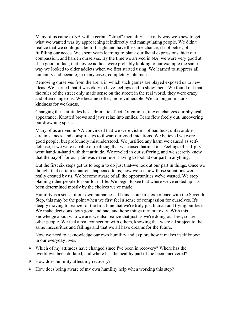Many of us came to NA with a certain "street" mentality. The only way we knew to get what we wanted was by approaching it indirectly and manipulating people. We didn't realize that we could just be forthright and have the same chance, if not better, of fulfilling our needs. We spent years learning to blank our facial expressions, hide our compassion, and harden ourselves. By the time we arrived in NA, we were very good at it-so good, in fact, that novice addicts were probably looking to our example the same way we looked to older addicts when we first started using. We learned to suppress all humanity and became, in many cases, completely inhuman.

Removing ourselves from the arena in which such games are played exposed us to new ideas. We learned that it was okay to have feelings and to show them. We found out that the rules of the street only made sense on the street; in the real world, they were crazy and often dangerous. We became softer, more vulnerable. We no longer mistook kindness for weakness.

Changing these attitudes has a dramatic effect. Oftentimes, it even changes our physical appearance. Knotted brows and jaws relax into smiles. Tears flow freely out, uncovering our drowning spirit.

Many of us arrived in NA convinced that we were victims of bad luck, unfavorable circumstances, and conspiracies to thwart our good intentions. We believed we were good people, but profoundly misunderstood. We justified any harm we caused as selfdefense, if we were capable of realizing that we caused harm at all. Feelings of self-pity went hand-in-hand with that attitude. We reveled in our suffering, and we secretly knew that the payoff for our pain was never, ever having to look at our part in anything.

But the first six steps get us to begin to do just that-we look at our part in things. Once we thought that certain situations happened to us; now we see how those situations were really created by us. We become aware of all the opportunities we've wasted. We stop blaming other people for our lot in life. We begin to see that where we've ended up has been determined mostly by the choices we've made.

Humility is a sense of our own humanness. If this is our first experience with the Seventh Step, this may be the point when we first feel a sense of compassion for ourselves. It's deeply moving to realize for the first time that we're truly just human and trying our best. We make decisions, both good and bad, and hope things turn out okay. With this knowledge about who we are, we also realize that just as we're doing our best, so are other people. We feel a real connection with others, knowing that we're all subject to the same insecurities and failings and that we all have dreams for the future.

Now we need to acknowledge our own humility and explore how it makes itself known in our everyday lives.

- $\triangleright$  Which of my attitudes have changed since I've been in recovery? Where has the overblown been deflated, and where has the healthy part of me been uncovered?
- $\triangleright$  How does humility affect my recovery?
- $\triangleright$  How does being aware of my own humility help when working this step?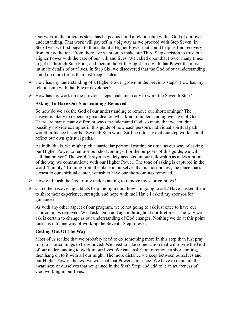Our work in the previous steps has helped us build a relationship with a God of our own understanding. That work will pay off in a big way as we proceed with Step Seven. In Step Two, we first began to think about a Higher Power that could help us find recovery from our addiction. From there, we went on to make our Third Step decision to trust our Higher Power with the care of our will and lives. We called upon that Power many times to get us through Step Four, and then in the Fifth Step shared with that Power the most intimate details of our lives. In Step Six, we discovered that the God of our understanding could do more for us than just keep us clean.

- $\triangleright$  How has my understanding of a Higher Power grown in the previous steps? How has my relationship with that Power developed?
- $\triangleright$  How has my work on the previous steps made me ready to work the Seventh Step?

### **Asking To Have Our Shortcomings Removed**

So how do we ask the God of our understanding to remove our shortcomings? The answer is likely to depend a great deal on what kind of understanding we have of God. There are many, many different ways to understand God, so many that we couldn't possibly provide examples in this guide of how each person's individual spiritual path would influence his or her Seventh Step work. Suffice it to say that our step work should reflect our own spiritual paths.

As individuals, we might pick a particular personal routine or ritual as our way of asking our Higher Power to remove our shortcomings. For the purposes of this guide, we will call that prayer." The word "prayer is widely accepted in our fellowship as a description of the way we communicate with our Higher Power. The tone of asking is captured in the word "humbly." Coming from the place in ourselves that is most honest, the place that's closest to our spiritual center, we ask to have our shortcomings removed.

- $\triangleright$  How will I ask the God of my understanding to remove my shortcomings?
- $\triangleright$  Can other recovering addicts help me figure out how I'm going to ask? Have I asked them to share their experience, strength, and hope with me? Have I asked my sponsor for guidance?

As with any other aspect of our program, we're not going to ask just once to have our shortcomings removed. We'll ask again and again throughout our lifetimes. The way we ask is certain to change as our understanding of God changes. Nothing we do at this point locks us into one way of working the Seventh Step forever.

## **Getting Out Of The Way**

Most of us realize that we probably need to do something more in this step than just pray for our shortcomings to be removed. We need to take some action that will invite the God of our understanding to work in our lives. We can't ask God to remove a shortcoming, then hang on to it with all our might. The more distance we keep between ourselves and our Higher Power, the less we will feel that Power's presence. We have to maintain the awareness of ourselves that we gained in the Sixth Step, and add to it an awareness of God working in our lives.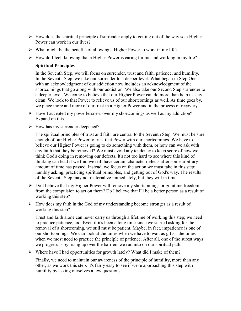- $\triangleright$  How does the spiritual principle of surrender apply to getting out of the way so a Higher Power can work in our lives?
- $\triangleright$  What might be the benefits of allowing a Higher Power to work in my life?
- $\triangleright$  How do I feel, knowing that a Higher Power is caring for me and working in my life?

## **Spiritual Principles**

In the Seventh Step, we will focus on surrender, trust and faith, patience, and humility. In the Seventh Step, we take our surrender to a deeper level. What began in Step One with an acknowledgment of our addiction now includes an acknowledgment of the shortcomings that go along with our addiction. We also take our Second Step surrender to a deeper level. We come to believe that our Higher Power can do more than help us stay clean. We look to that Power to relieve us of our shortcomings as well. As time goes by, we place more and more of our trust in a Higher Power and in the process of recovery.

- $\triangleright$  Have I accepted my powerlessness over my shortcomings as well as my addiction? Expand on this.
- $\triangleright$  How has my surrender deepened?

The spiritual principles of trust and faith are central to the Seventh Step. We must be sure enough of our Higher Power to trust that Power with our shortcomings. We have to believe our Higher Power is going to do something with them, or how can we ask with any faith that they be removed? We must avoid any tendency to keep score of how we think God's doing in removing our defects. It's not too hard to see where this kind of thinking can lead if we find we still have certain character defects after some arbitrary amount of time has passed. Instead, we focus on the action we must take in this step: humbly asking, practicing spiritual principles, and getting out of God's way. The results of the Seventh Step may not materialize immediately, but they will in time.

- $\triangleright$  Do I believe that my Higher Power will remove my shortcomings or grant me freedom from the compulsion to act on them? Do I believe that I'll be a better person as a result of working this step?
- $\triangleright$  How does my faith in the God of my understanding become stronger as a result of working this step?

Trust and faith alone can never carry us through a lifetime of working this step; we need to practice patience, too. Even if it's been a long time since we started asking for the removal of a shortcoming, we still must be patient. Maybe, in fact, impatience is one of our shortcomings. We can look at the times when we have to wait as gifts - the times when we most need to practice the principle of patience. After all, one of the surest ways we progress is by rising up over the barriers we run into on our spiritual path.

 $\triangleright$  Where have I had opportunities for growth lately? What did I make of them?

Finally, we need to maintain our awareness of the principle of humility, more than any other, as we work this step. It's fairly easy to see if we're approaching this step with humility by asking ourselves a few questions: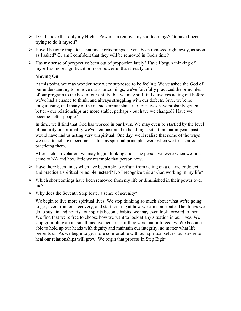- $\triangleright$  Do I believe that only my Higher Power can remove my shortcomings? Or have I been trying to do it myself?
- $\triangleright$  Have I become impatient that my shortcomings haven't been removed right away, as soon as I asked? Or am I confident that they will be removed in God's time?
- $\triangleright$  Has my sense of perspective been out of proportion lately? Have I begun thinking of myself as more significant or more powerful than I really am?

## **Moving On**

At this point, we may wonder how we're supposed to be feeling. We've asked the God of our understanding to remove our shortcomings; we've faithfully practiced the principles of our program to the best of our ability; but we may still find ourselves acting out before we've had a chance to think, and always struggling with our defects. Sure, we're no longer using, and many of the outside circumstances of our lives have probably gotten better - our relationships are more stable, perhaps - but have we changed? Have we become better people?

In time, we'll find that God has worked in our lives. We may even be startled by the level of maturity or spirituality we've demonstrated in handling a situation that in years past would have had us acting very unspiritual. One day, we'll realize that some of the ways we used to act have become as alien as spiritual principles were when we first started practicing them.

After such a revelation, we may begin thinking about the person we were when we first came to NA and how little we resemble that person now.

- $\triangleright$  Have there been times when I've been able to refrain from acting on a character defect and practice a spiritual principle instead? Do I recognize this as God working in my life?
- $\triangleright$  Which shortcomings have been removed from my life or diminished in their power over me?
- $\triangleright$  Why does the Seventh Step foster a sense of serenity?

We begin to live more spiritual lives. We stop thinking so much about what we're going to get, even from our recovery, and start looking at how we can contribute. The things we do to sustain and nourish our spirits become habits; we may even look forward to them. We find that we're free to choose how we want to look at any situation in our lives. We stop grumbling about small inconveniences as if they were major tragedies. We become able to hold up our heads with dignity and maintain our integrity, no matter what life presents us. As we begin to get more comfortable with our spiritual selves, our desire to heal our relationships will grow. We begin that process in Step Eight.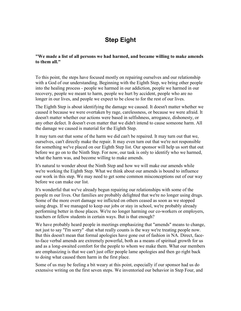# **Step Eight**

### **"We made a list of all persons we had harmed, and became willing to make amends to them all."**

To this point, the steps have focused mostly on repairing ourselves and our relationship with a God of our understanding. Beginning with the Eighth Step, we bring other people into the healing process - people we harmed in our addiction, people we harmed in our recovery, people we meant to harm, people we hurt by accident, people who are no longer in our lives, and people we expect to be close to for the rest of our lives.

The Eighth Step is about identifying the damage we caused. It doesn't matter whether we caused it because we were overtaken by rage, carelessness, or because we were afraid. It doesn't matter whether our actions were based in selfishness, arrogance, dishonesty, or any other defect. It doesn't even matter that we didn't intend to cause someone harm. All the damage we caused is material for the Eighth Step.

It may turn out that some of the harm we did can't be repaired. It may turn out that we, ourselves, can't directly make the repair. It may even turn out that we're not responsible for something we've placed on our Eighth Step list. Our sponsor will help us sort that out before we go on to the Ninth Step. For now, our task is only to identify who we harmed, what the harm was, and become willing to make amends.

It's natural to wonder about the Ninth Step and how we will make our amends while we're working the Eighth Step. What we think about our amends is bound to influence our work in this step. We may need to get some common misconceptions out of our way before we can make our list.

It's wonderful that we've already begun repairing our relationships with some of the people m our lives. Our families are probably delighted that we're no longer using drugs. Some of the more overt damage we inflicted on others ceased as soon as we stopped using drugs. If we managed to keep our jobs or stay in school, we're probably already performing better in those places. We're no longer harming our co-workers or employers, teachers or fellow students in certain ways. But is that enough?

We have probably heard people in meetings emphasizing that "amends" means to change, not just to say "I'm sorry" -that what really counts is the way we're treating people now. But this doesn't mean that formal apologies have gone out of fashion in NA. Direct, faceto-face verbal amends are extremely powerful, both as a means of spiritual growth for us and as a long-awaited comfort for the people to whom we make them. What our members are emphasizing is that we can't just offer people lame apologies and then go right back to doing what caused them harm in the first place.

Some of us may be feeling a bit weary at this point, especially if our sponsor had us do extensive writing on the first seven steps. We inventoried our behavior in Step Four, and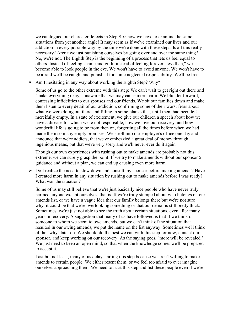we catalogued our character defects in Step Six; now we have to examine the same situations from yet another angle! It may seem as if we've examined our lives and our addiction in every possible way by the time we're done with these steps. Is all this really necessary? Aren't we just punishing ourselves by going over and over the same thing? No, we're not. The Eighth Step is the beginning of a process that lets us feel equal to others. Instead of feeling shame and guilt, instead of feeling forever "less than," we become able to look people in the eye. We won't have to avoid anyone. We won't have to be afraid we'll be caught and punished for some neglected responsibility. We'll be free.

 $\triangleright$  Am I hesitating in any way about working the Eighth Step? Why?

Some of us go to the other extreme with this step: We can't wait to get right out there and "make everything okay," unaware that we may cause more harm. We blunder forward, confessing infidelities to our spouses and our friends. We sit our families down and make them listen to every detail of our addiction, confirming some of their worst fears about what we were doing out there and filling in some blanks that, until then, had been left mercifully empty. In a state of excitement, we give our children a speech about how we have a disease for which we're not responsible, how we love our recovery, and how wonderful life is going to be from then on, forgetting all the times before when we had made them so many empty promises. We stroll into our employer's office one day and announce that we're addicts, that we've embezzled a great deal of money through ingenious means, but that we're very sorry and we'll never ever do it again.

Though our own experiences with rushing out to make amends are probably not this extreme, we can surely grasp the point: If we try to make amends without our sponsor 5 guidance and without a plan, we can end up causing even more harm.

 $\triangleright$  Do I realize the need to slow down and consult my sponsor before making amends? Have I created more harm in any situation by rushing out to make amends before I was ready? What was the situation?

Some of us may still believe that we're just basically nice people who have never truly harmed anyone-except ourselves, that is. If we're truly stumped about who belongs on our amends list, or we have a vague idea that our family belongs there but we're not sure why, it could be that we're overlooking something or that our denial is still pretty thick. Sometimes, we're just not able to see the truth about certain situations, even after many years in recovery. A suggestion that many of us have followed is that if we think of someone to whom we seem to owe amends, but we can't think of the situation that resulted in our owing amends, we put the name on the list anyway. Sometimes we'll think of the "why" later on. We should do the best we can with this step for now, contact our sponsor, and keep working on our recovery. As the saying goes, "more will be revealed." We just need to keep an open mind, so that when the knowledge comes we'll be prepared to accept it.

Last but not least, many of us delay starting this step because we aren't willing to make amends to certain people. We either resent them, or we feel too afraid to ever imagine ourselves approaching them. We need to start this step and list these people even if we're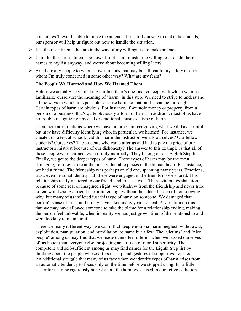not sure we'll ever be able to make the amends. If it's truly unsafe to make the amends, our sponsor will help us figure out how to handle the situation.

- $\triangleright$  List the resentments that are in the way of my willingness to make amends.
- $\triangleright$  Can I let these resentments go now? If not, can I muster the willingness to add these names to my list anyway, and worry about becoming willing later?
- $\triangleright$  Are there any people to whom I owe amends that may be a threat to my safety or about whom I'm truly concerned in some other way? What are my fears?

### **The People We Harmed and How We Harmed Them**

Before we actually begin making our list, there's one final concept with which we must familiarize ourselves: the meaning of "harm" in this step. We need to strive to understand all the ways in which it is possible to cause harm so that our list can be thorough. Certain types of harm are obvious. For instance, if we stole money or property from a person or a business, that's quite obviously a form of harm. In addition, most of us have no trouble recognizing physical or emotional abuse as a type of harm.

Then there are situations where we have no problem recognizing what we did as harmful, but may have difficulty identifying who, in particular, we harmed. For instance, we cheated on a test at school. Did this harm the instructor, we ask ourselves? Our fellow students? Ourselves? The students who came after us and had to pay the price of our instructor's mistrust because of our dishonesty? The answer to this example is that all of these people were harmed, even if only indirectly. They belong on our Eighth Step list. Finally, we get to the deeper types of harm. These types of harm may be the most damaging, for they strike at the most vulnerable places in the human heart. For instance, we had a friend. The friendship was perhaps an old one, spanning many years. Emotions, trust, even personal identity - all these were engaged in the friendship we shared. This relationship really mattered to our friend, and to us as well. Then, without explanation, because of some real or imagined slight, we withdrew from the friendship and never tried to renew it. Losing a friend is painful enough without the added burden of not knowing why, but many of us inflicted just this type of harm on someone. We damaged that person's sense of trust, and it may have taken many years to heal. A variation on this is that we may have allowed someone to take the blame for a relationship ending, making the person feel unlovable, when in reality we had just grown tired of the relationship and were too lazy to maintain it.

There are many different ways we can inflict deep emotional harm: neglect, withdrawal, exploitation, manipulation, and humiliation, to name but a few. The "victims" and "nice people" among us may find that we made others feel inferior when we passed ourselves off as better than everyone else, projecting an attitude of moral superiority. The competent and self-sufficient among us may find names for the Eighth Step list by thinking about the people whose offers of help and gestures of support we rejected. An additional struggle that many of us face when we identify types of harm arises from an automatic tendency to focus only on the time before we stopped using. It's a little easier for us to be rigorously honest about the harm we caused in our active addiction.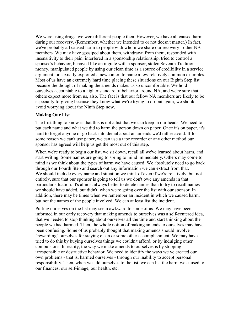We were using drugs, we were different people then. However, we have all caused harm during our recovery. (Remember, whether we intended to or not doesn't matter.) In fact, we've probably all caused harm to people with whom we share our recovery - other NA members. We may have gossiped about them, withdrawn from them, responded with insensitivity to their pain, interfered in a sponsorship relationship, tried to control a sponsee's behavior, behaved like an ingrate with a sponsor, stolen Seventh Tradition money, manipulated people by using our clean time as a source of credibility in a service argument, or sexually exploited a newcomer, to name a few relatively common examples. Most of us have an extremely hard time placing these situations on our Eighth Step list because the thought of making the amends makes us so uncomfortable. We hold ourselves accountable to a higher standard of behavior around NA, and we're sure that others expect more from us, also. The fact is that our fellow NA members are likely to be especially forgiving because they know what we're trying to do-but again, we should avoid worrying about the Ninth Step now.

### **Making Our List**

The first thing to know is that this is not a list that we can keep in our heads. We need to put each name and what we did to harm the person down on paper. Once it's on paper, it's hard to forget anyone or go back into denial about an amends we'd rather avoid. If for some reason we can't use paper, we can use a tape recorder or any other method our sponsor has agreed will help us get the most out of this step.

When we're ready to begin our list, we sit down, recall all we've learned about harm, and start writing. Some names are going to spring to mind immediately. Others may come to mind as we think about the types of harm we have caused. We absolutely need to go back through our Fourth Step and search out any information we can extract from that. We should include every name and situation we think of even if we're relatively, but not entirely, sure that our sponsor is going to tell us we don't owe any amends in that particular situation. It's almost always better to delete names than to try to recall names we should have added, but didn't, when we're going over the list with our sponsor. In addition, there may be times when we remember an incident in which we caused harm, but not the names of the people involved. We can at least list the incident.

Putting ourselves on the list may seem awkward to some of us. We may have been informed in our early recovery that making amends to ourselves was a self-centered idea, that we needed to stop thinking about ourselves all the time and start thinking about the people we had harmed. Then, the whole notion of making amends to ourselves may have been confusing. Some of us probably thought that making amends should involve "rewarding" ourselves for staying clean or some other accomplishment. We may have tried to do this by buying ourselves things we couldn't afford, or by indulging other compulsions. In reality, the way we make amends to ourselves is by stopping irresponsible or destructive behavior. We need to identify the ways we ve created our own problems - that is, harmed ourselves - through our inability to accept personal responsibility. Then, when we add ourselves to the list, we can list the harm we caused to our finances, our self-image, our health, etc.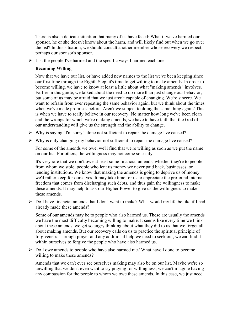There is also a delicate situation that many of us have faced: What if we've harmed our sponsor, he or she doesn't know about the harm, and will likely find out when we go over the list? In this situation, we should consult another member whose recovery we respect, perhaps our sponsor's sponsor.

 $\triangleright$  List the people I've harmed and the specific ways I harmed each one.

### **Becoming Willing**

Now that we have our list, or have added new names to the list we've been keeping since our first time through the Eighth Step, it's time to get willing to make amends. In order to become willing, we have to know at least a little about what "making amends" involves. Earlier in this guide, we talked about the need to do more than just change our behavior, but some of us may be afraid that we just aren't capable of changing. We're sincere. We want to refrain from ever repeating the same behavior again, but we think about the times when we've made promises before. Aren't we subject to doing the same thing again? This is when we have to really believe in our recovery. No matter how long we've been clean and the wrongs for which we're making amends, we have to have faith that the God of our understanding will give us the strength and the ability to change.

- $\triangleright$  Why is saying "I'm sorry" alone not sufficient to repair the damage I've caused?
- $\triangleright$  Why is only changing my behavior not sufficient to repair the damage I've caused?

For some of the amends we owe, we'll find that we're willing as soon as we put the name on our list. For others, the willingness may not come so easily.

It's very rare that we don't owe at least some financial amends, whether they're to people from whom we stole, people who lent us money we never paid back, businesses, or lending institutions. We know that making the amends is going to deprive us of money we'd rather keep for ourselves. It may take time for us to appreciate the profound internal freedom that comes from discharging such debts, and thus gain the willingness to make these amends. It may help to ask our Higher Power to give us the willingness to make these amends.

 $\triangleright$  Do I have financial amends that I don't want to make? What would my life be like if I had already made these amends?

Some of our amends may be to people who also harmed us. These are usually the amends we have the most difficulty becoming willing to make. It seems like every time we think about these amends, we get so angry thinking about what they did to us that we forget all about making amends. But our recovery calls on us to practice the spiritual principle of forgiveness. Through prayer and any additional help we need to seek out, we can find it within ourselves to forgive the people who have also harmed us.

 Do I owe amends to people who have also harmed me? What have I done to become willing to make these amends?

Amends that we can't ever see ourselves making may also be on our list. Maybe we're so unwilling that we don't even want to try praying for willingness; we can't imagine having any compassion for the people to whom we owe these amends. In this case, we just need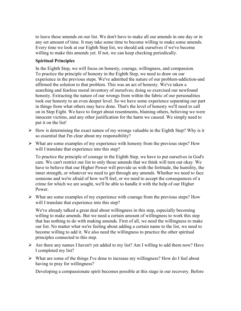to leave these amends on our list. We don't have to make all our amends in one day or in any set amount of time. It may take some time to become willing to make some amends. Every time we look at our Eighth Step list, we should ask ourselves if we've become willing to make this amends yet. If not, we can keep checking periodically.

### **Spiritual Principles**

In the Eighth Step, we will focus on honesty, courage, willingness, and compassion. To practice the principle of honesty in the Eighth Step, we need to draw on our experience in the previous steps. We've admitted the nature of our problem-addiction-and affirmed the solution to that problem. This was an act of honesty. We've taken a searching and fearless moral inventory of ourselves; doing so exercised our newfound honesty. Extracting the nature of our wrongs from within the fabric of our personalities took our honesty to an even deeper level. So we have some experience separating our part in things from what others may have done. That's the level of honesty we'll need to call on in Step Eight. We have to forget about resentments, blaming others, believing we were innocent victims, and any other justification for the harm we caused. We simply need to put it on the list!

- $\triangleright$  How is determining the exact nature of my wrongs valuable in the Eighth Step? Why is it so essential that I'm clear about my responsibility?
- $\triangleright$  What are some examples of my experience with honesty from the previous steps? How will I translate that experience into this step?

To practice the principle of courage in the Eighth Step, we have to put ourselves in God's care. We can't restrict our list to only those amends that we think will turn out okay. We have to believe that our Higher Power will provide us with the fortitude, the humility, the inner strength, or whatever we need to get through any amends. Whether we need to face someone and we're afraid of how we'll feel, or we need to accept the consequences of a crime for which we are sought, we'll be able to handle it with the help of our Higher Power.

 $\triangleright$  What are some examples of my experience with courage from the previous steps? How will I translate that experience into this step?

We've already talked a great deal about willingness in this step, especially becoming willing to make amends. But we need a certain amount of willingness to work this step that has nothing to do with making amends. First of all, we need the willingness to make our list. No matter what we're feeling about adding a certain name to the list, we need to become willing to add it. We also need the willingness to practice the other spiritual principles connected to this step.

- $\triangleright$  Are there any names I haven't yet added to my list? Am I willing to add them now? Have I completed my list?
- $\triangleright$  What are some of the things I've done to increase my willingness? How do I feel about having to pray for willingness?

Developing a compassionate spirit becomes possible at this stage in our recovery. Before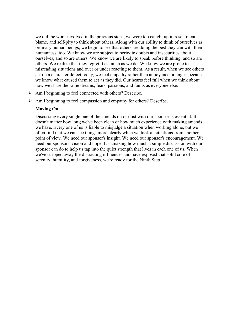we did the work involved in the previous steps, we were too caught up in resentment, blame, and self-pity to think about others. Along with our ability to think of ourselves as ordinary human beings, we begin to see that others are doing the best they can with their humanness, too. We know we are subject to periodic doubts and insecurities about ourselves, and so are others. We know we are likely to speak before thinking, and so are others. We realize that they regret it as much as we do. We know we are prone to misreading situations and over or under reacting to them. As a result, when we see others act on a character defect today, we feel empathy rather than annoyance or anger, because we know what caused them to act as they did. Our hearts feel full when we think about how we share the same dreams, fears, passions, and faults as everyone else.

- Am I beginning to feel connected with others? Describe.
- $\triangleright$  Am I beginning to feel compassion and empathy for others? Describe.

### **Moving On**

Discussing every single one of the amends on our list with our sponsor is essential. It doesn't matter how long we've been clean or how much experience with making amends we have. Every one of us is liable to misjudge a situation when working alone, but we often find that we can see things more clearly when we look at situations from another point of view. We need our sponsor's insight. We need our sponsor's encouragement. We need our sponsor's vision and hope. It's amazing how much a simple discussion with our sponsor can do to help us tap into the quiet strength that lives in each one of us. When we've stripped away the distracting influences and have exposed that solid core of serenity, humility, and forgiveness, we're ready for the Ninth Step.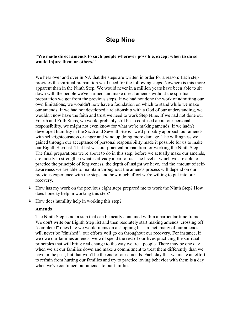## **Step Nine**

### **"We made direct amends to such people wherever possible, except when to do so would injure them or others."**

We hear over and over in NA that the steps are written in order for a reason: Each step provides the spiritual preparation we'll need for the following steps. Nowhere is this more apparent than in the Ninth Step. We would never in a million years have been able to sit down with the people we've harmed and make direct amends without the spiritual preparation we got from the previous steps. If we had not done the work of admitting our own limitations, we wouldn't now have a foundation on which to stand while we make our amends. If we had not developed a relationship with a God of our understanding, we wouldn't now have the faith and trust we need to work Step Nine. If we had not done our Fourth and Fifth Steps, we would probably still be so confused about our personal responsibility, we might not even know for what we're making amends. If we hadn't developed humility in the Sixth and Seventh Steps1 we'd probably approach our amends with self-righteousness or anger and wind up doing more damage. The willingness we gained through our acceptance of personal responsibility made it possible for us to make our Eighth Step list. That list was our practical preparation for working the Ninth Step. The final preparations we're about to do in this step, before we actually make our amends, are mostly to strengthen what is afready a part of us. The level at which we are able to practice the principle of forgiveness, the depth of insight we have, and the amount of selfawareness we are able to maintain throughout the amends process will depend on our previous experience with the steps and how much effort we're willing to put into our recovery.

- $\triangleright$  How has my work on the previous eight steps prepared me to work the Ninth Step? How does honesty help in working this step?
- $\triangleright$  How does humility help in working this step?

### **Amends**

The Ninth Step is not a step that can be neatly contained within a particular time frame. We don't write our Eighth Step list and then resolutely start making amends, crossing off "completed" ones like we would items on a shopping list. In fact, many of our amends will never be "finished"; our efforts will go on throughout our recovery. For instance, if we owe our families amends, we will spend the rest of our lives practicing the spiritual principles that will bring real change to the way we treat people. There may be one day when we sit our families down and make a commitment to treat them differently than we have in the past, but that won't be the end of our amends. Each day that we make an effort to refrain from hurting our families and try to practice loving behavior with them is a day when we've continued our amends to our families.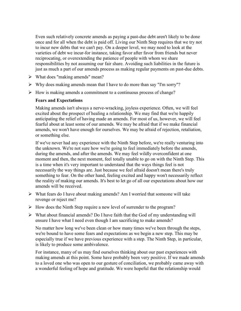Even such relatively concrete amends as paying a past-due debt aren't likely to be done once and for all when the debt is paid off. Living our Ninth Step requires that we try not to incur new debts that we can't pay. On a deeper level, we may need to look at the varieties of debt we incur-for instance, taking favor after favor from friends but never reciprocating, or overextending the patience of people with whom we share responsibilities by not assuming our fair share. Avoiding such liabilities in the future is just as much a part of our amends process as making regular payments on past-due debts.

- $\triangleright$  What does "making amends" mean?
- $\triangleright$  Why does making amends mean that I have to do more than say "I'm sorry"?
- $\triangleright$  How is making amends a commitment to a continuous process of change?

### **Fears and Expectations**

Making amends isn't always a nerve-wracking, joyless experience. Often, we will feel excited about the prospect of healing a relationship. We may find that we're happily anticipating the relief of having made an amends. For most of us, however, we will feel fearful about at least some of our amends. We may be afraid that if we make financial amends, we won't have enough for ourselves. We may be afraid of rejection, retaliation, or something else.

If we've never had any experience with the Ninth Step before, we're really venturing into the unknown. We're not sure how we're going to feel immediately before the amends, during the amends, and after the amends. We may feel wildly overconfident at one moment and then, the next moment, feel totally unable to go on with the Ninth Step. This is a time when it's very important to understand that the ways things feel is not necessarily the way things are. Just because we feel afraid doesn't mean there's truly something to fear. On the other hand, feeling excited and happy won't necessarily reflect the reality of making our amends. It's best to let go of all our expectations about how our amends will be received.

- $\triangleright$  What fears do I have about making amends? Am I worried that someone will take revenge or reject me?
- $\triangleright$  How does the Ninth Step require a new level of surrender to the program?
- $\triangleright$  What about financial amends? Do I have faith that the God of my understanding will ensure I have what I need even though I am sacrificing to make amends?

No matter how long we've been clean or how many times we've been through the steps, we're bound to have some fears and expectations as we begin a new step. This may be especially true if we have previous experience with a step. The Ninth Step, in particular, is likely to produce some ambivalence.

For instance, many of us may find ourselves thinking about our past experiences with making amends at this point. Some have probably been very positive. If we made amends to a loved one who was open to our gesture of conciliation, we probably came away with a wonderful feeling of hope and gratitude. We were hopeful that the relationship would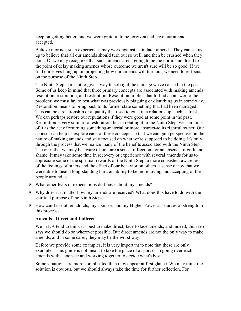keep on getting better, and we were grateful to be forgiven and have our amends accepted.

Believe it or not, such experiences may work against us in later amends. They can set us up to believe that all our amends should turn out so well, and then be crushed when they don't. Or we may recognize that such amends aren't going to be the norm, and dread to the point of delay making amends whose outcome we aren't sure will be so good. If we find ourselves hung up on projecting how our amends will turn out, we need to re-focus on the purpose of the Ninth Step.

The Ninth Step is meant to give a way to set right the damage we've caused in the past. Some of us keep in mind that three primary concepts are associated with making amends: resolution, restoration, and restitution. Resolution implies that to find an answer to the problem; we must lay to rest what was previously plaguing or disturbing us in some way. Restoration means to bring back to its former state something that had been damaged. This can be a relationship or a quality that used to exist in a relationship, such as trust. We can perhaps restore our reputations if they were good at some point in the past. Restitution is very similar to restoration, but in relating it to the Ninth Step, we can think of it as the act of returning something-material or more abstract-to its rightful owner. Our sponsor can help us explore each of these concepts so that we can gain perspective on the nature of making amends and stay focused on what we're supposed to be doing. It's only through the process that we realize many of the benefits associated with the Ninth Step. The ones that we may be aware of first are a sense of freedom, or an absence of guilt and shame. It may take some time in recovery or experience with several amends for us to appreciate some of the spiritual rewards of the Ninth Step: a more consistent awareness of the feelings of others and the effect of our behavior on others, a sense of joy that we were able to heal a long-standing hurt, an ability to be more loving and accepting of the people around us.

- $\triangleright$  What other fears or expectations do I have about my amends?
- $\triangleright$  Why doesn't it matter how my amends are received? What does this have to do with the spiritual purpose of the Ninth Step?
- $\triangleright$  How can I use other addicts, my sponsor, and my Higher Power as sources of strength in this process?

## **Amends - Direct and Indirect**

We in NA tend to think it's best to make direct, face-to4ace amends, and indeed, this step says we should do so wherever possible. But direct amends are not the only way to make amends, and in some cases, they may be the worst way.

Before we provide some examples, it is very important to note that these are only examples. This guide is not meant to take the place of a sponsor in going over each amends with a sponsee and working together to decide what's best.

Some situations are more complicated than they appear at first glance. We may think the solution is obvious, but we should always take the time for further reflection. For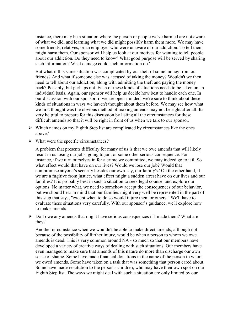instance, there may be a situation where the person or people we've harmed are not aware of what we did, and learning what we did might possibly harm them more. We may have some friends, relatives, or an employer who were unaware of our addiction. To tell them might harm them. Our sponsor will help us look at our motives for wanting to tell people about our addiction. Do they need to know? What good purpose will be served by sharing such information? What damage could such information do?

But what if this same situation was complicated by our theft of some money from our friends? And what if someone else was accused of taking the money? Wouldn't we then need to tell about our addiction, along with admitting the theft and paying the money back? Possibly, but perhaps not. Each of these kinds of situations needs to be taken on an individual basis. Again, our sponsor will help us decide how best to handle each one. In our discussion with our sponsor, if we are open-minded, we're sure to think about these kinds of situations in ways we haven't thought about them before. We may see how what we first thought was the obvious method of making amends may not be right after all. It's very helpful to prepare for this discussion by listing all the circumstances for these difficult amends so that it will be right in front of us when we talk to our sponsor.

- $\triangleright$  Which names on my Eighth Step list are complicated by circumstances like the ones above?
- $\triangleright$  What were the specific circumstances?

A problem that presents difficulty for many of us is that we owe amends that will likely result in us losing our jobs, going to jail, or some other serious consequence. For instance, if we turn ourselves in for a crime we committed, we may indeed go to jail. So what effect would that have on our lives? Would we lose our job? Would that compromise anyone's security besides our own-say, our family's? On the other hand, if we are a fugitive from justice, what effect might a sudden arrest have on our lives and our families? It is probably best in such a situation to seek legal counsel and explore our options. No matter what, we need to somehow accept the consequences of our behavior, but we should bear in mind that our families might very well be represented in the part of this step that says, "except when to do so would injure them or others." We'll have to evaluate these situations very carefully. With our sponsor's guidance, we'll explore how to make amends.

 $\triangleright$  Do I owe any amends that might have serious consequences if I made them? What are they?

Another circumstance when we wouldn't be able to make direct amends, although not because of the possibility of further injury, would be when a person to whom we owe amends is dead. This is very common around NA - so much so that our members have developed a variety of creative ways of dealing with such situations. Our members have even managed to make sure that amends of this nature do more than discharge our own sense of shame. Some have made financial donations in the name of the person to whom we owed amends. Some have taken on a task that was something that person cared about. Some have made restitution to the person's children, who may have their own spot on our Eighth Step list. The ways we might deal with such a situation are only limited by our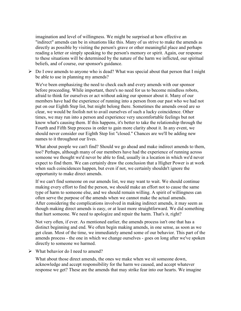imagination and level of willingness. We might be surprised at how effective an "indirect" amends can be in situations like this. Many of us strive to make the amends as directly as possible by visiting the person's grave or other meaningful place and perhaps reading a letter or simply speaking to the person's memory or spirit. Again, our response to these situations will be determined by the nature of the harm we inflicted, our spiritual beliefs, and of course, our sponsor's guidance.

 $\triangleright$  Do I owe amends to anyone who is dead? What was special about that person that I might be able to use in planning my amends?

We've been emphasizing the need to check each and every amends with our sponsor before proceeding. While important, there's no need for us to become mindless robots, afraid to think for ourselves or act without asking our sponsor about it. Many of our members have had the experience of running into a person from our past who we had not put on our Eighth Step list, but might belong there. Sometimes the amends owed are so clear, we would be foolish not to avail ourselves of such a lucky coincidence. Other times, we may run into a person and experience very uncomfortable feelings but not know what's causing them. If this happens, it's better to take the relationship through the Fourth and Fifth Step process in order to gain more clarity about it. In any event, we should never consider our Eighth Step list "closed." Chances are we'll be adding new names to it throughout our lives.

What about people we can't find? Should we go ahead and make indirect amends to them, too? Perhaps, although many of our members have had the experience of running across someone we thought we'd never be able to find, usually in a location in which we'd never expect to find them. We can certainly draw the conclusion that a Higher Power is at work when such coincidences happen, but even if not, we certainly shouldn't ignore the opportunity to make direct amends.

If we can't find someone on our amends list, we may want to wait. We should continue making every effort to find the person, we should make an effort not to cause the same type of harm to someone else, and we should remain willing. A spirit of willingness can often serve the purpose of the amends when we cannot make the actual amends. After considering the complications involved in making indirect amends, it may seem as though making direct amends is easy, or at least more straightforward. We did something that hurt someone. We need to apologize and repair the harm. That's it, right?

Not very often, if ever. As mentioned earlier, the amends process isn't one that has a distinct beginning and end. We often begin making amends, in one sense, as soon as we get clean. Most of the time, we immediately amend some of our behavior. This part of the amends process - the one in which we change ourselves - goes on long after we've spoken directly to someone we harmed.

 $\triangleright$  What behavior do I need to amend?

What about those direct amends, the ones we make when we sit someone down, acknowledge and accept responsibility for the harm we caused, and accept whatever response we get? These are the amends that may strike fear into our hearts. We imagine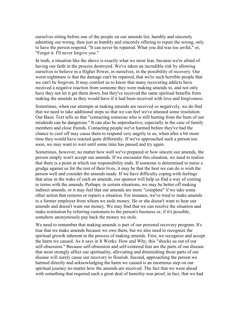ourselves sitting before one of the people on our amends list, humbly and sincerely admitting our wrong, then just as humbly and sincerely offering to repair the wrong, only to have the person respond, "It can never be repaired. What you did was too awful," or, "Forget it. I'll never forgive you."

In truth, a situation like the above is exactly what we most fear, because we're afraid of having our faith in the process destroyed. We've taken an incredible risk by allowing ourselves to believe in a Higher Power, in ourselves, in the possibility of recovery. Our worst nightmare is that the damage can't be repaired, that we're such horrible people that we can't be forgiven. It may comfort us to know that many recovering addicts have received a negative reaction from someone they were making amends to, and not only have they not let it get them down, but they've received the same spiritual benefits from making the amends as they would have if it had been received with love and forgiveness.

Sometimes, when our attempts at making amends are received so negatively, we do find that we need to take additional steps so that we can feel we've attained some resolution. Our Basic Text tells us that "contacting someone who is still hurting from the burn of our misdeeds can be dangerous." It can also be unproductive, especially in the case of family members and close friends. Contacting people we've harmed before they've had the chance to cool off may cause them to respond very angrily to us, when after a bit more time they would have reacted quite differently. If we've approached such a person too soon, we may want to wait until some time has passed and try again.

Sometimes, however, no matter how well we've prepared or how sincere our amends, the person simply won't accept our amends. If we encounter this situation, we need to realize that there is a point at which our responsibility ends. If someone is determined to nurse a grudge against us for the rest of their lives, it may be that the best we can do is wish the person well and consider the amends made. If we have difficulty coping with feelings that arise in the wake of such an amends, our sponsor will help us find a way of coming to terms with the amends. Perhaps, in certain situations, we may be better off making indirect amends, or it may feel that our amends are more "complete" if we take some other action that restores or repairs a situation. For instance, we've tried to make amends to a former employer from whom we stole money. He or she doesn't want to hear our amends and doesn't want our money. We may find that we can resolve the situation and make restitution by referring customers to the person's business or, if it's possible, somehow anonymously pay back the money we stole.

We need to remember that making amends is part of our personal recovery program. It's true that we make amends because we owe them, but we also need to recognize the spiritual growth inherent in the process of making amends. First, we recognize and accept the harm we caused. As it says in It Works: How and Why, this "shocks us out of our self-obsession." Because self-obsession and self-centered fear are the parts of our disease that most strongly affect our spirituality, alleviating and diminishing those parts of our disease will surely cause our recovery to flourish. Second, approaching the person we harmed directly and acknowledging the harm we caused is an enormous step on our spiritual journey no matter how the amends are received. The fact that we went ahead with something that required such a great deal of humility was proof, in fact, that we had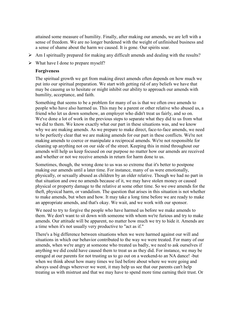attained some measure of humility. Finally, after making our amends, we are left with a sense of freedom. We are no longer burdened with the weight of unfinished business and a sense of shame about the harm we caused. It is gone. Our spirits soar.

- $\triangleright$  Am I spiritually prepared for making any difficult amends and dealing with the results?
- $\triangleright$  What have I done to prepare myself?

### **Forgiveness**

The spiritual growth we get from making direct amends often depends on how much we put into our spiritual preparation. We start with getting rid of any beliefs we have that may be causmg us to hesitate or might inhibit our ability to approach our amends with humility, acceptance, and faith.

Something that seems to be a problem for many of us is that we often owe amends to people who have also harmed us. This may be a parent or other relative who abused us, a friend who let us down somehow, an employer who didn't treat us fairly, and so on. We've done a lot of work in the previous steps to separate what they did to us from what we did to them. We know exactly what our part in these situations was, and we know why we are making amends. As we prepare to make direct, face-to-face amends, we need to be perfectly clear that we are making amends for our part in these conflicts. We're not making amends to coerce or manipulate a reciprocal amends. We're not responsible for cleaning up anything not on our side of the street. Keeping this in mind throughout our amends will help us keep focused on our purpose no matter how our amends are received and whether or not we receive amends in return for harm done to us.

Sometimes, though, the wrong done to us was so extreme that it's better to postpone making our amends until a later time. For instance, many of us were emotionally, physically, or sexually abused as children by an older relative. Though we had no part in that situation and owe no amends because of it, we may have stolen money or caused physical or property damage to the relative at some other time. So we owe amends for the theft, physical harm, or vandalism. The question that arises in this situation is not whether to make amends, but when and how. It may take a long time before we are ready to make an appropriate amends, and that's okay. We wait, and we work with our sponsor.

We need to try to forgive the people who have harmed us before we make amends to them. We don't want to sit down with someone with whom we're furious and try to make amends. Our attitude will be apparent, no matter how much we try to hide it. Amends are a time when it's not usually very productive to "act as if."

There's a big difference between situations when we were harmed against our will and situations in which our behavior contributed to the way we were treated. For many of our amends, when we're angry at someone who treated us badly, we need to ask ourselves if anything we did could have caused them to treat us as they did. For instance, we may be enraged at our parents for not trusting us to go out on a weekend-to an NA dance! -but when we think about how many times we lied before about where we were going and always used drugs wherever we went, it may help us see that our parents can't help treating us with mistrust and that we may have to spend more time earning their trust. Or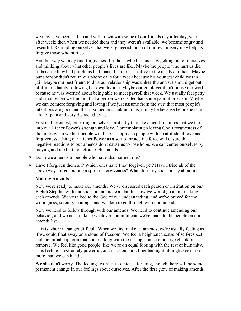we may have been selfish and withdrawn with some of our friends day after day, week after week; then when we needed them and they weren't available, we became angry and resentful. Reminding ourselves that we engineered much of our own misery may help us forgive those who hurt us.

Another way we may find forgiveness for those who hurt us is by getting out of ourselves and thinking about what other people's lives are like. Maybe the people who hurt us did so because they had problems that made them less sensitive to the needs of others. Maybe our sponsor didn't return our phone calls for a week because his youngest child was in jail. Maybe our best friend told us our relationship was unhealthy and we should get out of it-immediately following her own divorce. Maybe our employer didn't praise our work because he was worried about being able to meet payroll that week. We usually feel petty and small when we find out that a person we resented had some painful problem. Maybe we can be more forgiving and loving if we just assume from the start that most people's intentions are good and that if someone is unkind to us, it may be because he or she is in a lot of pain and very distracted by it.

First and foremost, preparing ourselves spiritually to make amends requires that we tap into our Higher Power's strength and love. Contemplating a loving God's forgiveness of the times when we hurt people will help us approach people with an attitude of love and forgiveness. Using our Higher Power as a sort of protective force will ensure that negative reactions to our amends don't cause us to lose hope. We can center ourselves by praying and meditating before each amends.

- $\triangleright$  Do I owe amends to people who have also harmed me?
- $\triangleright$  Have I forgiven them all? Which ones have I not forgiven yet? Have I tried all of the above ways of generating a spirit of forgiveness? What does my sponsor say about it?

### **Making Amends**

Now we're ready to make our amends. We've discussed each person or institution on our Eighth Step list with our sponsor and made a plan for how we would go about making each amends. We've talked to the God of our understanding, and we've prayed for the willingness, serenity, courage, and wisdom to go through with our amends.

Now we need to follow through with our amends. We need to continue amending our behavior, and we need to keep whatever commitments we've made to the people on our amends list.

This is where it can get difficult. When we first make an amends, we're usually feeling as if we could float away on a cloud of freedom. We feel a heightened sense of self-respect and the initial euphoria that comes along with the disappearance of a large chunk of remorse. We feel like good people, like we're on equal footing with the rest of humanity. This feeling is extremely powerful, and if it's our first time feeling it, it might seem like more than we can handle.

We shouldn't worry. The feelings won't be so intense for long, though there will be some permanent change in our feelings about ourselves. After the first glow of making amends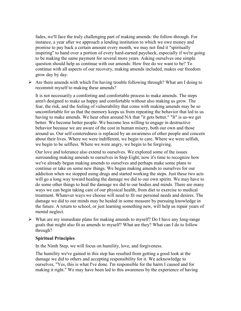fades, we'll face the truly challenging part of making amends: the follow-through. For instance, a year after we approach a lending institution to which we owe money and promise to pay back a certain amount every month, we may not find it "spiritually inspiring" to hand over a portion of every hard-earned paycheck, especially if we're going to be making the same payment for several more years. Asking ourselves one simple question should help us continue with our amends: How free do we want to be? To continue with all aspects of our recovery, making amends included, makes our freedom grow day by day.

 $\triangleright$  Are there amends with which I'm having trouble following through? What am I doing to recommit myself to making these amends?

It is not necessarily a comforting and comfortable process to make amends. The steps aren't designed to make us happy and comfortable without also making us grow. The fear, the risk, and the feeling of vulnerability that come with making amends may be so uncomfortable for us that the memory keeps us from repeating the behavior that led to us having to make amends. We hear often around NA that "it gets better." "It" is us-we get better. We become better people. We become less willing to engage in destructive behavior because we are aware of the cost in human misery, both our own and those around us. Our self-centeredness is replaced by an awareness of other people and concern about their lives. Where we were indifferent, we begin to care. Where we were selfish, we begin to be selfless. Where we were angry, we begin to be forgiving.

Our love and tolerance also extend to ourselves. We explored some of the issues surrounding making amends to ourselves in Step Eight; now it's time to recognize how we've already begun making amends to ourselves and perhaps make some plans to continue or take on some new things. We began making amends to ourselves for our addiction when we stopped using drugs and started working the steps. Just these two acts will go a long way toward healing the damage we did to our own spirits. We may have to do some other things to heal the damage we did to our bodies and minds. There are many ways we can begin taking care of our physical health, from diet to exercise to medical treatment. Whatever ways we choose will need to fit our personal needs and desires. The damage we did to our minds may be healed in some measure by pursuing knowledge in the future. A return to school, or just learning something new, will help us repair years of mental neglect.

 $\triangleright$  What are my immediate plans for making amends to myself? Do I have any long-range goals that might also fit as amends to myself? What are they? What can I do to follow through?

### **Spiritual Principles**

In the Ninth Step, we will focus on humility, love, and forgiveness.

The humility we've gained in this step has resulted from getting a good look at the damage we did to others and accepting responsibility for it. We acknowledge to ourselves, "Yes, this is what I've done. I'm responsible for the harm I caused and for making it right." We may have been led to this awareness by the experience of having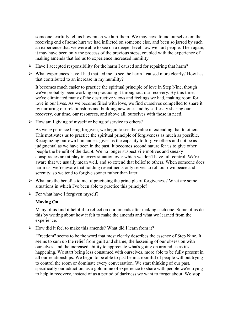someone tearfully tell us how much we hurt them. We may have found ourselves on the receiving end of some hurt we had inflicted on someone else, and been so jarred by such an experience that we were able to see on a deeper level how we hurt people. Then again, it may have been only the process of the previous steps, coupled with the experience of making amends that led us to experience increased humility.

- $\triangleright$  Have I accepted responsibility for the harm I caused and for repairing that harm?
- $\triangleright$  What experiences have I had that led me to see the harm I caused more clearly? How has that contributed to an increase in my humility?

It becomes much easier to practice the spiritual principle of love in Step Nine, though we've probably been working on practicing it throughout our recovery. By this time, we've eliminated many of the destructive views and feelings we had, making room for love in our lives. As we become filled with love, we find ourselves compelled to share it by nurturing our relationships and building new ones and by selflessly sharing our recovery, our time, our resources, and above all, ourselves with those in need.

 $\triangleright$  How am I giving of myself or being of service to others?

As we experience being forgiven, we begin to see the value in extending that to others. This motivates us to practice the spiritual principle of forgiveness as much as possible. Recognizing our own humanness gives us the capacity to forgive others and not be as judgmental as we have been in the past. It becomes second nature for us to give other people the benefit of the doubt. We no longer suspect vile motives and sneaky conspiracies are at play in every situation over which we don't have full control. We're aware that we usually mean well, and so extend that belief to others. When someone does harm us, we're aware that holding resentments only serves to rob our own peace and serenity, so we tend to forgive sooner rather than later.

- $\triangleright$  What are the benefits to me of practicing the principle of forgiveness? What are some situations in which I've been able to practice this principle?
- $\triangleright$  For what have I forgiven myself?

## **Moving On**

Many of us find it helpful to reflect on our amends after making each one. Some of us do this by writing about how it felt to make the amends and what we learned from the experience.

 $\triangleright$  How did it feel to make this amends? What did I learn from it?

"Freedom" seems to be the word that most clearly describes the essence of Step Nine. It seems to sum up the relief from guilt and shame, the lessening of our obsession with ourselves, and the increased ability to appreciate what's going on around us as it's happening. We start being less consumed with ourselves, more able to be fully present in all our relationships. We begin to be able to just be in a roomful of people without trying to control the room or dominate every conversation. We start thinking of our past, specifically our addiction, as a gold mine of experience to share with people we're trying to help in recovery, instead of as a period of darkness we want to forget about. We stop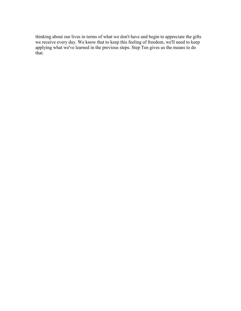thinking about our lives in terms of what we don't have and begin to appreciate the gifts we receive every day. We know that to keep this feeling of freedom, we'll need to keep applying what we've learned in the previous steps. Step Ten gives us the means to do that.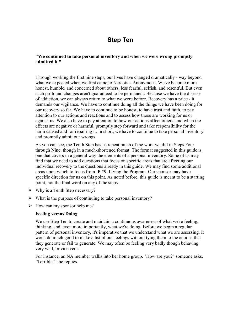# **Step Ten**

### **"We continued to take personal inventory and when we were wrong promptly admitted it."**

Through working the first nine steps, our lives have changed dramatically - way beyond what we expected when we first came to Narcotics Anonymous. We've become more honest, humble, and concerned about others, less fearful, selfish, and resentful. But even such profound changes aren't guaranteed to be permanent. Because we have the disease of addiction, we can always return to what we were before. Recovery has a price - it demands our vigilance. We have to continue doing all the things we have been doing for our recovery so far. We have to continue to be honest, to have trust and faith, to pay attention to our actions and reactions and to assess how those are working for us or against us. We also have to pay attention to how our actions affect others, and when the effects are negative or harmful, promptly step forward and take responsibility for the harm caused and for repairing it. In short, we have to continue to take personal inventory and promptly admit our wrongs.

As you can see, the Tenth Step has us repeat much of the work we did in Steps Four through Nine, though in a much-shortened format. The format suggested in this guide is one that covers in a general way the elements of a personal inventory. Some of us may find that we need to add questions that focus on specific areas that are affecting our individual recovery to the questions already in this guide. We may find some additional areas upon which to focus from IP #9, Living the Program. Our sponsor may have specific direction for us on this point. As noted before, this guide is meant to be a starting point, not the final word on any of the steps.

- $\triangleright$  Why is a Tenth Step necessary?
- $\triangleright$  What is the purpose of continuing to take personal inventory?
- $\triangleright$  How can my sponsor help me?

### **Feeling versus Doing**

We use Step Ten to create and maintain a continuous awareness of what we're feeling, thinking, and, even more importantly, what we're doing. Before we begin a regular pattern of personal inventory, it's imperative that we understand what we are assessing. It won't do much good to make a list of our feelings without tying them to the actions that they generate or fail to generate. We may often be feeling very badly though behaving very well, or vice versa.

For instance, an NA member walks into her home group. "How are you?" someone asks. "Terrible," she replies.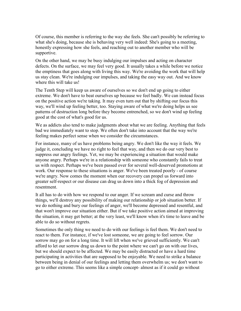Of course, this member is referring to the way she feels. She can't possibly be referring to what she's doing, because she is behaving very well indeed: She's going to a meeting, honestly expressing how she feels, and reaching out to another member who will be supportive.

On the other hand, we may be busy indulging our impulses and acting on character defects. On the surface, we may feel very good. It usually takes a while before we notice the emptiness that goes along with living this way. We're avoiding the work that will help us stay clean. We're indulging our impulses, and taking the easy way out. And we know where this will take us!

The Tenth Step will keep us aware of ourselves so we don't end up going to either extreme. We don't have to beat ourselves up because we feel badly. We can instead focus on the positive action we're taking. It may even turn out that by shifting our focus this way, we'll wind up feeling better, too. Staying aware of what we're doing helps us see patterns of destruction long before they become entrenched, so we don't wind up feeling good at the cost of what's good for us.

We as addicts also tend to make judgments about what we are feeling. Anything that feels bad we immediately want to stop. We often don't take into account that the way we're feeling makes perfect sense when we consider the circumstances.

For instance, many of us have problems being angry. We don't like the way it feels. We judge it, concluding we have no right to feel that way, and then we do our very best to suppress our angry feelings. Yet, we may be experiencing a situation that would make anyone angry. Perhaps we're in a relationship with someone who constantly fails to treat us with respect. Perhaps we've been passed over for several well-deserved promotions at work. Our response to these situations is anger. We've been treated poorly - of course we're angry. Now comes the moment when our recovery can propel us forward into greater self-respect or our disease can drag us down into a thick fog of depression and resentment.

It all has to do with how we respond to our anger. If we scream and curse and throw things, we'll destroy any possibility of making our relationship or job situation better. If we do nothing and bury our feelings of anger, we'll become depressed and resentful, and that won't improve our situation either. But if we take positive action aimed at improving the situation, it may get better; at the very least, we'll know when it's time to leave and be able to do so without regrets.

Sometimes the only thing we need to do with our feelings is feel them. We don't need to react to them. For instance, if we've lost someone, we are going to feel sorrow. Our sorrow may go on for a long time. It will lift when we've grieved sufficiently. We can't afford to let our sorrow drag us down to the point where we can't go on with our lives, but we should expect to be affected. We may be easily distracted or have a hard time participating in activities that are supposed to be enjoyable. We need to strike a balance between being in denial of our feelings and letting them overwhelm us; we don't want to go to either extreme. This seems like a simple concept- almost as if it could go without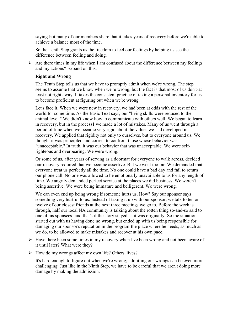saying-but many of our members share that it takes years of recovery before we're able to achieve a balance most of the time.

So the Tenth Step grants us the freedom to feel our feelings by helping us see the difference between feeling and doing.

 $\triangleright$  Are there times in my life when I am confused about the difference between my feelings and my actions? Expand on this.

# **Right and Wrong**

The Tenth Step tells us that we have to promptly admit when we're wrong. The step seems to assume that we know when we're wrong, but the fact is that most of us don't-at least not right away. It takes the consistent practice of taking a personal inventory for us to become proficient at figuring out when we're wrong.

Let's face it. When we were new in recovery, we had been at odds with the rest of the world for some time. As the Basic Text says, our "living skills were reduced to the animal level." We didn't know how to communicate with others well. We began to learn in recovery, but in the process1 we made a lot of mistakes. Many of us went through a period of time when we became very rigid about the values we had developed in recovery. We applied that rigidity not only to ourselves, but to everyone around us. We thought it was principled and correct to confront those whose behavior was "unacceptable." In truth, it was our behavior that was unacceptable. We were selfrighteous and overbearing. We were wrong.

Or some of us, after years of serving as a doormat for everyone to walk across, decided our recovery required that we become assertive. But we went too far. We demanded that everyone treat us perfectly all the time. No one could have a bad day and fail to return our phone call. No one was allowed to be emotionally unavailable to us for any length of time. We angrily demanded perfect service at the places we did business. We weren't being assertive. We were being immature and belligerent. We were wrong.

We can even end up being wrong if someone hurts us. How? Say our sponsor says something very hurtful to us. Instead of taking it up with our sponsor, we talk to ten or twelve of our closest friends at the next three meetings we go to. Before the week is through, half our local NA community is talking about the rotten thing so-and-so said to one of his sponsees -and that's if the story stayed as it was originally! So the situation started out with us having done no wrong, but ended up with us being responsible for damaging our sponsor's reputation in the program-the place where he needs, as much as we do, to be allowed to make mistakes and recover at his own pace.

- $\triangleright$  Have there been some times in my recovery when I've been wrong and not been aware of it until later? What were they?
- $\triangleright$  How do my wrongs affect my own life? Others' lives?

It's hard enough to figure out when we're wrong; admitting our wrongs can be even more challenging. Just like in the Ninth Step, we have to be careful that we aren't doing more damage by making the admission.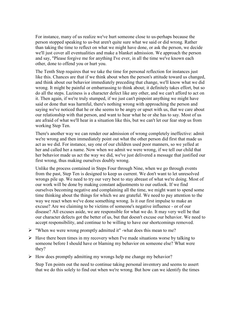For instance, many of us realize we've hurt someone close to us-perhaps because the person stopped speaking to us-but aren't quite sure what we said or did wrong. Rather than taking the time to reflect on what we might have done, or ask the person, we decide we'll just cover all eventualities and make a blanket admission. We approach the person and say, "Please forgive me for anything I've ever, in all the time we've known each other, done to offend you or hurt you.

The Tenth Step requires that we take the time for personal reflection for instances just like this. Chances are that if we think about when the person's attitude toward us changed, and think about our behavior immediately preceding that change, we'll know what we did wrong. It might be painful or embarrassing to think about; it definitely takes effort, but so do all the steps. Laziness is a character defect like any other, and we can't afford to act on it. Then again, if we're truly stumped, if we just can't pinpoint anything we might have said or done that was harmful, there's nothing wrong with approaching the person and saying we've noticed that he or she seems to be angry or upset with us, that we care about our relationship with that person, and want to hear what he or she has to say. Most of us are afraid of what we'll hear in a situation like this, but we can't let our fear stop us from working Step Ten.

There's another way we can render our admission of wrong completely ineffective: admit we're wrong and then immediately point out what the other person did first that made us act as we did. For instance, say one of our children used poor manners, so we yelled at her and called her a name. Now when we admit we were wrong, if we tell our child that her behavior made us act the way we did, we've just delivered a message that justified our first wrong, thus making ourselves doubly wrong.

Unlike the process contained in Steps Four through Nine, when we go through events from the past, Step Ten is designed to keep us current. We don't want to let unresolved wrongs pile up. We need to try our very best to stay abreast of what we're doing. Most of our work will be done by making constant adjustments to our outlook. If we find ourselves becoming negative and complaining all the time, we might want to spend some time thinking about the things for which we are grateful. We need to pay attention to the way we react when we've done something wrong. Is it our first impulse to make an excuse? Are we claiming to be victims of someone's negative influence - or of our disease? All excuses aside, we are responsible for what we do. It may very well be that our character defects got the better of us, but that doesn't excuse our behavior. We need to accept responsibility, and continue to be willing to have our shortcomings removed.

- "When we were wrong promptly admitted it" -what does this mean to me?
- $\triangleright$  Have there been times in my recovery when I've made situations worse by talking to someone before I should have or blaming my behavior on someone else? What were they?
- $\triangleright$  How does promptly admitting my wrongs help me change my behavior?

Step Ten points out the need to continue taking personal inventory and seems to assert that we do this solely to find out when we're wrong. But how can we identify the times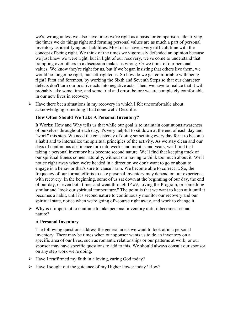we're wrong unless we also have times we're right as a basis for comparison. Identifying the times we do things right and forming personal values are as much a part of personal inventory as identifying our liabilities. Most of us have a very difficult time with the concept of being right. We think of the times we vigorously defended an opinion because we just knew we were right, but in light of our recovery, we've come to understand that trampling over others in a discussion makes us wrong. Or we think of our personal values. We know they're right for us, but if we began insisting that others live them, we would no longer be right, but self-righteous. So how do we get comfortable with being right? First and foremost, by working the Sixth and Seventh Steps so that our character defects don't turn our positive acts into negative acts. Then, we have to realize that it will probably take some time, and some trial and error, before we are completely comfortable in our new lives in recovery.

 $\triangleright$  Have there been situations in my recovery in which I felt uncomfortable about acknowledging something I had done well? Describe.

## **How Often Should We Take A Personal Inventory?**

It Works: How and Why tells us that while our goal is to maintain continuous awareness of ourselves throughout each day, it's very helpful to sit down at the end of each day and "work" this step. We need the consistency of doing something every day for it to become a habit and to internalize the spiritual principles of the activity. As we stay clean and our days of continuous abstinence turn into weeks and months and years, we'll find that taking a personal inventory has become second nature. We'll find that keeping track of our spiritual fitness comes naturally, without our having to think too much about it. We'll notice right away when we're headed in a direction we don't want to go or about to engage in a behavior that's sure to cause harm. We become able to correct it. So, the frequency of our formal efforts to take personal inventory may depend on our experience with recovery. In the beginning, some of us sat down at the beginning of our day, the end of our day, or even both times and went through IP #9, Living the Program, or something similar and "took our spiritual temperature." The point is that we want to keep at it until it becomes a habit, until it's second nature to continuously monitor our recovery and our spiritual state, notice when we're going off-course right away, and work to change it.

 $\triangleright$  Why is it important to continue to take personal inventory until it becomes second nature?

## **A Personal Inventory**

The following questions address the general areas we want to look at in a personal inventory. There may be times when our sponsor wants us to do an inventory on a specific area of our lives, such as romantic relationships or our patterns at work, or our sponsor may have specific questions to add to this. We should always consult our sponsor on any step work we're doing.

- $\triangleright$  Have I reaffirmed my faith in a loving, caring God today?
- $\triangleright$  Have I sought out the guidance of my Higher Power today? How?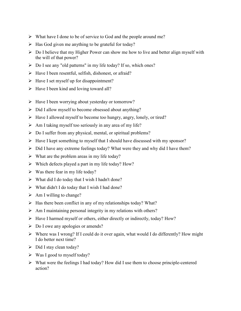- $\triangleright$  What have I done to be of service to God and the people around me?
- $\triangleright$  Has God given me anything to be grateful for today?
- $\triangleright$  Do I believe that my Higher Power can show me how to live and better align myself with the will of that power?
- Do I see any "old patterns" in my life today? If so, which ones?
- $\triangleright$  Have I been resentful, selfish, dishonest, or afraid?
- $\triangleright$  Have I set myself up for disappointment?
- $\triangleright$  Have I been kind and loving toward all?
- $\triangleright$  Have I been worrying about yesterday or tomorrow?
- $\triangleright$  Did I allow myself to become obsessed about anything?
- $\triangleright$  Have I allowed myself to become too hungry, angry, lonely, or tired?
- $\triangleright$  Am I taking myself too seriously in any area of my life?
- $\triangleright$  Do I suffer from any physical, mental, or spiritual problems?
- $\triangleright$  Have I kept something to myself that I should have discussed with my sponsor?
- $\triangleright$  Did I have any extreme feelings today? What were they and why did I have them?
- $\triangleright$  What are the problem areas in my life today?
- $\triangleright$  Which defects played a part in my life today? How?
- $\triangleright$  Was there fear in my life today?
- $\triangleright$  What did I do today that I wish I hadn't done?
- $\triangleright$  What didn't I do today that I wish I had done?
- $\triangleright$  Am I willing to change?
- $\triangleright$  Has there been conflict in any of my relationships today? What?
- $\triangleright$  Am I maintaining personal integrity in my relations with others?
- $\triangleright$  Have I harmed myself or others, either directly or indirectly, today? How?
- $\triangleright$  Do I owe any apologies or amends?
- $\triangleright$  Where was I wrong? If I could do it over again, what would I do differently? How might I do better next time?
- $\triangleright$  Did I stay clean today?
- $\triangleright$  Was I good to myself today?
- $\triangleright$  What were the feelings I had today? How did I use them to choose principle-centered action?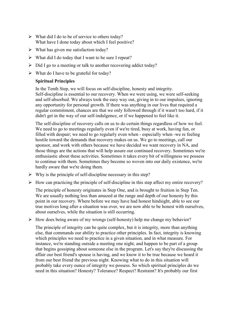- $\triangleright$  What did I do to be of service to others today? What have I done today about which I feel positive?
- $\triangleright$  What has given me satisfaction today?
- $\triangleright$  What did I do today that I want to be sure I repeat?
- $\triangleright$  Did I go to a meeting or talk to another recovering addict today?
- $\triangleright$  What do I have to be grateful for today?

# **Spiritual Principles**

In the Tenth Step, we will focus on self-discipline, honesty and integrity. Self-discipline is essential to our recovery. When we were using, we were self-seeking and self-absorbed. We always took the easy way out, giving in to our impulses, ignoring any opportunity for personal growth. If there was anything in our lives that required a regular commitment, chances are that we only followed through if it wasn't too hard, if it didn't get in the way of our self-indulgence, or if we happened to feel like it.

The self-discipline of recovery calls on us to do certain things regardless of how we feel. We need to go to meetings regularly even if we're tired, busy at work, having fun, or filled with despair; we need to go regularly even when - especially when -we re feeling hostile toward the demands that recovery makes on us. We go to meetings, call our sponsor, and work with others because we have decided we want recovery in NA, and those things are the actions that will help assure our continued recovery. Sometimes we're enthusiastic about these activities. Sometimes it takes every bit of willingness we possess to continue with them. Sometimes they become so woven into our daily existence, we're hardly aware that we're doing them.

- $\triangleright$  Why is the principle of self-discipline necessary in this step?
- $\triangleright$  How can practicing the principle of self-discipline in this step affect my entire recovery?

The principle of honesty originates in Step One, and is brought to fruition in Step Ten. We are usually nothing less than amazed at the range and depth of our honesty by this point in our recovery. Where before we may have had honest hindsight, able to see our true motives long after a situation was over, we are now able to be honest with ourselves, about ourselves, while the situation is still occurring.

 $\triangleright$  How does being aware of my wrongs (self-honesty) help me change my behavior?

The principle of integrity can be quite complex, but it is integrity, more than anything else, that commands our ability to practice other principles. In fact, integrity is knowing which principles we need to practice in a given situation, and in what measure. For instance, we're standing outside a meeting one night, and happen to be part of a group that begins gossiping about someone else in the program. Let's say they're discussing the affair our best friend's spouse is having, and we know it to be true because we heard it from our best friend the previous night. Knowing what to do in this situation will probably take every ounce of integrity we possess. So which spiritual principles do we need in this situation? Honesty? Tolerance? Respect? Restraint? It's probably our first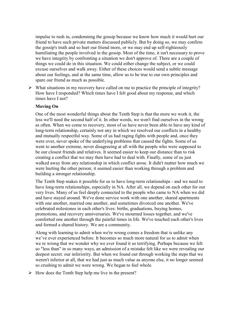impulse to rush in, condemning the gossip because we know how much it would hurt our friend to have such private matters discussed publicly. But by doing so, we may confirm the gossip's truth and so hurt our friend more, or we may end up self-righteously humiliating the people involved in the gossip. Most of the time, it isn't necessary to prove we have integrity by confronting a situation we don't approve of. There are a couple of things we could do in this situation. We could either change the subject, or we could excuse ourselves and walk away. Either of these choices would send a subtle message about our feelings, and at the same time, allow us to be true to our own principles and spare our friend as much as possible.

 $\triangleright$  What situations in my recovery have called on me to practice the principle of integrity? How have I responded? Which times have I felt good about my response, and which times have I not?

# **Moving On**

One of the most wonderful things about the Tenth Step is that the more we work it, the less we'll need the second half of it. In other words, we won't find ourselves in the wrong as often. When we come to recovery, most of us have never been able to have any kind of long-term relationship, certainly not any in which we resolved our conflicts in a healthy and mutually respectful way. Some of us had raging fights with people and, once they were over, never spoke of the underlying problems that caused the fights. Some of us went to another extreme, never disagreeing at all with the people who were supposed to be our closest friends and relatives. It seemed easier to keep our distance than to risk creating a conflict that we may then have had to deal with. Finally, some of us just walked away from any relationship in which conflict arose. It didn't matter how much we were hurting the other person; it seemed easier than working through a problem and building a stronger relationship.

The Tenth Step makes it possible for us to have long-term relationships - and we need to have long-term relationships, especially in NA. After all, we depend on each other for our very lives. Many of us feel deeply connected to the people who came to NA when we did and have stayed around. We've done service work with one another, shared apartments with one another, married one another, and sometimes divorced one another. We've celebrated milestones in each other's lives: births, graduations, buying homes, promotions, and recovery anniversaries. We've mourned losses together, and we've comforted one another through the painful times in life. We've touched each other's lives and formed a shared history. We are a community.

Along with learning to admit when we're wrong comes a freedom that is unlike any we've ever experienced before. It becomes so much more natural for us to admit when we re wrong that we wonder why we ever found it so terrifying. Perhaps because we felt so "less than" in so many ways, an admission of a mistake felt like we were revealing our deepest secret: our inferiority. But when we found out through working the steps that we weren't inferior at all, that we had just as much value as anyone else, it no longer seemed so crushing to admit we were wrong. We began to feel whole.

 $\triangleright$  How does the Tenth Step help me live in the present?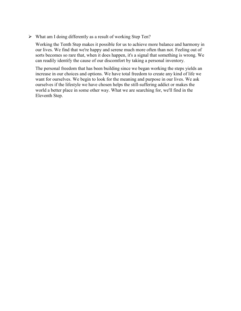$\triangleright$  What am I doing differently as a result of working Step Ten?

Working the Tenth Step makes it possible for us to achieve more balance and harmony in our lives. We find that we're happy and serene much more often than not. Feeling out of sorts becomes so rare that, when it does happen, it's a signal that something is wrong. We can readily identify the cause of our discomfort by taking a personal inventory.

The personal freedom that has been building since we began working the steps yields an increase in our choices and options. We have total freedom to create any kind of life we want for ourselves. We begin to look for the meaning and purpose in our lives. We ask ourselves if the lifestyle we have chosen helps the still-suffering addict or makes the world a better place in some other way. What we are searching for, we'll find in the Eleventh Step.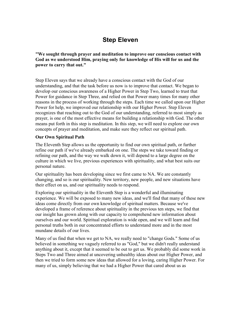# **Step Eleven**

**"We sought through prayer and meditation to improve our conscious contact with God as we understood Him, praying only for knowledge of His will for us and the power to carry that out."**

Step Eleven says that we already have a conscious contact with the God of our understanding, and that the task before us now is to improve that contact. We began to develop our conscious awareness of a Higher Power in Step Two, learned to trust that Power for guidance in Step Three, and relied on that Power many times for many other reasons in the process of working through the steps. Each time we called upon our Higher Power for help, we improved our relationship with our Higher Power. Step Eleven recognizes that reaching out to the God of our understanding, referred to most simply as prayer, is one of the most effective means for building a relationship with God. The other means put forth in this step is meditation. In this step, we will need to explore our own concepts of prayer and meditation, and make sure they reflect our spiritual path.

# **Our Own Spiritual Path**

The Eleventh Step allows us the opportunity to find our own spiritual path, or further refine our path if we've already embarked on one. The steps we take toward finding or refining our path, and the way we walk down it, will depend to a large degree on the culture in which we live, previous experiences with spirituality, and what best suits our personal nature.

Our spirituality has been developing since we first came to NA. We are constantly changing, and so is our spirituality. New territory, new people, and new situations have their effect on us, and our spirituality needs to respond.

Exploring our spirituality in the Eleventh Step is a wonderful and illuminating experience. We will be exposed to many new ideas, and we'll find that many of these new ideas come directly from our own knowledge of spiritual matters. Because we've developed a frame of reference about spirituality in the previous ten steps, we find that our insight has grown along with our capacity to comprehend new information about ourselves and our world. Spiritual exploration is wide open, and we will learn and find personal truths both in our concentrated efforts to understand more and in the most mundane details of our lives.

Many of us find that when we get to NA, we really need to "change Gods." Some of us believed in something we vaguely referred to as "God," but we didn't really understand anything about it, except that it seemed to be out to get us. We probably did some work in Steps Two and Three aimed at uncovering unhealthy ideas about our Higher Power, and then we tried to form some new ideas that allowed for a loving, caring Higher Power. For many of us, simply believing that we had a Higher Power that cared about us as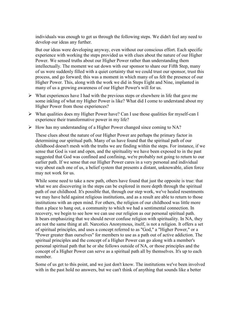individuals was enough to get us through the following steps. We didn't feel any need to develop our ideas any further.

But our ideas were developing anyway, even without our conscious effort. Each specific experience with working the steps provided us with clues about the nature of our Higher Power. We sensed truths about our Higher Power rather than understanding them intellectually. The moment we sat down with our sponsor to share our Fifth Step, many of us were suddenly filled with a quiet certainty that we could trust our sponsor, trust this process, and go forward; this was a moment in which many of us felt the presence of our Higher Power. This, along with the work we did in Steps Eight and Nine, implanted in many of us a growing awareness of our Higher Power's will for us.

- $\triangleright$  What experiences have I had with the previous steps or elsewhere in life that gave me some inkling of what my Higher Power is like? What did I come to understand about my Higher Power from those experiences?
- What qualities does my Higher Power have? Can I use those qualities for myself-can I experience their transformative power in my life?
- $\triangleright$  How has my understanding of a Higher Power changed since coming to NA?

These clues about the nature of our Higher Power are perhaps the primary factor in determining our spiritual path. Many of us have found that the spiritual path of our childhood doesn't mesh with the truths we are finding within the steps. For instance, if we sense that God is vast and open, and the spirituality we have been exposed to in the past suggested that God was confined and confining, we're probably not going to return to our earlier path. If we sense that our Higher Power cares in a very personal and individual way about each one of us, a belief system that presents a distant, unknowable, alien force may not work for us.

While some need to take a new path, others have found that just the opposite is true: that what we are discovering in the steps can be explored in more depth through the spiritual path of our childhood. It's possible that, through our step work, we've healed resentments we may have held against religious institutions, and as a result are able to return to those institutions with an open mind. For others, the religion of our childhood was little more than a place to hang out, a community to which we had a sentimental connection. In recovery, we begin to see how we can use our religion as our personal spiritual path. It bears emphasizing that we should never confuse religion with spirituality. In NA, they are not the same thing at all. Narcotics Anonymous, itself, is not a religion. It offers a set of spiritual principles, and uses a concept referred to as "God," a "Higher Power," or a "Power greater than ourselves" for members to use as a path out of active addiction. The spiritual principles and the concept of a Higher Power can go along with a member's personal spiritual path that he or she follows outside of NA, or those principles and the concept of a Higher Power can serve as a spiritual path all by themselves. It's up to each member.

Some of us get to this point, and we just don't know. The institutions we've been involved with in the past hold no answers, but we can't think of anything that sounds like a better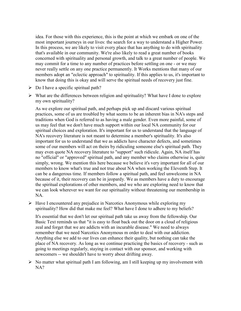idea. For those with this experience, this is the point at which we embark on one of the most important journeys in our lives: the search for a way to understand a Higher Power. In this process, we are likely to visit every place that has anything to do with spirituality that's available in our community. We're also likely to read a great number of books concerned with spirituality and personal growth, and talk to a great number of people. We may commit for a time to any number of practices before settling on one - or we may never really settle on any one practice permanently. It Works mentions that many of our members adopt an "eclectic approach" to spirituality. If this applies to us, it's important to know that doing this is okay and will serve the spiritual needs of recovery just fine.

- $\triangleright$  Do I have a specific spiritual path?
- $\triangleright$  What are the differences between religion and spirituality? What have I done to explore my own spirituality?

As we explore our spiritual path, and perhaps pick up and discard various spiritual practices, some of us are troubled by what seems to be an inherent bias in NA's steps and traditions when God is referred to as having a male gender. Even more painful, some of us may feel that we don't have much support within our local NA community for our spiritual choices and exploration. It's important for us to understand that the language of NA's recovery literature is not meant to determine a member's spirituality. It's also important for us to understand that we as addicts have character defects, and sometimes some of our members will act on theirs by ridiculing someone else's spiritual path. They may even quote NA recovery literature to "support" such ridicule. Again, NA itself has no "official" or "approved" spiritual path, and any member who claims otherwise is, quite simply, wrong. We mention this here because we believe it's very important for all of our members to know what's true and not true about NA when working the Eleventh Step. It can be a dangerous time. If members follow a spiritual path, and feel unwelcome in NA because of it, their recovery can be in jeopardy. We as members have a duty to encourage the spiritual explorations of other members, and we who are exploring need to know that we can look wherever we want for our spirituality without threatening our membership in NA.

 $\triangleright$  Have I encountered any prejudice in Narcotics Anonymous while exploring my spirituality? How did that make me feel? What have I done to adhere to my beliefs?

It's essential that we don't let our spiritual path take us away from the fellowship. Our Basic Text reminds us that "it is easy to float back out the door on a cloud of religious zeal and forget that we are addicts with an incurable disease." We need to always remember that we need Narcotics Anonymous m order to deal with our addiction. Anything else we add to our lives can enhance their quality, but nothing can take the place of NA recovery. As long as we continue practicing the basics of recovery - such as going to meetings regularly, staying in contact with our sponsor, and working with newcomers -- we shouldn't have to worry about drifting away.

 $\triangleright$  No matter what spiritual path I am following, am I still keeping up my involvement with NA?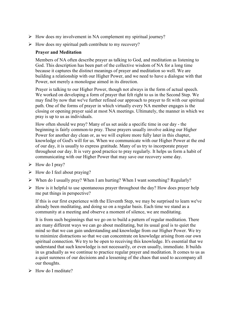- $\triangleright$  How does my involvement in NA complement my spiritual journey?
- $\triangleright$  How does my spiritual path contribute to my recovery?

# **Prayer and Meditation**

Members of NA often describe prayer as talking to God, and meditation as listening to God. This description has been part of the collective wisdom of NA for a long time because it captures the distinct meanings of prayer and meditation so well. We are building a relationship with our Higher Power, and we need to have a dialogue with that Power, not merely a monologue aimed in its direction.

Prayer is talking to our Higher Power, though not always in the form of actual speech. We worked on developing a form of prayer that felt right to us in the Second Step. We may find by now that we've further refined our approach to prayer to fit with our spiritual path. One of the forms of prayer in which virtually every NA member engages is the closing or opening prayer said at most NA meetings. Ultimately, the manner in which we pray is up to us as individuals.

How often should we pray? Many of us set aside a specific time in our day - the beginning is fairly common-to pray. These prayers usually involve asking our Higher Power for another day clean or, as we will explore more fully later in this chapter, knowledge of God's will for us. When we communicate with our Higher Power at the end of our day, it is usually to express gratitude. Many of us try to incorporate prayer throughout our day. It is very good practice to pray regularly. It helps us form a habit of communicating with our Higher Power that may save our recovery some day.

- $\triangleright$  How do I pray?
- $\triangleright$  How do I feel about praying?
- $\triangleright$  When do I usually pray? When I am hurting? When I want something? Regularly?
- $\triangleright$  How is it helpful to use spontaneous prayer throughout the day? How does prayer help me put things in perspective?

If this is our first experience with the Eleventh Step, we may be surprised to learn we've already been meditating, and doing so on a regular basis. Each time we stand as a community at a meeting and observe a moment of silence, we are meditating.

It is from such beginnings that we go on to build a pattern of regular meditation. There are many different ways we can go about meditating, but its usual goal is to quiet the mind so that we can gain understanding and knowledge from our Higher Power. We try to minimize distractions so that we can concentrate on knowledge arising from our own spiritual connection. We try to be open to receiving this knowledge. It's essential that we understand that such knowledge is not necessarily, or even usually, immediate. It builds in us gradually as we continue to practice regular prayer and meditation. It comes to us as a quiet sureness of our decisions and a lessening of the chaos that used to accompany all our thoughts.

 $\triangleright$  How do I meditate?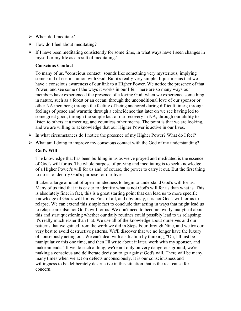- When do I meditate?
- $\triangleright$  How do I feel about meditating?
- $\triangleright$  If I have been meditating consistently for some time, in what ways have I seen changes in myself or my life as a result of meditating?

### **Conscious Contact**

To many of us, "conscious contact" sounds like something very mysterious, implying some kind of cosmic union with God. But it's really very simple. It just means that we have a conscious awareness of our link to a Higher Power. We notice the presence of that Power, and see some of the ways it works in our life. There are so many ways our members have experienced the presence of a loving God: when we experience something in nature, such as a forest or an ocean; through the unconditional love of our sponsor or other NA members; through the feeling of being anchored during difficult times; through feelings of peace and warmth; through a coincidence that later on we see having led to some great good; through the simple fact of our recovery in NA; through our ability to listen to others at a meeting; and countless other means. The point is that we are looking, and we are willing to acknowledge that our Higher Power is active in our lives.

- $\triangleright$  In what circumstances do I notice the presence of my Higher Power? What do I feel?
- $\triangleright$  What am I doing to improve my conscious contact with the God of my understanding?

#### **God's Will**

The knowledge that has been building in us as we've prayed and meditated is the essence of God's will for us. The whole purpose of praying and meditating is to seek knowledge of a Higher Power's will for us and, of course, the power to carry it out. But the first thing to do is to identify God's purpose for our lives.

It takes a large amount of open-mindedness to begin to understand God's will for us. Many of us find that it is easier to identify what is not God's will for us than what is. This is absolutely fine; in fact, this is a great starting point that can lead us to more specific knowledge of God's will for us. First of all, and obviously, it is not God's will for us to relapse. We can extend this simple fact to conclude that acting in ways that might lead us to relapse are also not God's will for us. We don't need to become overly analytical about this and start questioning whether our daily routines could possibly lead to us relapsing; it's really much easier than that. We use all of the knowledge about ourselves and our patterns that we gained from the work we did in Steps Four through Nine, and we try our very best to avoid destructive patterns. We'll discover that we no longer have the luxury of consciously acting out. We can't deal with a situation by thinking, "Oh, I'll just be manipulative this one time, and then I'll write about it later, work with my sponsor, and make amends." If we do such a thing, we're not only on very dangerous ground, we're making a conscious and deliberate decision to go against God's will. There will be many, many times when we act on defects unconsciously. It is our consciousness and willingness to be deliberately destructive in this situation that is the real cause for concern.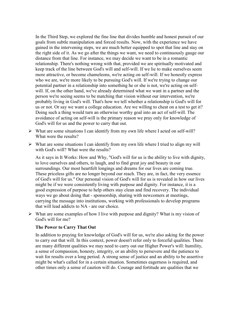In the Third Step, we explored the fine line that divides humble and honest pursuit of our goals from subtle manipulation and forced results. Now, with the experience we have gained in the intervening steps, we are much better equipped to spot that line and stay on the right side of it. As we go after the things we want, we need to continuously gauge our distance from that line. For instance, we may decide we want to be in a romantic relationship. There's nothing wrong with that, provided we are spiritually motivated and keep track of the line between God's will and self-will. If we lie to make ourselves seem more attractive, or become chameleons, we're acting on self-will. If we honestly express who we are, we're more likely to be pursuing God's will. If we're trying to change our potential partner in a relationship into something he or she is not, we're acting on selfwill. If, on the other hand, we've already determined what we want in a partner and the person we're seeing seems to be matching that vision without our intervention, we're probably living in God's will. That's how we tell whether a relationship is God's will for us or not. Or say we want a college education. Are we willing to cheat on a test to get it? Doing such a thing would turn an otherwise worthy goal into an act of self-will. The avoidance of acting on self-will is the primary reason we pray only for knowledge of God's will for us and the power to carry that out.

- $\triangleright$  What are some situations I can identify from my own life where I acted on self-will? What were the results?
- $\triangleright$  What are some situations I can identify from my own life where I tried to align my will with God's will? What were the results?

As it says in It Works: How and Why, "God's will for us is the ability to live with dignity, to love ourselves and others, to laugh, and to find great joy and beauty in our surroundings. Our most heartfelt longings and dreams for our lives are coming true. These priceless gifts are no longer beyond our reach. They are, in fact, the very essence of God's will for us." Our personal vision of God's will for us is revealed in how our lives might be if we were consistently living with purpose and dignity. For instance, it is a good expression of purpose to help others stay clean and find recovery. The individual ways we go about doing that - sponsorship, sharing with newcomers at meetings, carrying the message into institutions, working with professionals to develop programs that will lead addicts to NA - are our choice.

 $\triangleright$  What are some examples of how I live with purpose and dignity? What is my vision of God's will for me?

#### **The Power to Carry That Out**

In addition to praying for knowledge of God's will for us, we're also asking for the power to carry out that will. In this context, power doesn't refer only to forceful qualities. There are many different qualities we may need to carry out our Higher Power's will: humility, a sense of compassion, honesty, integrity, or an ability to persevere and the patience to wait for results over a long period. A strong sense of justice and an ability to be assertive might be what's called for in a certain situation. Sometimes eagerness is required, and other times only a sense of caution will do. Courage and fortitude are qualities that we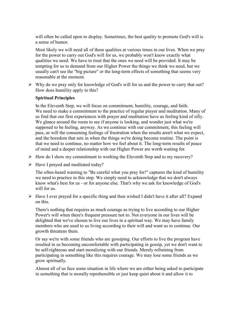will often be called upon to display. Sometimes, the best quality to promote God's will is a sense of humor.

Most likely we will need all of these qualities at various times in our lives. When we pray for the power to carry out God's will for us, we probably won't know exactly what qualities we need. We have to trust that the ones we need will be provided. It may be tempting for us to demand from our Higher Power the things we think we need, but we usually can't see the "big picture" or the long-term effects of something that seems very reasonable at the moment.

 $\triangleright$  Why do we pray only for knowledge of God's will for us and the power to carry that out? How does humility apply to this?

# **Spiritual Principles**

In the Eleventh Step, we will focus on commitment, humility, courage, and faith. We need to make a commitment to the practice of regular prayer and meditation. Many of us find that our first experiences with prayer and meditation have us feeling kind of silly. We glance around the room to see if anyone is looking, and wonder just what we're supposed to be feeling, anyway. As we continue with our commitment, this feeling will pass, as will the consuming feelings of frustration when the results aren't what we expect, and the boredom that sets in when the things we're doing become routine. The point is that we need to continue, no matter how we feel about it. The long-term results of peace of mind and a deeper relationship with our Higher Power are worth waiting for.

- $\triangleright$  How do I show my commitment to working the Eleventh Step and to my recovery?
- $\triangleright$  Have I prayed and meditated today?

The often-heard warning to "Be careful what you pray for!" captures the kind of humility we need to practice in this step. We simply need to acknowledge that we don't always know what's best for us - or for anyone else. That's why we ask for knowledge of God's will for us.

 $\triangleright$  Have I ever prayed for a specific thing and then wished I didn't have it after all? Expand on this.

There's nothing that requires as much courage as trying to live according to our Higher Power's will when there's frequent pressure not to. Not everyone in our lives will be delighted that we've chosen to live our lives in a spiritual way. We may have family members who are used to us living according to their will and want us to continue. Our growth threatens them.

Or say we're with some friends who are gossiping. Our efforts to live the program have resulted in us becoming uncomfortable with participating in gossip, yet we don't want to be self-righteous and start moralizing with our friends. Merely refraining from participating in something like this requires courage. We may lose some friends as we grow spiritually.

Almost all of us face some situation in life where we are either being asked to participate in something that is morally reprehensible or just keep quiet about it and allow it to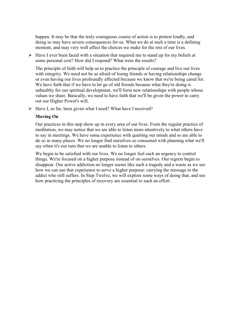happen. It may be that the truly courageous course of action is to protest loudly, and doing so may have severe consequences for us. What we do at such a time is a defining moment, and may very well affect the choices we make for the rest of our lives.

 $\triangleright$  Have I ever been faced with a situation that required me to stand up for my beliefs at some personal cost? How did I respond? What were the results?

The principle of faith will help us to practice the principle of courage and live our lives with integrity. We need not be so afraid of losing friends or having relationships change or even having our lives profoundly affected because we know that we're being cared for. We have faith that if we have to let go of old friends because what they're doing is unhealthy for our spiritual development, we'll form new relationships with people whose values we share. Basically, we need to have faith that we'll be given the power to carry out our Higher Power's will.

 $\triangleright$  Have I, so far, been given what I need? What have I received?

## **Moving On**

Our practices in this step show up in every area of our lives. From the regular practice of meditation, we may notice that we are able to listen more attentively to what others have to say in meetings. We have some experience with quieting our minds and so are able to do so in many places. We no longer find ourselves so consumed with planning what we'll say when it's our turn that we are unable to listen to others.

We begin to be satisfied with our lives. We no longer feel such an urgency to control things. We're focused on a higher purpose instead of on ourselves. Our regrets begin to disappear. Our active addiction no longer seems like such a tragedy and a waste as we see how we can use that experience to serve a higher purpose: carrying the message to the addict who still suffers. In Step Twelve, we will explore some ways of doing that, and see how practicing the principles of recovery are essential to such an effort.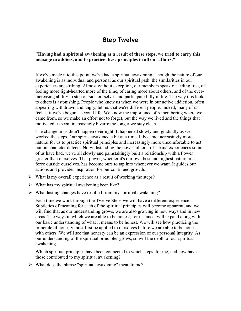# **Step Twelve**

## **"Having had a spiritual awakening as a result of these steps, we tried to carry this message to addicts, and to practice these principles in all our affairs."**

If we've made it to this point, we've had a spiritual awakening. Though the nature of our awakening is as individual and personal as our spiritual path, the similarities in our experiences are striking. Almost without exception, our members speak of feeling free, of feeling more light-hearted more of the time, of caring more about others, and of the everincreasing ability to step outside ourselves and participate fully in life. The way this looks to others is astonishing. People who knew us when we were in our active addiction, often appearing withdrawn and angry, tell us that we're different people. Indeed, many of us feel as if we've begun a second life. We know the importance of remembering where we came from, so we make an effort not to forget, but the way we lived and the things that motivated us seem increasingly bizarre the longer we stay clean.

The change in us didn't happen overnight. It happened slowly and gradually as we worked the steps. Our spirits awakened a bit at a time. It became increasingly more natural for us to practice spiritual principles and increasingly more uncomfortable to act out on character defects. Notwithstanding the powerful, one-of-a-kind experiences some of us have had, we've all slowly and painstakingly built a relationship with a Power greater than ourselves. That power, whether it's our own best and highest nature or a force outside ourselves, has become ours to tap into whenever we want. It guides our actions and provides inspiration for our continued growth.

- $\triangleright$  What is my overall experience as a result of working the steps?
- $\triangleright$  What has my spiritual awakening been like?
- $\triangleright$  What lasting changes have resulted from my spiritual awakening?

Each time we work through the Twelve Steps we will have a different experience. Subtleties of meaning for each of the spiritual principles will become apparent, and we will find that as our understanding grows, we are also growing in new ways and in new areas. The ways in which we are able to be honest, for instance, will expand along with our basic understanding of what it means to be honest. We will see how practicing the principle of honesty must first be applied to ourselves before we are able to be honest with others. We will see that honesty can be an expression of our personal integrity. As our understanding of the spiritual principles grows, so will the depth of our spiritual awakening.

Which spiritual principles have been connected to which steps, for me, and how have those contributed to my spiritual awakening?

 $\triangleright$  What does the phrase "spiritual awakening" mean to me?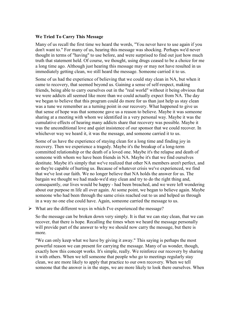## **We Tried To Carry This Message**

Many of us recall the first time we heard the words, "You never have to use again if you don't want to." For many of us, hearing this message was shocking. Perhaps we'd never thought in terms of "having" to use before, and were surprised to find out just how much truth that statement held. Of course, we thought, using drugs ceased to be a choice for me a long time ago. Although just hearing this message may or may not have resulted in us immediately getting clean, we still heard the message. Someone carried it to us.

Some of us had the experience of believing that we could stay clean in NA, but when it came to recovery, that seemed beyond us. Gaining a sense of self-respect, making friends, being able to carry ourselves out in the "real world" without it being obvious that we were addicts all seemed like more than we could actually expect from NA. The day we began to believe that this program could do more for us than just help us stay clean was a tune we remember as a turning point in our recovery. What happened to give us that sense of hope was that someone gave us a reason to believe. Maybe it was someone sharing at a meeting with whom we identified in a very personal way. Maybe it was the cumulative effects of hearing many addicts share that recovery was possible. Maybe it was the unconditional love and quiet insistence of our sponsor that we could recover. In whichever way we heard it, it was the message, and someone carried it to us.

Some of us have the experience of staying clean for a long time and finding joy in recovery. Then we experience a tragedy. Maybe it's the breakup of a long-term committed relationship or the death of a loved one. Maybe it's the relapse and death of someone with whom we have been friends in NA. Maybe it's that we find ourselves destitute. Maybe it's simply that we've realized that other NA members aren't perfect, and so they're capable of hurting us. Because of whatever crisis we've experienced, we find that we've lost our faith. We no longer believe that NA holds the answer for us. The bargain we thought we had made-we'd stay clean and try to do the right thing and, consequently, our lives would be happy - had been breached, and we were left wondering about our purpose m life all over again. At some point, we began to believe again. Maybe someone who had been through the same crisis reached out to us and helped us through in a way no one else could have. Again, someone carried the message to us.

 $\triangleright$  What are the different ways in which I've experienced the message?

So the message can be broken down very simply. It is that we can stay clean, that we can recover, that there is hope. Recalling the times when we heard the message personally will provide part of the answer to why we should now carry the message, but there is more.

"We can only keep what we have by giving it away." This saying is perhaps the most powerful reason we can present for carrying the message. Many of us wonder, though, exactly how this concept works. It's simple, really. We reinforce our recovery by sharing it with others. When we tell someone that people who go to meetings regularly stay clean, we are more likely to apply that practice to our own recovery. When we tell someone that the answer is in the steps, we are more likely to look there ourselves. When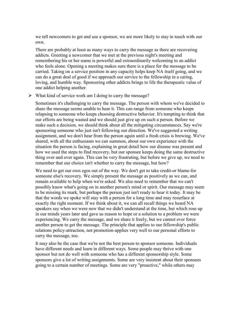we tell newcomers to get and use a sponsor, we are more likely to stay in touch with our own.

There are probably at least as many ways to carry the message as there are recovering addicts. Greeting a newcomer that we met at the previous night's meeting and remembering his or her name is powerful and extraordinarily welcoming to an addict who feels alone. Opening a meeting makes sure there is a place for the message to be carried. Taking on a service position in any capacity helps keep NA itself going, and we can do a great deal of good if we approach our service to the fellowship in a caring, loving, and humble way. Sponsoring other addicts brings to life the therapeutic value of one addict helping another.

 $\triangleright$  What kind of service work am I doing to carry the message?

Sometimes it's challenging to carry the message. The person with whom we've decided to share the message seems unable to hear it. This can range from someone who keeps relapsing to someone who keeps choosing destructive behavior. It's tempting to think that our efforts are being wasted and we should just give up on such a person. Before we make such a decision, we should think about all the mitigating circumstances. Say we're sponsoring someone who just isn't following our direction. We've suggested a writing assignment, and we don't hear from the person again until a fresh crisis is brewing. We've shared, with all the enthusiasm we can summon, about our own experience with the situation the person is facing, explaining in great detail how our disease was present and how we used the steps to find recovery, but our sponsee keeps doing the same destructive thing over and over again. This can be very frustrating, but before we give up, we need to remember that our choice isn't whether to carry the message, but how?

We need to get our own egos out of the way. We don't get to take credit-or blame-for someone else's recovery. We simply present the message as positively as we can, and remain available to help when we're asked. We also need to remember that we can't possibly know what's going on in another person's mind or spirit. Our message may seem to be missing its mark, but perhaps the person just isn't ready to hear it today. It may be that the words we spoke will stay with a person for a long time and may resurface at exactly the right moment. If we think about it, we can all recall things we heard NA speakers say when we were new that we didn't understand at the time, but which rose up in our minds years later and gave us reason to hope or a solution to a problem we were experiencing. We carry the message, and we share it freely, but we cannot ever force another person to get the message. The principle that applies to our fellowship's public relations policy-attraction, not promotion-applies very well to our personal efforts to carry the message, too.

It may also be the case that we're not the best person to sponsor someone. Individuals have different needs and learn in different ways. Some people may thrive with one sponsor but not do well with someone who has a different sponsorship style. Some sponsors give a lot of writing assignments. Some are very insistent about their sponsees going to a certain number of meetings. Some are very "proactive," while others may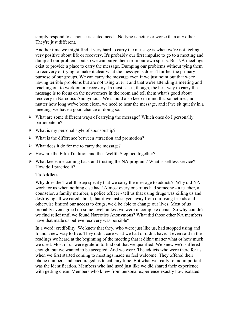simply respond to a sponsee's stated needs. No type is better or worse than any other. They're just different.

Another time we might find it very hard to carry the message is when we're not feeling very positive about life or recovery. It's probably our first impulse to go to a meeting and dump all our problems out so we can purge them from our own spirits. But NA meetings exist to provide a place to carry the message. Dumping our problems without tying them to recovery or trying to make it clear what the message is doesn't further the primary purpose of our groups. We can carry the message even if we just point out that we're having terrible problems but are not using over it and that we're attending a meeting and reaching out to work on our recovery. In most cases, though, the best way to carry the message is to focus on the newcomers in the room and tell them what's good about recovery in Narcotics Anonymous. We should also keep in mind that sometimes, no matter how long we've been clean, we need to hear the message, and if we sit quietly in a meeting, we have a good chance of doing so.

- $\triangleright$  What are some different ways of carrying the message? Which ones do I personally participate in?
- $\triangleright$  What is my personal style of sponsorship?
- $\triangleright$  What is the difference between attraction and promotion?
- $\triangleright$  What does it do for me to carry the message?
- $\triangleright$  How are the Fifth Tradition and the Twelfth Step tied together?
- $\triangleright$  What keeps me coming back and trusting the NA program? What is selfless service? How do I practice it?

# **To Addicts**

Why does the Twelfth Step specify that we carry the message to addicts? Why did NA work for us when nothing else had? Almost every one of us had someone - a teacher, a counselor, a family member, a police officer - tell us that using drugs was killing us and destroying all we cared about, that if we just stayed away from our using friends and otherwise limited our access to drugs, we'd be able to change our lives. Most of us probably even agreed on some level, unless we were in complete denial. So why couldn't we find relief until we found Narcotics Anonymous? What did those other NA members have that made us believe recovery was possible?

In a word: credibility. We knew that they, who were just like us, had stopped using and found a new way to live. They didn't care what we had or didn't have. It even said in the readings we heard at the beginning of the meeting that it didn't matter what or how much we used. Most of us were grateful to find out that we qualified. We knew we'd suffered enough, but we wanted to be accepted. And we were. The addicts who were there for us when we first started coming to meetings made us feel welcome. They offered their phone numbers and encouraged us to call any time. But what we really found important was the identification. Members who had used just like we did shared their experience with getting clean. Members who knew from personal experience exactly how isolated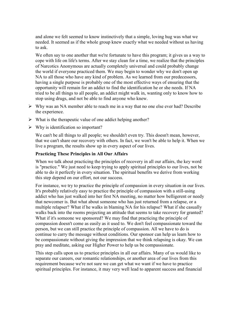and alone we felt seemed to know instinctively that a simple, loving hug was what we needed. It seemed as if the whole group knew exactly what we needed without us having to ask.

We often say to one another that we're fortunate to have this program; it gives us a way to cope with life on life's terms. After we stay clean for a time, we realize that the principles of Narcotics Anonymous are actually completely universal and could probably change the world if everyone practiced them. We may begin to wonder why we don't open up NA to all those who have any kind of problem. As we learned from our predecessors, having a single purpose is probably one of the most effective ways of ensuring that the opportunity will remain for an addict to find the identification he or she needs. If NA tried to be all things to all people, an addict might walk in, wanting only to know how to stop using drugs, and not be able to find anyone who knew.

- $\triangleright$  Why was an NA member able to reach me in a way that no one else ever had? Describe the experience.
- $\triangleright$  What is the therapeutic value of one addict helping another?
- $\triangleright$  Why is identification so important?

We can't be all things to all people; we shouldn't even try. This doesn't mean, however, that we can't share our recovery with others. In fact, we won't be able to help it. When we live a program, the results show up in every aspect of our lives.

## **Practicing These Principles in All Our Affairs**

When we talk about practicing the principles of recovery in all our affairs, the key word is "practice." We just need to keep trying to apply spiritual principles to our lives, not be able to do it perfectly in every situation. The spiritual benefits we derive from working this step depend on our effort, not our success.

For instance, we try to practice the principle of compassion in every situation in our lives. It's probably relatively easy to practice the principle of compassion with a still-using addict who has just walked into her first NA meeting, no matter how belligerent or needy that newcomer is. But what about someone who has just returned from a relapse, or a multiple relapser? What if he walks in blaming NA for his relapse? What if she casually walks back into the rooms projecting an attitude that seems to take recovery for granted? What if it's someone we sponsored? We may find that practicing the principle of compassion doesn't come as easily as it used to. We don't feel compassionate toward the person, but we can still practice the principle of compassion. All we have to do is continue to carry the message without conditions. Our sponsor can help us learn how to be compassionate without giving the impression that we think relapsing is okay. We can pray and meditate, asking our Higher Power to help us be compassionate.

This step calls upon us to practice principles in all our affairs. Many of us would like to separate our careers, our romantic relationships, or another area of our lives from this requirement because we're not sure we can get what we want if we have to practice spiritual principles. For instance, it may very well lead to apparent success and financial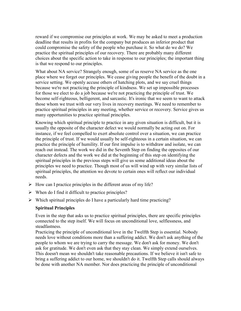reward if we compromise our principles at work. We may be asked to meet a production deadline that results in profits for the company but produces an inferior product that could compromise the safety of the people who purchase it. So what do we do? We practice the spiritual principles of our recovery. There are probably many different choices about the specific action to take in response to our principles; the important thing is that we respond to our principles.

What about NA service? Strangely enough, some of us reserve NA service as the one place where we forget our principles. We cease giving people the benefit of the doubt in a service setting. We openly accuse others of hatching plots, and we say cruel things because we're not practicing the principle of kindness. We set up impossible processes for those we elect to do a job because we're not practicing the principle of trust. We become self-righteous, belligerent, and sarcastic. It's ironic that we seem to want to attack those whom we trust with our very lives in recovery meetings. We need to remember to practice spiritual principles in any meeting, whether service or recovery. Service gives us many opportunities to practice spiritual principles.

Knowing which spiritual principle to practice in any given situation is difficult, but it is usually the opposite of the character defect we would normally be acting out on. For instance, if we feel compelled to exert absolute control over a situation, we can practice the principle of trust. If we would usually be self-righteous in a certain situation, we can practice the principle of humility. If our first impulse is to withdraw and isolate, we can reach out instead. The work we did in the Seventh Step on finding the opposites of our character defects and the work we did at the beginning of this step on identifying the spiritual principles in the previous steps will give us some additional ideas about the principles we need to practice. Though most of us will wind up with very similar lists of spiritual principles, the attention we devote to certain ones will reflect our individual needs.

- $\triangleright$  How can I practice principles in the different areas of my life?
- $\triangleright$  When do I find it difficult to practice principles?
- $\triangleright$  Which spiritual principles do I have a particularly hard time practicing?

## **Spiritual Principles**

Even in the step that asks us to practice spiritual principles, there are specific principles connected to the step itself. We will focus on unconditional love, selflessness, and steadfastness.

Practicing the principle of unconditional love in the Twelfth Step is essential. Nobody needs love without conditions more than a suffering addict. We don't ask anything of the people to whom we are trying to carry the message. We don't ask for money. We don't ask for gratitude. We don't even ask that they stay clean. We simply extend ourselves. This doesn't mean we shouldn't take reasonable precautions. If we believe it isn't safe to bring a suffering addict to our home, we shouldn't do it. Twelfth Step calls should always be done with another NA member. Nor does practicing the principle of unconditional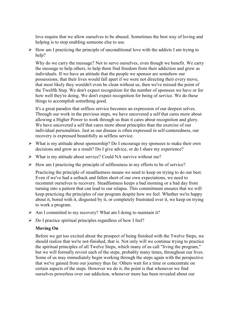love require that we allow ourselves to be abused. Sometimes the best way of loving and helping is to stop enabling someone else to use.

 $\triangleright$  How am I practicing the principle of unconditional love with the addicts I am trying to help?

Why do we carry the message? Not to serve ourselves, even though we benefit. We carry the message to help others, to help them find freedom from their addiction and grow as individuals. If we have an attitude that the people we sponsor are somehow our possessions, that their lives would fall apart if we were not directing their every move, that most likely they wouldn't even be clean without us, then we've missed the point of the Twelfth Step. We don't expect recognition for the number of sponsees we have or for how well they're doing. We don't expect recognition for being of service. We do these things to accomplish something good.

It's a great paradox that selfless service becomes an expression of our deepest selves. Through our work in the previous steps, we have uncovered a self that cares more about allowing a Higher Power to work through us than it cares about recognition and glory. We have uncovered a self that cares more about principles than the exercise of our individual personalities. Just as our disease is often expressed in self-centeredness, our recovery is expressed beautifully as selfless service.

- $\triangleright$  What is my attitude about sponsorship? Do I encourage my sponsees to make their own decisions and grow as a result? Do I give advice, or do I share my experience?
- $\triangleright$  What is my attitude about service? Could NA survive without me?
- $\triangleright$  How am I practicing the principle of selflessness in my efforts to be of service?

Practicing the principle of steadfastness means we need to keep on trying to do our best. Even if we've had a setback and fallen short of our own expectations, we need to recommit ourselves to recovery. Steadfastness keeps a bad morning or a bad day from turning into a pattern that can lead to our relapse. This commitment ensures that we will keep practicing the principles of our program despite how we feel. Whether we're happy about it, bored with it, disgusted by it, or completely frustrated over it, we keep on trying to work a program.

- $\triangleright$  Am I committed to my recovery? What am I doing to maintain it?
- $\triangleright$  Do I practice spiritual principles regardless of how I feel?

## **Moving On**

Before we get too excited about the prospect of being finished with the Twelve Steps, we should realize that we're not-finished, that is. Not only will we continue trying to practice the spiritual principles of all Twelve Steps, which many of us call "living the program," but we will formally revisit each of the steps, probably many times, throughout our lives. Some of us may immediately begin working through the steps again with the perspective that we've gained from our journey thus far. Others wait for a time or concentrate on certain aspects of the steps. However we do it, the point is that whenever we find ourselves powerless over our addiction, whenever more has been revealed about our